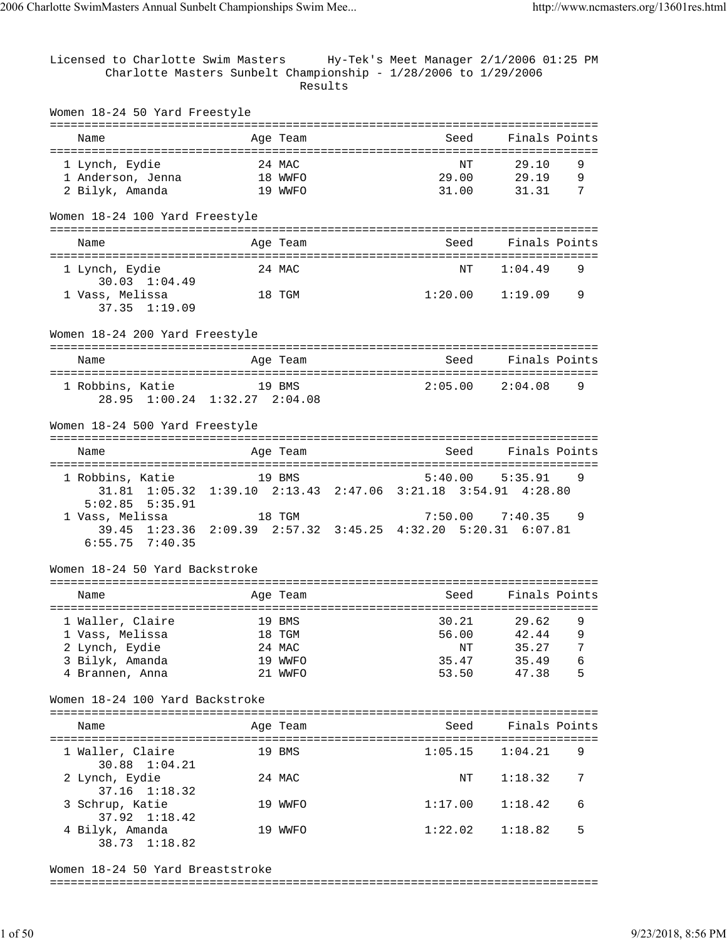Licensed to Charlotte Swim Masters Hy-Tek's Meet Manager 2/1/2006 01:25 PM Charlotte Masters Sunbelt Championship - 1/28/2006 to 1/29/2006 Results Women 18-24 50 Yard Freestyle =============================================================================== Name and Age Team Seed Finals Points =============================================================================== 1 Lynch, Eydie 24 MAC NT 29.10 9 1 Anderson, Jenna 18 WWFO 29.00 29.19 9 2 Bilyk, Amanda 19 WWFO 31.00 31.31 7 Women 18-24 100 Yard Freestyle =============================================================================== Name and Age Team Seed Finals Points =============================================================================== 1 Lynch, Eydie 24 MAC NT 1:04.49 9 30.03 1:04.49 1 Vass, Melissa 18 TGM 1:20.00 1:19.09 9 37.35 1:19.09 Women 18-24 200 Yard Freestyle =============================================================================== Name and Age Team Seed Finals Points =============================================================================== 1 Robbins, Katie 19 BMS 28.95 1:00.24 1:32.27 2:04.08 Women 18-24 500 Yard Freestyle =============================================================================== Name Age Team Seed Finals Points Age Team Seed Finals Points =============================================================================== 1 Robbins, Katie 19 BMS 5:40.00 5:35.91 9 31.81 1:05.32 1:39.10 2:13.43 2:47.06 3:21.18 3:54.91 4:28.80 5:02.85 5:35.91 18 TGM 7:50.00 7:40.35 39.45 1:23.36 2:09.39 2:57.32 3:45.25 4:32.20 5:20.31 6:07.81 6:55.75 7:40.35 Women 18-24 50 Yard Backstroke =============================================================================== Name Mage Team Age Team Seed Finals Points =============================================================================== 1 Waller, Claire 19 BMS 30.21 29.62 9 1 Vass, Melissa 18 TGM 56.00 42.44 9 2 Lynch, Eydie 24 MAC NT 35.27 7 3 Bilyk, Amanda 19 WWFO 35.47 35.49 6 4 Brannen, Anna 21 WWFO 53.50 47.38 5 Women 18-24 100 Yard Backstroke =============================================================================== Name Age Team Seed Finals Points =============================================================================== 1 Waller, Claire 19 BMS 1:05.15 1:04.21 30.88 1:04.21 2 Lynch, Eydie 24 MAC NT 1:18.32 7 37.16 1:18.32 3 Schrup, Katie 19 WWFO 1:17.00 1:18.42 6 37.92 1:18.42 19 WWFO 1:22.02 1:18.82 5 38.73 1:18.82

Women 18-24 50 Yard Breaststroke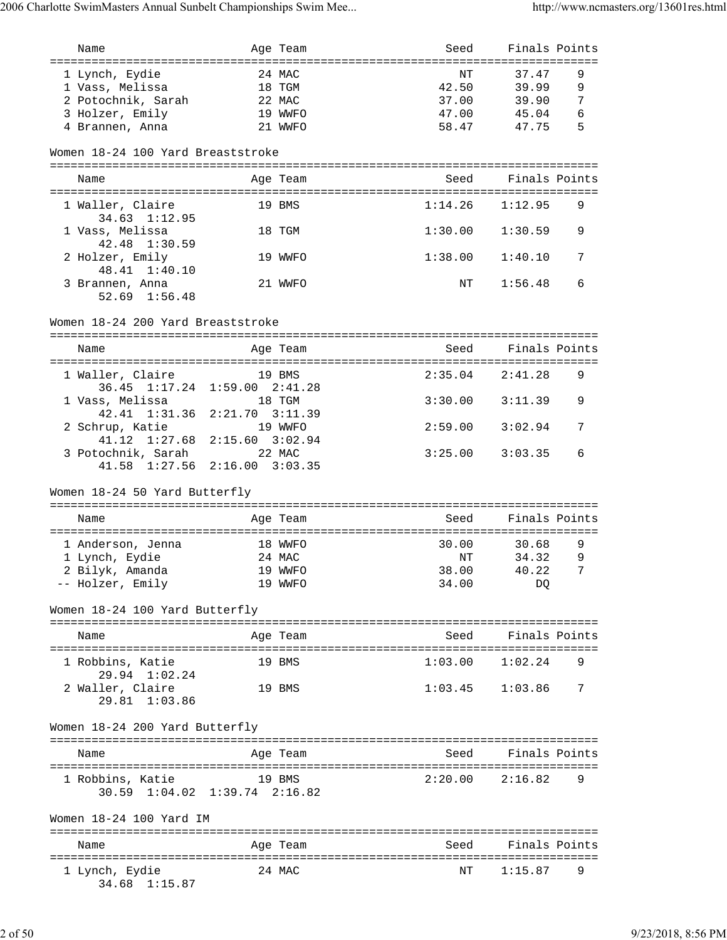| Name                                                       |                                | Age Team | Seed    | Finals Points       |   |
|------------------------------------------------------------|--------------------------------|----------|---------|---------------------|---|
| ======================================                     |                                |          |         |                     |   |
| 1 Lynch, Eydie                                             | 24 MAC                         |          | NΤ      | 37.47               | 9 |
| 1 Vass, Melissa                                            | 18 TGM                         |          |         | 42.50 39.99         | 9 |
| 2 Potochnik, Sarah                                         |                                | 22 MAC   |         | 37.00 39.90         | 7 |
| 3 Holzer, Emily                                            |                                | 19 WWFO  |         | 47.00 45.04         | 6 |
| 4 Brannen, Anna                                            |                                | 21 WWFO  |         | 58.47 47.75         | 5 |
| Women 18-24 100 Yard Breaststroke                          |                                |          |         |                     |   |
| Name                                                       |                                | Age Team | Seed    | Finals Points       |   |
| 1 Waller, Claire<br>$34.63$ $1:12.95$                      |                                | 19 BMS   | 1:14.26 | 1:12.95             | 9 |
| 1 Vass, Melissa<br>42.48 1:30.59                           |                                | 18 TGM   | 1:30.00 | 1:30.59             | 9 |
| 2 Holzer, Emily<br>48.41 1:40.10                           |                                | 19 WWFO  | 1:38.00 | 1:40.10             | 7 |
| 3 Brannen, Anna<br>$52.69$ $1:56.48$                       |                                | 21 WWFO  | NT      | 1:56.48             | 6 |
| Women 18-24 200 Yard Breaststroke                          |                                |          |         |                     |   |
|                                                            |                                |          |         |                     |   |
| Name                                                       |                                | Age Team | Seed    | Finals Points       |   |
| 1 Waller, Claire                                           |                                | 19 BMS   |         | $2:35.04$ $2:41.28$ | 9 |
| 36.45 1:17.24 1:59.00 2:41.28<br>1 Vass, Melissa           |                                | 18 TGM   | 3:30.00 | 3:11.39             | 9 |
| 42.41 1:31.36                                              | $2:21.70$ $3:11.39$            |          |         |                     |   |
| 2 Schrup, Katie<br>41.12 1:27.68                           | 19 WWFO<br>$2:15.60$ $3:02.94$ |          | 2:59.00 | 3:02.94             | 7 |
| 3 Potochnik, Sarah 22 MAC<br>41.58 1:27.56 2:16.00 3:03.35 |                                |          | 3:25.00 | 3:03.35             | 6 |
| Women 18-24 50 Yard Butterfly                              |                                |          |         |                     |   |
|                                                            |                                |          |         |                     |   |
| Name                                                       |                                | Age Team | Seed    | Finals Points       |   |
| 1 Anderson, Jenna                                          |                                | 18 WWFO  | 30.00   | 30.68               | 9 |
| 1 Lynch, Eydie                                             |                                | 24 MAC   | NT      | 34.32               | 9 |
| 2 Bilyk, Amanda 19 WWFO                                    |                                |          |         | 38.00 40.22 7       |   |
| -- Holzer, Emily                                           |                                | 19 WWFO  | 34.00   | DO                  |   |
| Women 18-24 100 Yard Butterfly                             |                                |          |         |                     |   |
| Name                                                       |                                | Age Team |         | Seed Finals Points  |   |
| 1 Robbins, Katie                                           |                                | 19 BMS   | 1:03.00 | 1:02.24             | 9 |
| 29.94 1:02.24<br>2 Waller, Claire                          |                                | 19 BMS   | 1:03.45 | 1:03.86             | 7 |
| 29.81 1:03.86                                              |                                |          |         |                     |   |
| Women 18-24 200 Yard Butterfly                             |                                |          |         |                     |   |
| Name                                                       |                                | Age Team | Seed    | Finals Points       |   |
| 1 Robbins, Katie                                           |                                | 19 BMS   |         | $2:20.00$ $2:16.82$ | 9 |
| 30.59 1:04.02 1:39.74 2:16.82                              |                                |          |         |                     |   |
| Women 18-24 100 Yard IM                                    |                                |          |         |                     |   |
| Name                                                       |                                | Age Team | Seed    | Finals Points       |   |
| 1 Lynch, Eydie<br>34.68 1:15.87                            |                                | 24 MAC   | ΝT      | 1:15.87             | 9 |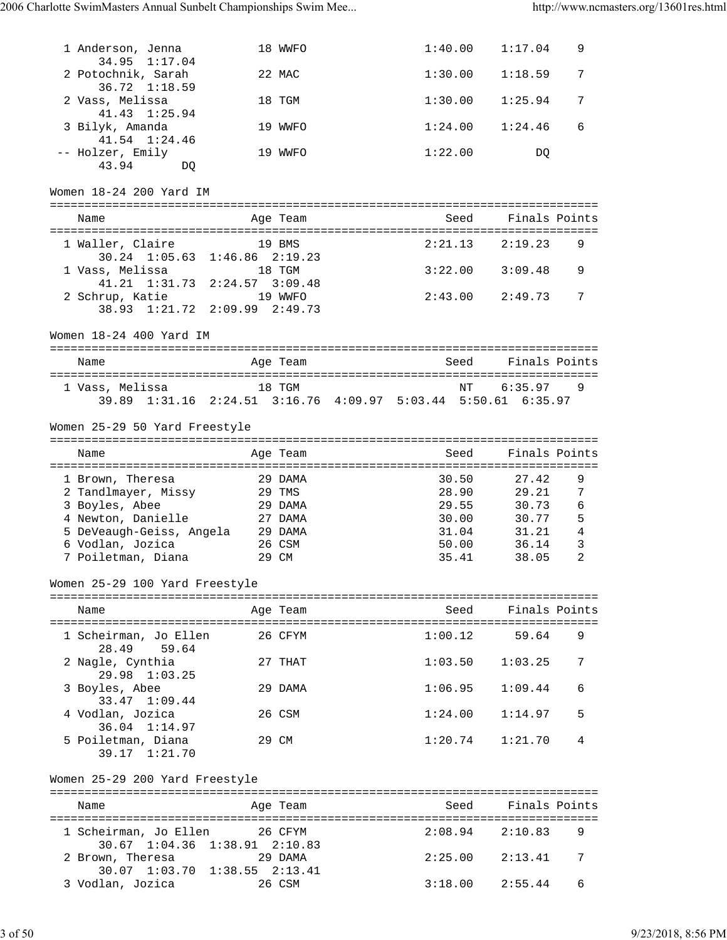| 1 Anderson, Jenna                                                                                                                                             |                     | 18 WWFO                                                    |         | 1:40.00                                            | 1:17.04                                                           | 9                                            |
|---------------------------------------------------------------------------------------------------------------------------------------------------------------|---------------------|------------------------------------------------------------|---------|----------------------------------------------------|-------------------------------------------------------------------|----------------------------------------------|
| 34.95<br>1:17.04<br>2 Potochnik, Sarah                                                                                                                        |                     | 22 MAC                                                     | 1:30.00 |                                                    | 1:18.59                                                           | 7                                            |
| 36.72 1:18.59<br>2 Vass, Melissa                                                                                                                              |                     | 18 TGM                                                     | 1:30.00 |                                                    | 1:25.94                                                           | 7                                            |
| 41.43 1:25.94<br>3 Bilyk, Amanda                                                                                                                              |                     | 19 WWFO                                                    | 1:24.00 |                                                    | 1:24.46                                                           | 6                                            |
| $41.54$ $1:24.46$<br>-- Holzer, Emily<br>43.94<br>DQ                                                                                                          |                     | 19 WWFO                                                    | 1:22.00 |                                                    | DQ                                                                |                                              |
| Women 18-24 200 Yard IM                                                                                                                                       |                     |                                                            |         |                                                    |                                                                   |                                              |
| Name                                                                                                                                                          |                     | Age Team                                                   |         | Seed                                               | Finals Points                                                     |                                              |
| 1 Waller, Claire                                                                                                                                              | $1:46.86$ $2:19.23$ | 19 BMS                                                     |         | 2:21.13                                            | 2:19.23                                                           | 9                                            |
| $30.24$ $1:05.63$<br>1 Vass, Melissa                                                                                                                          |                     | 18 TGM                                                     | 3:22.00 |                                                    | 3:09.48                                                           | 9                                            |
| 41.21 1:31.73 2:24.57 3:09.48<br>2 Schrup, Katie 19 WWFO<br>38.93 1:21.72 2:09.99 2:49.73                                                                     |                     |                                                            | 2:43.00 |                                                    | 2:49.73                                                           | 7                                            |
| Women 18-24 400 Yard IM                                                                                                                                       |                     |                                                            |         |                                                    |                                                                   |                                              |
| Name                                                                                                                                                          |                     | Age Team                                                   |         | Seed                                               | Finals Points                                                     |                                              |
| 1 Vass, Melissa<br>39.89 1:31.16 2:24.51 3:16.76 4:09.97 5:03.44 5:50.61 6:35.97                                                                              |                     | 18 TGM                                                     |         | NΤ                                                 | 6:35.97                                                           | 9                                            |
| Women 25-29 50 Yard Freestyle                                                                                                                                 |                     |                                                            |         |                                                    |                                                                   |                                              |
| Name                                                                                                                                                          |                     | Age Team                                                   |         | Seed                                               | Finals Points                                                     |                                              |
| 1 Brown, Theresa<br>2 Tandlmayer, Missy<br>3 Boyles, Abee<br>4 Newton, Danielle<br>5 DeVeaugh-Geiss, Angela 29 DAMA<br>6 Vodlan, Jozica<br>7 Poiletman, Diana |                     | 29 DAMA<br>29 TMS<br>29 DAMA<br>27 DAMA<br>26 CSM<br>29 CM |         | 30.50<br>28.90<br>29.55<br>31.04<br>50.00<br>35.41 | 27.42<br>29.21<br>30.73<br>30.00 30.77<br>31.21<br>36.14<br>38.05 | 9<br>7<br>6<br>5<br>$\overline{4}$<br>3<br>2 |
| Women 25-29 100 Yard Freestyle                                                                                                                                |                     |                                                            |         |                                                    |                                                                   |                                              |
| Name                                                                                                                                                          |                     | Age Team                                                   |         | Seed                                               | Finals Points                                                     |                                              |
| 1 Scheirman, Jo Ellen                                                                                                                                         |                     | 26 CFYM                                                    | 1:00.12 |                                                    | 59.64                                                             | 9                                            |
| 28.49<br>59.64<br>2 Nagle, Cynthia                                                                                                                            |                     | 27 THAT                                                    |         | 1:03.50                                            | 1:03.25                                                           | 7                                            |
| 29.98 1:03.25<br>3 Boyles, Abee                                                                                                                               |                     | 29 DAMA                                                    |         | 1:06.95                                            | 1:09.44                                                           | 6                                            |
| 33.47 1:09.44<br>4 Vodlan, Jozica                                                                                                                             |                     | 26 CSM                                                     | 1:24.00 |                                                    | 1:14.97                                                           | 5                                            |
| 36.04 1:14.97<br>5 Poiletman, Diana<br>39.17 1:21.70                                                                                                          |                     | 29 CM                                                      |         | 1:20.74                                            | 1:21.70                                                           | 4                                            |
| Women 25-29 200 Yard Freestyle                                                                                                                                |                     |                                                            |         |                                                    |                                                                   |                                              |
| Name                                                                                                                                                          |                     | Age Team                                                   |         |                                                    | Seed Finals Points                                                |                                              |
| 1 Scheirman, Jo Ellen 26 CFYM                                                                                                                                 |                     |                                                            |         | 2:08.94                                            | 2:10.83                                                           | 9                                            |
| 30.67 1:04.36 1:38.91 2:10.83<br>2 Brown, Theresa                                                                                                             | 29 DAMA             |                                                            |         | 2:25.00                                            | 2:13.41                                                           | 7                                            |
| 30.07 1:03.70 1:38.55 2:13.41<br>3 Vodlan, Jozica                                                                                                             |                     | 26 CSM                                                     | 3:18.00 |                                                    | 2:55.44                                                           | 6                                            |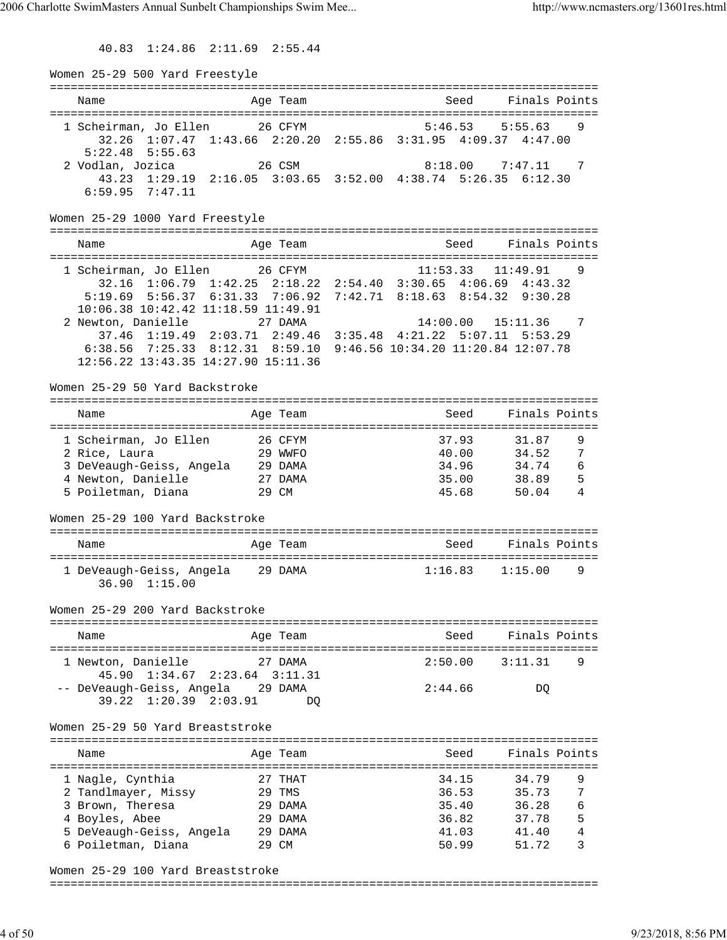40.83 1:24.86 2:11.69 2:55.44

Women 25-29 500 Yard Freestyle =============================================================================== Name Age Team Seed Finals Points =============================================================================== 1 Scheirman, Jo Ellen 26 CFYM 5:46.53 5:55.63 9 32.26 1:07.47 1:43.66 2:20.20 2:55.86 3:31.95 4:09.37 4:47.00 5:22.48 5:55.63 2 Vodlan, Jozica 26 CSM 8:18.00 7:47.11 7 43.23 1:29.19 2:16.05 3:03.65 3:52.00 4:38.74 5:26.35 6:12.30 6:59.95 7:47.11 Women 25-29 1000 Yard Freestyle =============================================================================== Name Team Age Team Seed Finals Points =============================================================================== 1 Scheirman, Jo Ellen 26 CFYM 11:53.33 11:49.91 9 32.16 1:06.79 1:42.25 2:18.22 2:54.40 3:30.65 4:06.69 4:43.32 5:19.69 5:56.37 6:31.33 7:06.92 7:42.71 8:18.63 8:54.32 9:30.28 10:06.38 10:42.42 11:18.59 11:49.91 2 Newton, Danielle 27 DAMA 14:00.00 15:11.36 7 37.46 1:19.49 2:03.71 2:49.46 3:35.48 4:21.22 5:07.11 5:53.29 6:38.56 7:25.33 8:12.31 8:59.10 9:46.56 10:34.20 11:20.84 12:07.78 12:56.22 13:43.35 14:27.90 15:11.36 Women 25-29 50 Yard Backstroke =============================================================================== Seed Finals Points =============================================================================== 1 Scheirman, Jo Ellen 26 CFYM 37.93 31.87 9 2 Rice, Laura 29 WWFO 40.00 34.52 7 3 DeVeaugh-Geiss, Angela 29 DAMA 34.96 34.74 6 4 Newton, Danielle 27 DAMA 35.00 38.89 5 5 Poiletman, Diana 29 CM 45.68 50.04 4 Women 25-29 100 Yard Backstroke =============================================================================== Name **Age Team** Age Team Seed Finals Points =============================================================================== 1 DeVeaugh-Geiss, Angela 29 DAMA 1:16.83 1:15.00 9 36.90 1:15.00 Women 25-29 200 Yard Backstroke =============================================================================== Name Age Team Seed Finals Points =============================================================================== 1 Newton, Danielle 27 DAMA 2:50.00 3:11.31 9 45.90 1:34.67 2:23.64 3:11.31 -- DeVeaugh-Geiss, Angela 29 DAMA 2:44.66 DQ 39.22 1:20.39 2:03.91 DQ Women 25-29 50 Yard Breaststroke =============================================================================== Name and Age Team Seed Finals Points =============================================================================== 1 Nagle, Cynthia  $27$  THAT 34.15 34.79 9 2 Tandlmayer, Missy 29 TMS 36.53 35.73 7 3 Brown, Theresa 29 DAMA 35.40 36.28 6 4 Boyles, Abee 29 DAMA 36.82 37.78 5 5 DeVeaugh-Geiss, Angela 29 DAMA 41.03 41.40 4 6 Poiletman, Diana 29 CM 50.99 51.72 3

Women 25-29 100 Yard Breaststroke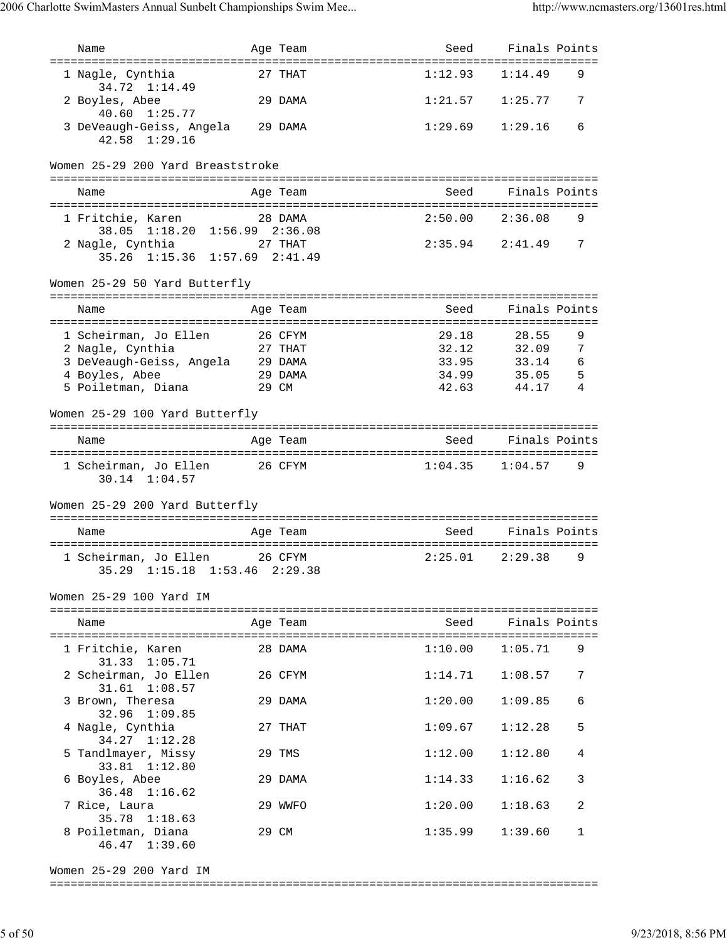| Name                                                                    |         | Age Team  | Seed                        | Finals Points       |        |
|-------------------------------------------------------------------------|---------|-----------|-----------------------------|---------------------|--------|
| ==================================<br>1 Nagle, Cynthia<br>34.72 1:14.49 |         | $27$ THAT | ================<br>1:12.93 | 1:14.49             | 9      |
| 2 Boyles, Abee<br>40.60 1:25.77                                         |         | 29 DAMA   | 1:21.57                     | 1:25.77             | 7      |
| 3 DeVeaugh-Geiss, Angela 29 DAMA<br>$42.58$ $1:29.16$                   |         |           | 1:29.69                     | 1:29.16             | 6      |
| Women 25-29 200 Yard Breaststroke                                       |         |           |                             |                     |        |
| Name                                                                    |         | Age Team  | Seed                        | Finals Points       |        |
| 1 Fritchie, Karen<br>38.05 1:18.20 1:56.99 2:36.08                      |         | 28 DAMA   | 2:50.00                     | 2:36.08             | 9      |
| 2 Nagle, Cynthia                                                        |         | 27 THAT   |                             | $2:35.94$ $2:41.49$ | 7      |
| 35.26 1:15.36 1:57.69 2:41.49                                           |         |           |                             |                     |        |
| Women 25-29 50 Yard Butterfly                                           |         |           |                             |                     |        |
| Name                                                                    |         | Age Team  | Seed                        | Finals Points       |        |
| 1 Scheirman, Jo Ellen                                                   | 26 CFYM |           | 29.18                       | 28.55               | 9      |
| 2 Nagle, Cynthia<br>3 DeVeaugh-Geiss, Angela 29 DAMA                    |         | 27 THAT   | 32.12<br>33.95              | 32.09<br>33.14      | 7<br>6 |
| 4 Boyles, Abee                                                          |         | 29 DAMA   | 34.99                       | 35.05               | 5      |
| 5 Poiletman, Diana                                                      |         | 29 CM     | 42.63                       | 44.17               | 4      |
| Women 25-29 100 Yard Butterfly                                          |         |           |                             |                     |        |
| Name                                                                    |         | Age Team  | Seed                        | Finals Points       |        |
|                                                                         |         |           |                             |                     |        |
| 1 Scheirman, Jo Ellen 26 CFYM<br>$30.14$ $1:04.57$                      |         |           |                             | $1:04.35$ $1:04.57$ | 9      |
| Women 25-29 200 Yard Butterfly                                          |         |           |                             |                     |        |
| Name                                                                    |         | Age Team  | Seed                        | Finals Points       |        |
| 1 Scheirman, Jo Ellen<br>35.29 1:15.18 1:53.46 2:29.38                  | 26 CFYM |           | 2:25.01                     | 2:29.38             | 9      |
| Women 25-29 100 Yard IM                                                 |         |           |                             |                     |        |
| Name                                                                    |         | Age Team  | Seed                        | Finals Points       |        |
| 1 Fritchie, Karen                                                       |         | 28 DAMA   | 1:10.00                     | 1:05.71             | 9      |
| 31.33 1:05.71<br>2 Scheirman, Jo Ellen                                  |         | 26 CFYM   | 1:14.71                     | 1:08.57             | 7      |
| $31.61$ $1:08.57$<br>3 Brown, Theresa<br>32.96 1:09.85                  |         | 29 DAMA   | 1:20.00                     | 1:09.85             | 6      |
| 4 Nagle, Cynthia                                                        |         | 27 THAT   | 1:09.67                     | 1:12.28             | 5      |
| 34.27 1:12.28<br>5 Tandlmayer, Missy<br>33.81 1:12.80                   |         | 29 TMS    | 1:12.00                     | 1:12.80             | 4      |
| 6 Boyles, Abee<br>36.48 1:16.62                                         |         | 29 DAMA   | 1:14.33                     | 1:16.62             | 3      |
| 7 Rice, Laura<br>35.78 1:18.63                                          |         | 29 WWFO   | 1:20.00                     | 1:18.63             | 2      |
| 8 Poiletman, Diana<br>46.47 1:39.60                                     |         | 29 CM     | 1:35.99                     | 1:39.60             | 1      |
|                                                                         |         |           |                             |                     |        |

Women 25-29 200 Yard IM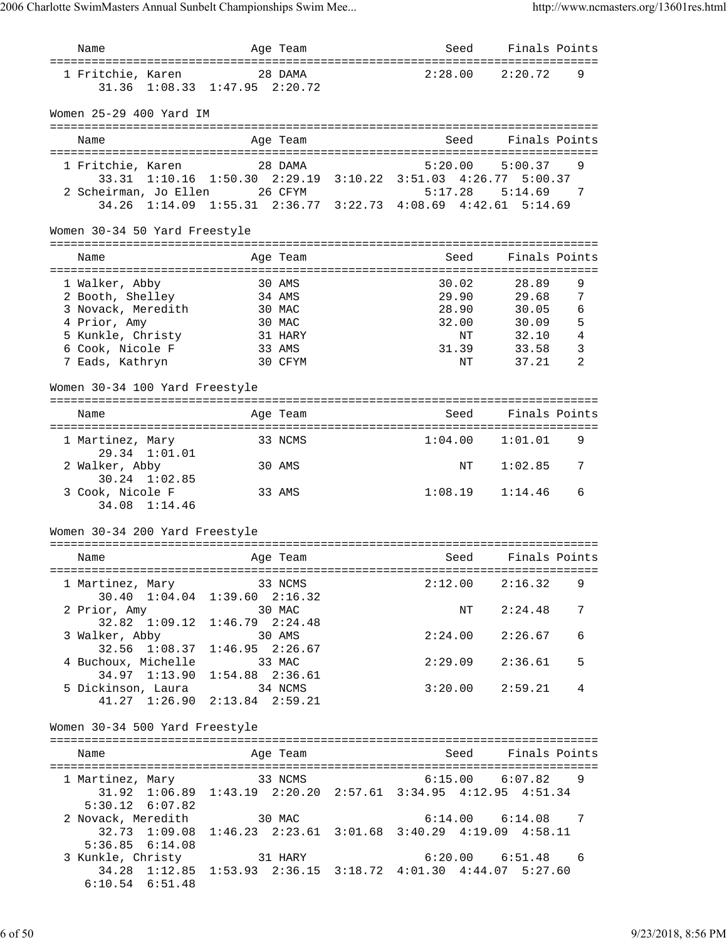| Name                                                                         | Age Team                                                                 | Seed                               | Finals Points         |                |
|------------------------------------------------------------------------------|--------------------------------------------------------------------------|------------------------------------|-----------------------|----------------|
| ======================================<br>1 Fritchie, Karen<br>31.36 1:08.33 | 28 DAMA<br>$1:47.95$ $2:20.72$                                           | :======================<br>2:28.00 | 2:20.72               | 9              |
| Women 25-29 400 Yard IM                                                      |                                                                          |                                    |                       |                |
| Name                                                                         | Age Team                                                                 | Seed                               | Finals Points         |                |
| 1 Fritchie, Karen<br>33.31 1:10.16                                           | 28 DAMA<br>1:50.30 2:29.19 3:10.22 3:51.03 4:26.77 5:00.37               | 5:20.00                            | 5:00.37               | 9              |
| 2 Scheirman, Jo Ellen                                                        | 26 CFYM<br>34.26 1:14.09 1:55.31 2:36.77 3:22.73 4:08.69 4:42.61 5:14.69 | 5:17.28                            | 5:14.69               | -7             |
| Women 30-34 50 Yard Freestyle                                                |                                                                          |                                    |                       |                |
| Name                                                                         | Age Team                                                                 | Seed                               | Finals Points         |                |
|                                                                              | ===============                                                          | ================================== |                       |                |
| 1 Walker, Abby<br>2 Booth, Shelley                                           | 30 AMS<br>34 AMS                                                         | 30.02<br>29.90                     | 28.89<br>29.68        | 9<br>7         |
| 3 Novack, Meredith                                                           | 30 MAC                                                                   | 28.90                              | 30.05                 | 6              |
| 4 Prior, Amy                                                                 | 30 MAC                                                                   | 32.00                              | 30.09                 | 5              |
| 5 Kunkle, Christy                                                            | 31 HARY                                                                  | NΤ                                 | 32.10                 | 4              |
| 6 Cook, Nicole F                                                             | 33 AMS                                                                   | 31.39                              | 33.58                 | 3              |
| 7 Eads, Kathryn                                                              | 30 CFYM                                                                  | NΤ                                 | 37.21                 | $\mathfrak{D}$ |
| Women 30-34 100 Yard Freestyle                                               |                                                                          |                                    |                       |                |
| Name                                                                         | Age Team                                                                 | Seed                               | Finals Points         |                |
| 1 Martinez, Mary<br>29.34 1:01.01                                            | ===========<br>33 NCMS                                                   | 1:04.00                            | 1:01.01               | 9              |
| 2 Walker, Abby<br>30.24 1:02.85                                              | 30 AMS                                                                   | ΝT                                 | 1:02.85               | 7              |
| 3 Cook, Nicole F<br>34.08 1:14.46                                            | 33 AMS                                                                   | 1:08.19                            | 1:14.46               | 6              |
| Women 30-34 200 Yard Freestyle                                               |                                                                          |                                    |                       |                |
|                                                                              |                                                                          |                                    |                       |                |
| Name                                                                         | Age Team                                                                 | Seed                               | Finals Points         |                |
| 1 Martinez, Mary 33 NCMS                                                     | 30.40 1:04.04 1:39.60 2:16.32                                            |                                    | $2:12.00$ $2:16.32$   | 9              |
| 2 Prior, Amy<br>$32.82 \quad 1:09.12$                                        | 30 MAC<br>$1:46.79$ $2:24.48$                                            |                                    | NT 2:24.48            | 7              |
| 3 Walker, Abby<br>32.56 1:08.37                                              | 30 AMS<br>$1:46.95$ $2:26.67$                                            |                                    | $2:24.00$ $2:26.67$   | 6              |
| 4 Buchoux, Michelle<br>34.97 1:13.90                                         | 33 MAC<br>$1:54.88$ $2:36.61$                                            |                                    | $2:29.09$ $2:36.61$   | 5              |
| 5 Dickinson, Laura                                                           | 34 NCMS<br>41.27 1:26.90 2:13.84 2:59.21                                 |                                    | $3:20.00$ $2:59.21$   | 4              |
| Women 30-34 500 Yard Freestyle                                               |                                                                          |                                    |                       |                |
| Name                                                                         | Aqe Team                                                                 |                                    | Seed Finals Points    |                |
| 1 Martinez, Mary 33 NCMS                                                     |                                                                          |                                    | $6:15.00$ $6:07.82$ 9 |                |
| $5:30.12$ $6:07.82$                                                          | 31.92 1:06.89 1:43.19 2:20.20 2:57.61 3:34.95 4:12.95 4:51.34            |                                    |                       |                |
| 2 Novack, Meredith 30 MAC                                                    |                                                                          |                                    | $6:14.00$ $6:14.08$ 7 |                |
| $5:36.85$ $6:14.08$                                                          | 32.73 1:09.08 1:46.23 2:23.61 3:01.68 3:40.29 4:19.09 4:58.11            |                                    |                       |                |
| 3 Kunkle, Christy 31 HARY                                                    | 34.28 1:12.85 1:53.93 2:36.15 3:18.72 4:01.30 4:44.07 5:27.60            |                                    | $6:20.00$ $6:51.48$ 6 |                |
| $6:10.54$ $6:51.48$                                                          |                                                                          |                                    |                       |                |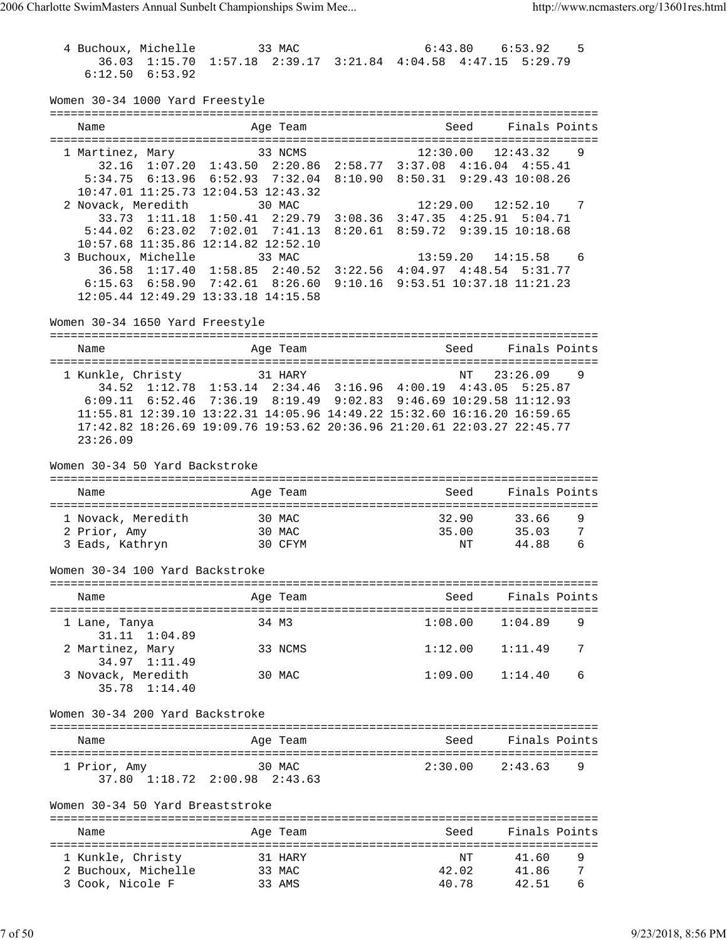| 4 Buchoux, Michelle                      | 33 MAC                                                                  | 6:43.80                  | 6:53.92               | 5 |
|------------------------------------------|-------------------------------------------------------------------------|--------------------------|-----------------------|---|
|                                          | 36.03 1:15.70 1:57.18 2:39.17 3:21.84 4:04.58 4:47.15 5:29.79           |                          |                       |   |
| $6:12.50$ $6:53.92$                      |                                                                         |                          |                       |   |
| Women 30-34 1000 Yard Freestyle          |                                                                         |                          |                       |   |
|                                          |                                                                         |                          |                       |   |
| Name                                     | Age Team                                                                | Seed                     | Finals Points         |   |
| 1 Martinez, Mary                         | 33 NCMS                                                                 |                          | $12:30.00$ $12:43.32$ | 9 |
|                                          | 32.16 1:07.20 1:43.50 2:20.86 2:58.77 3:37.08 4:16.04 4:55.41           |                          |                       |   |
|                                          | 5:34.75 6:13.96 6:52.93 7:32.04 8:10.90 8:50.31 9:29.43 10:08.26        |                          |                       |   |
|                                          | 10:47.01 11:25.73 12:04.53 12:43.32                                     |                          |                       |   |
| 2 Novack, Meredith                       | 30 MAC                                                                  | 12:29.00                 | 12:52.10              | 7 |
|                                          | 33.73 1:11.18 1:50.41 2:29.79 3:08.36 3:47.35 4:25.91 5:04.71           |                          |                       |   |
|                                          | 5:44.02 6:23.02 7:02.01 7:41.13 8:20.61                                 | 8:59.72 9:39.15 10:18.68 |                       |   |
|                                          | 10:57.68 11:35.86 12:14.82 12:52.10                                     |                          |                       |   |
| 3 Buchoux, Michelle                      | 33 MAC                                                                  | 13:59.20                 | $14:15.58$ 6          |   |
|                                          | 36.58 1:17.40 1:58.85 2:40.52 3:22.56 4:04.97 4:48.54 5:31.77           |                          |                       |   |
|                                          | 6:15.63 6:58.90 7:42.61 8:26.60 9:10.16 9:53.51 10:37.18 11:21.23       |                          |                       |   |
|                                          | 12:05.44 12:49.29 13:33.18 14:15.58                                     |                          |                       |   |
|                                          |                                                                         |                          |                       |   |
| Women 30-34 1650 Yard Freestyle          |                                                                         |                          |                       |   |
|                                          |                                                                         |                          |                       |   |
| Name                                     | Age Team                                                                |                          | Seed Finals Points    |   |
| 1 Kunkle, Christy 31 HARY                |                                                                         |                          | 23:26.09              |   |
|                                          | 34.52 1:12.78 1:53.14 2:34.46 3:16.96 4:00.19 4:43.05 5:25.87           | NΤ                       |                       | 9 |
|                                          |                                                                         |                          |                       |   |
|                                          | 6:09.11 6:52.46 7:36.19 8:19.49 9:02.83 9:46.69 10:29.58 11:12.93       |                          |                       |   |
|                                          | 11:55.81 12:39.10 13:22.31 14:05.96 14:49.22 15:32.60 16:16.20 16:59.65 |                          |                       |   |
|                                          | 17:42.82 18:26.69 19:09.76 19:53.62 20:36.96 21:20.61 22:03.27 22:45.77 |                          |                       |   |
| 23:26.09                                 |                                                                         |                          |                       |   |
| Women 30-34 50 Yard Backstroke           |                                                                         |                          |                       |   |
|                                          |                                                                         |                          |                       |   |
| Name                                     | Age Team                                                                | Seed                     | Finals Points         |   |
|                                          |                                                                         |                          |                       |   |
| 1 Novack, Meredith                       | 30 MAC                                                                  |                          | 32.90 33.66           | 9 |
| 2 Prior, Amy                             | 30 MAC                                                                  |                          | 35.00 35.03           | 7 |
| 3 Eads, Kathryn                          | 30 CFYM                                                                 | ΝT                       | 44.88                 | 6 |
|                                          |                                                                         |                          |                       |   |
| Women 30-34 100 Yard Backstroke          |                                                                         |                          |                       |   |
|                                          |                                                                         |                          |                       |   |
| Name                                     | Age Team                                                                | Seed                     | Finals Points         |   |
| 1 Lane, Tanya                            | 34 M3                                                                   | 1:08.00                  | 1:04.89               | 9 |
| 31.11 1:04.89                            |                                                                         |                          |                       |   |
| 2 Martinez, Mary                         | 33 NCMS                                                                 | 1:12.00                  | 1:11.49               | 7 |
| 34.97<br>1:11.49                         |                                                                         |                          |                       |   |
| 3 Novack, Meredith                       | 30 MAC                                                                  | 1:09.00                  | 1:14.40               | 6 |
| 35.78 1:14.40                            |                                                                         |                          |                       |   |
| Women 30-34 200 Yard Backstroke          |                                                                         |                          |                       |   |
|                                          |                                                                         |                          |                       |   |
| Name                                     | Age Team                                                                | Seed                     | Finals Points         |   |
|                                          |                                                                         |                          |                       |   |
| 1 Prior, Amy                             | 30 MAC                                                                  | 2:30.00                  | 2:43.63               | 9 |
|                                          | 37.80 1:18.72 2:00.98 2:43.63                                           |                          |                       |   |
|                                          |                                                                         |                          |                       |   |
| Women 30-34 50 Yard Breaststroke         |                                                                         |                          |                       |   |
| Name                                     | Age Team                                                                | Seed                     | Finals Points         |   |
|                                          |                                                                         |                          |                       |   |
|                                          |                                                                         |                          | 41.60                 | 9 |
| 1 Kunkle, Christy<br>2 Buchoux, Michelle | 31 HARY<br>33 MAC                                                       | NΤ<br>42.02              | 41.86                 | 7 |
| 3 Cook, Nicole F                         | 33 AMS                                                                  | 40.78                    | 42.51                 | 6 |
|                                          |                                                                         |                          |                       |   |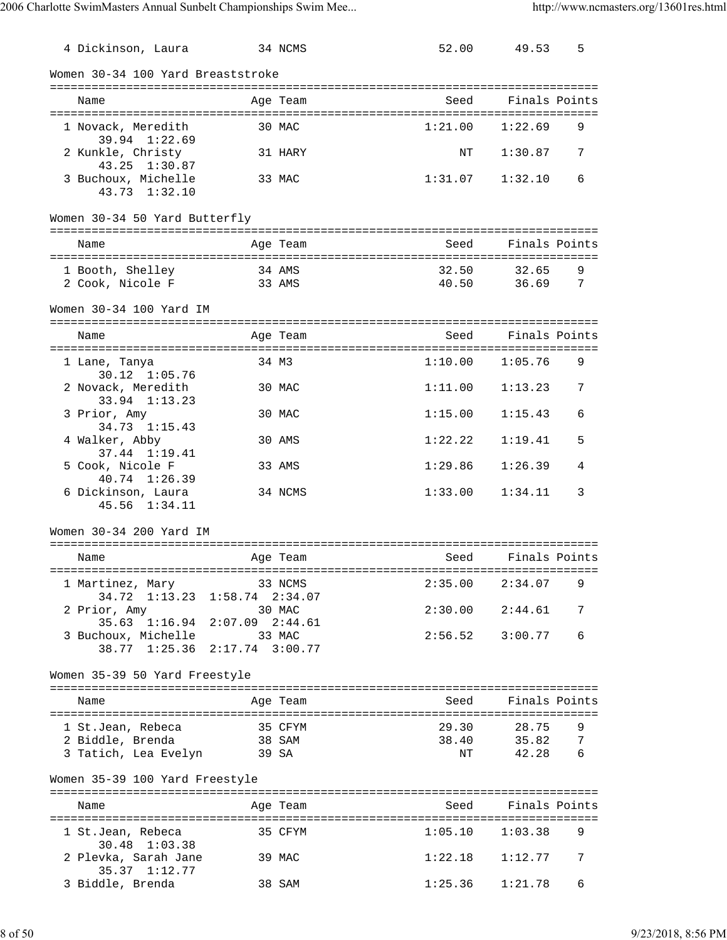| 4 Dickinson, Laura                                                                           |                   | 34 NCMS          | 52.00          | 49.53                   | 5      |
|----------------------------------------------------------------------------------------------|-------------------|------------------|----------------|-------------------------|--------|
| Women 30-34 100 Yard Breaststroke                                                            |                   |                  |                |                         |        |
| Name                                                                                         |                   | Age Team         | Seed           | Finals Points           |        |
| 1 Novack, Meredith<br>39.94 1:22.69                                                          |                   | 30 MAC           | 1:21.00        | 1:22.69                 | 9      |
| 2 Kunkle, Christy<br>43.25 1:30.87                                                           |                   | 31 HARY          | NΤ             | 1:30.87                 | 7      |
| 3 Buchoux, Michelle<br>43.73 1:32.10                                                         |                   | 33 MAC           | 1:31.07        | 1:32.10                 | 6      |
| Women 30-34 50 Yard Butterfly                                                                |                   |                  |                |                         |        |
| Name                                                                                         |                   | Age Team         | Seed           | Finals Points           |        |
| 1 Booth, Shelley<br>2 Cook, Nicole F                                                         |                   | 34 AMS<br>33 AMS | 32.50<br>40.50 | 32.65<br>36.69          | 9<br>7 |
| Women 30-34 100 Yard IM                                                                      |                   |                  |                |                         |        |
| Name                                                                                         |                   | Age Team         | Seed           | Finals Points           |        |
| 1 Lane, Tanya<br>30.12 1:05.76                                                               |                   | 34 M3            | 1:10.00        | 1:05.76                 | 9      |
| 2 Novack, Meredith<br>33.94 1:13.23                                                          |                   | 30 MAC           | 1:11.00        | 1:13.23                 | 7      |
| 3 Prior, Amy<br>34.73 1:15.43                                                                |                   | 30 MAC           | 1:15.00        | 1:15.43                 | 6      |
| 4 Walker, Abby<br>37.44 1:19.41                                                              |                   | 30 AMS           | 1:22.22        | 1:19.41                 | 5      |
| 5 Cook, Nicole F<br>40.74 1:26.39                                                            |                   | 33 AMS           | 1:29.86        | 1:26.39                 | 4      |
| 6 Dickinson, Laura<br>45.56 1:34.11                                                          |                   | 34 NCMS          | 1:33.00        | 1:34.11                 | 3      |
| Women 30-34 200 Yard IM                                                                      |                   |                  |                |                         |        |
| Name                                                                                         |                   | Age Team         | Seed           | Finals Points           |        |
| 1 Martinez, Mary 33 NCMS<br>34.72 1:13.23 1:58.74 2:34.07                                    | =============     |                  |                | $2:35.00$ $2:34.07$     | 9      |
| 2 Prior, Amy                                                                                 | 30 MAC            |                  |                | $2:30.00$ $2:44.61$     | 7      |
| 35.63 1:16.94 2:07.09 2:44.61<br>3 Buchoux, Michelle 33 MAC<br>38.77 1:25.36 2:17.74 3:00.77 |                   |                  |                | $2:56.52$ $3:00.77$     | 6      |
| Women 35-39 50 Yard Freestyle                                                                |                   |                  |                |                         |        |
| Name                                                                                         |                   | Age Team         | Seed           | Finals Points           |        |
| 1 St.Jean, Rebeca                                                                            | 35 CFYM<br>38 SAM |                  |                | 29.30 28.75             | 9      |
| 2 Biddle, Brenda<br>3 Tatich, Lea Evelyn 39 SA                                               |                   |                  |                | 38.40 35.82<br>NT 42.28 | 7<br>6 |
| Women 35-39 100 Yard Freestyle                                                               |                   |                  |                |                         |        |
| Name                                                                                         |                   | Age Team         |                | Seed Finals Points      |        |
| 1 St.Jean, Rebeca                                                                            | 35 CFYM           |                  |                | $1:05.10$ $1:03.38$     | 9      |
| 30.48 1:03.38<br>2 Plevka, Sarah Jane 39 MAC                                                 |                   |                  |                | $1:22.18$ $1:12.77$     | 7      |
| 35.37 1:12.77<br>3 Biddle, Brenda                                                            | 38 SAM            |                  |                | $1:25.36$ $1:21.78$     | 6      |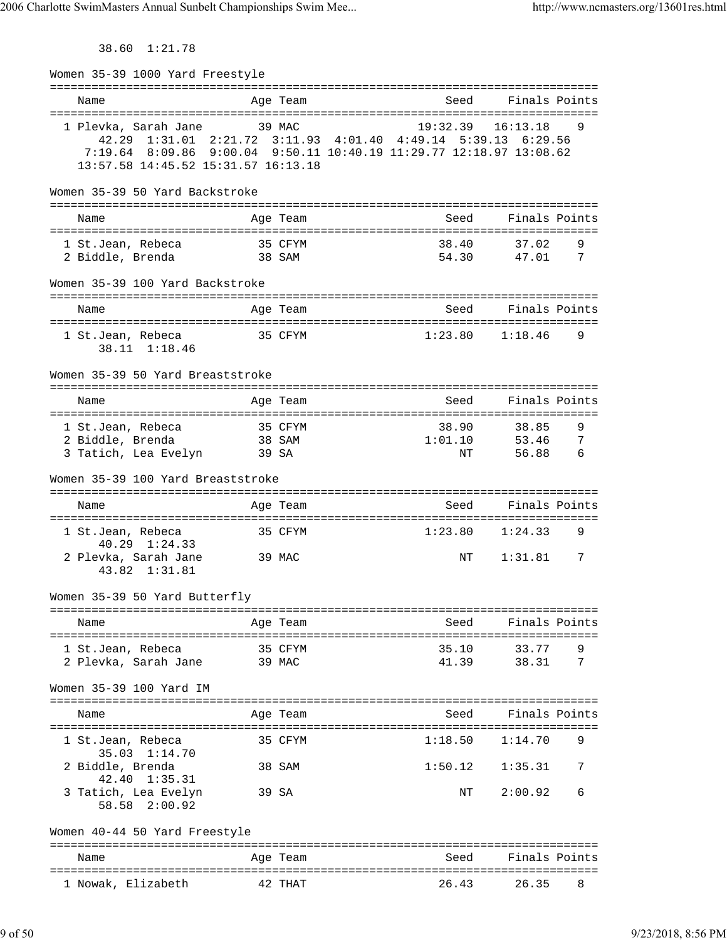38.60 1:21.78

| Women 35-39 1000 Yard Freestyle                               |                            |                                                                                                                                                  |                                        |
|---------------------------------------------------------------|----------------------------|--------------------------------------------------------------------------------------------------------------------------------------------------|----------------------------------------|
| Name                                                          | Age Team                   | Seed                                                                                                                                             | Finals Points                          |
| 1 Plevka, Sarah Jane<br>13:57.58 14:45.52 15:31.57 16:13.18   | 39 MAC                     | 19:32.39<br>42.29 1:31.01 2:21.72 3:11.93 4:01.40 4:49.14 5:39.13 6:29.56<br>7:19.64 8:09.86 9:00.04 9:50.11 10:40.19 11:29.77 12:18.97 13:08.62 | 16:13.18<br>9                          |
| Women 35-39 50 Yard Backstroke                                |                            |                                                                                                                                                  |                                        |
| Name                                                          | Age Team                   | Seed                                                                                                                                             | Finals Points                          |
| 1 St.Jean, Rebeca<br>2 Biddle, Brenda                         | 35 CFYM<br>38 SAM          | 38.40<br>54.30                                                                                                                                   | 37.02<br>9<br>47.01<br>7               |
| Women 35-39 100 Yard Backstroke                               |                            |                                                                                                                                                  |                                        |
| Name                                                          | Age Team                   | Seed                                                                                                                                             | Finals Points                          |
| 1 St.Jean, Rebeca<br>38.11 1:18.46                            | 35 CFYM                    | 1:23.80                                                                                                                                          | 1:18.46<br>9                           |
| Women 35-39 50 Yard Breaststroke                              |                            |                                                                                                                                                  |                                        |
| Name                                                          | Age Team                   | Seed                                                                                                                                             | Finals Points                          |
| 1 St.Jean, Rebeca<br>2 Biddle, Brenda<br>3 Tatich, Lea Evelyn | 35 CFYM<br>38 SAM<br>39 SA | 38.90<br>1:01.10<br>ΝT                                                                                                                           | 9<br>38.85<br>7<br>53.46<br>56.88<br>6 |
| Women 35-39 100 Yard Breaststroke                             |                            |                                                                                                                                                  |                                        |
| Name                                                          | Age Team                   | Seed                                                                                                                                             | Finals Points                          |
| 1 St.Jean, Rebeca<br>40.29 1:24.33                            | 35 CFYM                    | 1:23.80                                                                                                                                          | 1:24.33<br>9                           |
| 2 Plevka, Sarah Jane<br>43.82 1:31.81                         | 39 MAC                     | ΝT                                                                                                                                               | 1:31.81<br>7                           |
| Women 35-39 50 Yard Butterfly                                 |                            |                                                                                                                                                  |                                        |
| Name                                                          | Age Team                   | Seed                                                                                                                                             | Finals Points                          |
| 1 St.Jean, Rebeca<br>2 Plevka, Sarah Jane                     | 35 CFYM<br>39 MAC          | 35.10<br>41.39                                                                                                                                   | 33.77<br>9<br>7<br>38.31               |
| Women 35-39 100 Yard IM                                       |                            |                                                                                                                                                  |                                        |
| Name                                                          | Age Team                   | Seed                                                                                                                                             | Finals Points                          |
| 1 St.Jean, Rebeca<br>$35.03 \quad 1:14.70$                    | 35 CFYM                    | 1:18.50                                                                                                                                          | 1:14.70<br>9                           |
| 2 Biddle, Brenda<br>42.40 1:35.31                             | 38 SAM                     | 1:50.12                                                                                                                                          | 1:35.31<br>7                           |
| 3 Tatich, Lea Evelyn<br>58.58 2:00.92                         | 39 SA                      | NΤ                                                                                                                                               | 2:00.92<br>6                           |
| Women 40-44 50 Yard Freestyle                                 |                            |                                                                                                                                                  |                                        |
| Name                                                          | Age Team                   | Seed                                                                                                                                             | Finals Points                          |
| 1 Nowak, Elizabeth                                            | 42 THAT                    | 26.43                                                                                                                                            | 26.35<br>8                             |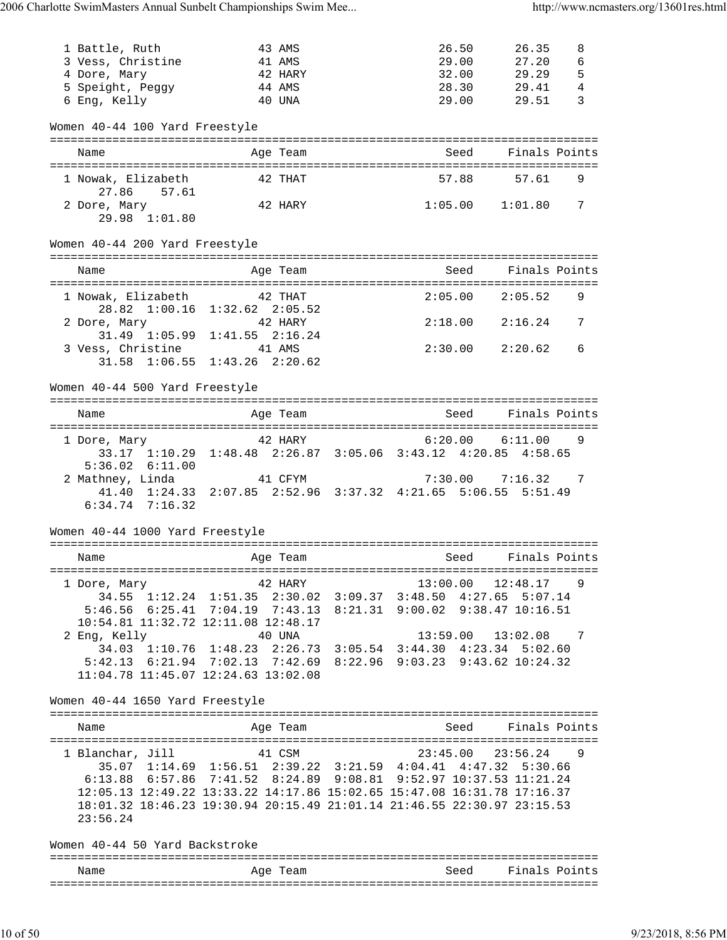| 1 Battle, Ruth                      | 43 AMS                                                                                                                                             | 26.50                 | 26.35<br>8                 |  |
|-------------------------------------|----------------------------------------------------------------------------------------------------------------------------------------------------|-----------------------|----------------------------|--|
| 3 Vess, Christine                   | 41 AMS                                                                                                                                             | 29.00                 | 6<br>27.20                 |  |
| 4 Dore, Mary                        | 42 HARY                                                                                                                                            | 32.00                 | 5<br>29.29<br>4            |  |
| 5 Speight, Peggy<br>6 Eng, Kelly    | 44 AMS<br>40 UNA                                                                                                                                   | 28.30<br>29.00        | 29.41<br>3<br>29.51        |  |
|                                     |                                                                                                                                                    |                       |                            |  |
| Women 40-44 100 Yard Freestyle      |                                                                                                                                                    |                       |                            |  |
| Name                                | Age Team                                                                                                                                           | Seed                  | Finals Points              |  |
| 1 Nowak, Elizabeth                  | 42 THAT                                                                                                                                            |                       |                            |  |
| 27.86<br>57.61                      |                                                                                                                                                    | 57.88                 | 57.61<br>9                 |  |
| 2 Dore, Mary<br>29.98 1:01.80       | 42 HARY                                                                                                                                            | $1:05.00$ $1:01.80$   | 7                          |  |
| Women 40-44 200 Yard Freestyle      |                                                                                                                                                    |                       |                            |  |
|                                     |                                                                                                                                                    |                       |                            |  |
| Name                                | Age Team                                                                                                                                           | Seed                  | Finals Points              |  |
| 1 Nowak, Elizabeth 42 THAT          | 28.82 1:00.16 1:32.62 2:05.52                                                                                                                      | 2:05.00               | 9<br>2:05.52               |  |
| 2 Dore, Mary                        | 42 HARY<br>31.49 1:05.99 1:41.55 2:16.24                                                                                                           |                       | 2:18.00 2:16.24<br>7       |  |
| 3 Vess, Christine                   | 41 AMS                                                                                                                                             | $2:30.00$ $2:20.62$   | 6                          |  |
|                                     | 31.58 1:06.55 1:43.26 2:20.62                                                                                                                      |                       |                            |  |
| Women 40-44 500 Yard Freestyle      |                                                                                                                                                    |                       |                            |  |
| Name                                | Age Team                                                                                                                                           | Seed                  | Finals Points              |  |
| 1 Dore, Mary                        | 42 HARY                                                                                                                                            | $6:20.00$ $6:11.00$   | 9                          |  |
|                                     | 33.17 1:10.29 1:48.48 2:26.87 3:05.06 3:43.12 4:20.85 4:58.65                                                                                      |                       |                            |  |
| $5:36.02$ $6:11.00$                 |                                                                                                                                                    |                       |                            |  |
| 2 Mathney, Linda                    | 41 CFYM                                                                                                                                            | $7:30.00$ $7:16.32$   | 7                          |  |
| $6:34.74$ $7:16.32$                 | 41.40 1:24.33 2:07.85 2:52.96 3:37.32 4:21.65 5:06.55 5:51.49                                                                                      |                       |                            |  |
|                                     |                                                                                                                                                    |                       |                            |  |
| Women 40-44 1000 Yard Freestyle     |                                                                                                                                                    |                       |                            |  |
| Name                                | Age Team                                                                                                                                           | Seed                  | Finals Points              |  |
|                                     |                                                                                                                                                    |                       |                            |  |
| 1 Dore, Mary                        | 42 HARY<br>34.55 1:12.24 1:51.35 2:30.02 3:09.37 3:48.50 4:27.65 5:07.14                                                                           |                       | $13:00.00$ $12:48.17$<br>9 |  |
|                                     | 5:46.56 6:25.41 7:04.19 7:43.13 8:21.31 9:00.02 9:38.47 10:16.51                                                                                   |                       |                            |  |
|                                     | 10:54.81 11:32.72 12:11.08 12:48.17                                                                                                                |                       |                            |  |
| 2 Eng, Kelly                        | 40 UNA                                                                                                                                             | $13:59.00$ $13:02.08$ | $\overline{7}$             |  |
|                                     | 34.03 1:10.76 1:48.23 2:26.73 3:05.54 3:44.30 4:23.34 5:02.60                                                                                      |                       |                            |  |
|                                     | 5:42.13 6:21.94 7:02.13 7:42.69 8:22.96 9:03.23 9:43.62 10:24.32                                                                                   |                       |                            |  |
| 11:04.78 11:45.07 12:24.63 13:02.08 |                                                                                                                                                    |                       |                            |  |
| Women 40-44 1650 Yard Freestyle     |                                                                                                                                                    |                       |                            |  |
| Name                                | Age Team                                                                                                                                           | Seed                  | Finals Points              |  |
| 1 Blanchar, Jill 41 CSM             |                                                                                                                                                    |                       | $23:45.00$ $23:56.24$ 9    |  |
|                                     | 35.07 1:14.69 1:56.51 2:39.22 3:21.59 4:04.41 4:47.32 5:30.66                                                                                      |                       |                            |  |
|                                     | 6:13.88 6:57.86 7:41.52 8:24.89 9:08.81 9:52.97 10:37.53 11:21.24                                                                                  |                       |                            |  |
|                                     | 12:05.13 12:49.22 13:33.22 14:17.86 15:02.65 15:47.08 16:31.78 17:16.37<br>18:01.32 18:46.23 19:30.94 20:15.49 21:01.14 21:46.55 22:30.97 23:15.53 |                       |                            |  |
| 23:56.24                            |                                                                                                                                                    |                       |                            |  |
| Women 40-44 50 Yard Backstroke      |                                                                                                                                                    |                       |                            |  |
| Name                                | Age Team                                                                                                                                           |                       | Seed Finals Points         |  |
|                                     |                                                                                                                                                    |                       |                            |  |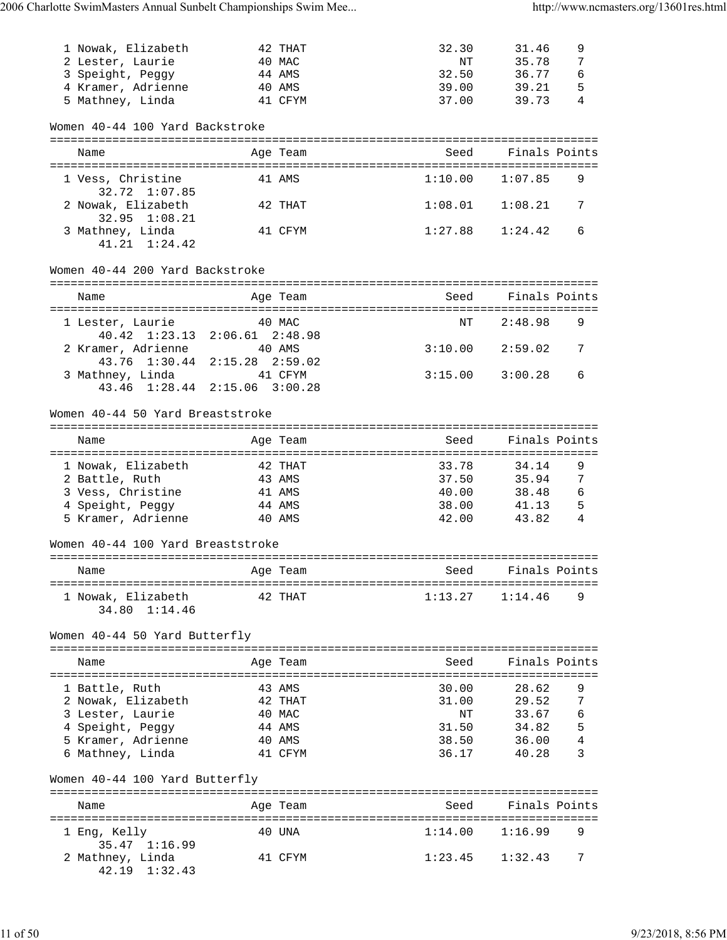| 1 Nowak, Elizabeth<br>2 Lester, Laurie<br>3 Speight, Peggy                           |         | 42 THAT<br>40 MAC<br>44 AMS | 32.30<br>ΝT<br>32.50 | 31.46<br>35.78<br>36.77 | 9<br>7<br>6   |
|--------------------------------------------------------------------------------------|---------|-----------------------------|----------------------|-------------------------|---------------|
| 4 Kramer, Adrienne<br>5 Mathney, Linda                                               |         | 40 AMS<br>41 CFYM           | 39.00<br>37.00       | 39.21<br>39.73          | 5<br>4        |
| Women 40-44 100 Yard Backstroke                                                      |         |                             |                      |                         |               |
| Name                                                                                 |         | Age Team                    | Seed                 |                         | Finals Points |
| 1 Vess, Christine<br>32.72 1:07.85                                                   |         | 41 AMS                      | 1:10.00              | 1:07.85                 | 9             |
| 2 Nowak, Elizabeth<br>32.95 1:08.21                                                  |         | 42 THAT                     | 1:08.01              | 1:08.21                 | 7             |
| 3 Mathney, Linda<br>$41.21 \quad 1:24.42$                                            |         | 41 CFYM                     | 1:27.88              | 1:24.42                 | 6             |
| Women 40-44 200 Yard Backstroke                                                      |         |                             |                      |                         |               |
| Name                                                                                 |         | Age Team                    | Seed                 |                         | Finals Points |
| 1 Lester, Laurie                                                                     |         | 40 MAC                      | NΤ                   | 2:48.98                 | 9             |
| 40.42 1:23.13 2:06.61 2:48.98<br>2 Kramer, Adrienne<br>43.76 1:30.44 2:15.28 2:59.02 | 40 AMS  |                             |                      | $3:10.00$ $2:59.02$     | 7             |
| 3 Mathney, Linda<br>43.46 1:28.44 2:15.06 3:00.28                                    | 41 CFYM |                             | 3:15.00              | 3:00.28                 | 6             |
| Women 40-44 50 Yard Breaststroke                                                     |         |                             |                      |                         |               |
| Name                                                                                 |         | Age Team                    | Seed                 |                         | Finals Points |
| 1 Nowak, Elizabeth                                                                   |         | 42 THAT                     | 33.78                | 34.14                   | 9             |
| 2 Battle, Ruth                                                                       |         | 43 AMS                      | 37.50                | 35.94                   | 7             |
| 3 Vess, Christine                                                                    |         | 41 AMS                      | 40.00                | 38.48                   | 6             |
| 4 Speight, Peggy                                                                     |         | 44 AMS                      | 38.00                | 41.13                   | 5             |
| 5 Kramer, Adrienne                                                                   |         | 40 AMS                      | 42.00                | 43.82                   | 4             |
| Women 40-44 100 Yard Breaststroke                                                    |         |                             |                      |                         |               |
| Name                                                                                 |         | Age Team                    | Seed                 |                         | Finals Points |
| 1 Nowak, Elizabeth<br>34.80 1:14.46                                                  |         | 42 THAT                     | 1:13.27              | 1:14.46                 | 9             |
| Women 40-44 50 Yard Butterfly                                                        |         |                             |                      |                         |               |
| Name                                                                                 |         | Age Team                    | Seed                 |                         | Finals Points |
| 1 Battle, Ruth                                                                       |         | 43 AMS                      | 30.00                | 28.62                   | 9             |
| 2 Nowak, Elizabeth                                                                   |         | 42 THAT                     | 31.00                | 29.52                   | 7             |
| 3 Lester, Laurie                                                                     |         | 40 MAC                      | NΤ                   | 33.67                   | 6             |
| 4 Speight, Peggy                                                                     |         | 44 AMS                      | 31.50                | 34.82                   | 5             |
| 5 Kramer, Adrienne                                                                   |         | 40 AMS                      | 38.50                | 36.00                   | 4             |
| 6 Mathney, Linda                                                                     |         | 41 CFYM                     | 36.17                | 40.28                   | 3             |
| Women 40-44 100 Yard Butterfly                                                       |         |                             |                      |                         |               |
| Name                                                                                 |         | Age Team                    |                      | Seed Finals Points      |               |
| 1 Eng, Kelly<br>35.47 1:16.99                                                        |         | 40 UNA                      | 1:14.00              | 1:16.99                 | 9             |
| 2 Mathney, Linda<br>42.19 1:32.43                                                    |         | 41 CFYM                     | 1:23.45              | 1:32.43                 | 7             |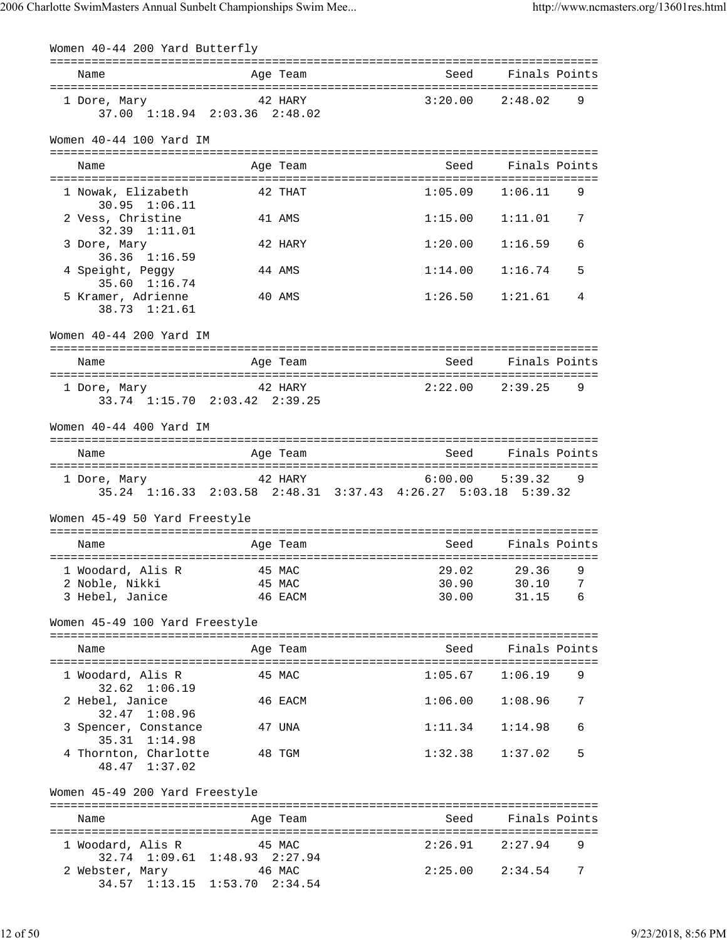| Women 40-44 200 Yard Butterfly                          |                                                                                                         |                     |                                |
|---------------------------------------------------------|---------------------------------------------------------------------------------------------------------|---------------------|--------------------------------|
| Name                                                    | Age Team                                                                                                |                     | Seed Finals Points             |
|                                                         | 1 Dore, Mary 12 HARY<br>37.00 1:18.94 2:03.36 2:48.02                                                   |                     | $3:20.00$ $2:48.02$<br>9       |
| Women 40-44 100 Yard IM                                 |                                                                                                         |                     |                                |
| Name                                                    | Age Team                                                                                                |                     | Seed Finals Points             |
| 1 Nowak, Elizabeth<br>$30.95$ $1:06.11$                 | 42 THAT                                                                                                 |                     | $1:05.09$ $1:06.11$<br>9       |
| 2 Vess, Christine<br>32.39 1:11.01                      | 41 AMS                                                                                                  | 1:15.00             | 7<br>1:11.01                   |
| 3 Dore, Mary<br>36.36 1:16.59                           | 42 HARY                                                                                                 | 1:20.00             | 6<br>1:16.59                   |
| 4 Speight, Peggy<br>35.60 1:16.74                       | 44 AMS                                                                                                  | 1:14.00             | 1:16.74<br>5                   |
| 5 Kramer, Adrienne<br>38.73 1:21.61                     | 40 AMS                                                                                                  | 1:26.50             | 1:21.61<br>4                   |
| Women 40-44 200 Yard IM                                 |                                                                                                         |                     |                                |
| Name                                                    | Age Team                                                                                                | seed Seed           | Finals Points                  |
| 1 Dore, Mary                                            | 42 HARY<br>33.74 1:15.70 2:03.42 2:39.25                                                                |                     | $2:22.00$ $2:39.25$<br>9       |
| Women 40-44 400 Yard IM                                 |                                                                                                         |                     |                                |
| Name                                                    | Age Team                                                                                                |                     | Seed Finals Points             |
|                                                         | 1 Dore, Mary 42 HARY 6:00.00 5:39.32 9<br>35.24 1:16.33 2:03.58 2:48.31 3:37.43 4:26.27 5:03.18 5:39.32 |                     |                                |
| Women 45-49 50 Yard Freestyle                           |                                                                                                         |                     |                                |
| Name                                                    | Age Team                                                                                                |                     | Seed Finals Points             |
| 2 Noble, Nikki<br>3 Hebel, Janice                       | 45 MAC<br>46 EACM                                                                                       | 30.90               | 30.10<br>7<br>30.00 31.15<br>6 |
| Women 45-49 100 Yard Freestyle                          |                                                                                                         |                     |                                |
| Name                                                    | Age Team                                                                                                |                     | Seed Finals Points             |
| 1 Woodard, Alis R                                       | 45 MAC                                                                                                  | $1:05.67$ $1:06.19$ | 9                              |
| $32.62 \quad 1:06.19$<br>2 Hebel, Janice                | 46 EACM                                                                                                 | 1:06.00             | 1:08.96<br>7                   |
| 32.47 1:08.96<br>3 Spencer, Constance                   | 47 UNA                                                                                                  | 1:11.34             | 1:14.98<br>6                   |
| 35.31 1:14.98<br>4 Thornton, Charlotte<br>48.47 1:37.02 | 48 TGM                                                                                                  | 1:32.38             | 5<br>1:37.02                   |
| Women 45-49 200 Yard Freestyle                          |                                                                                                         |                     |                                |
| Name                                                    | Age Team                                                                                                |                     | Seed Finals Points             |
| 1 Woodard, Alis R 45 MAC                                | 32.74 1:09.61 1:48.93 2:27.94                                                                           | 2:26.91             | 2:27.94<br>9                   |
| 2 Webster, Mary 646 MAC                                 | 34.57 1:13.15 1:53.70 2:34.54                                                                           |                     | $2:25.00$ $2:34.54$<br>7       |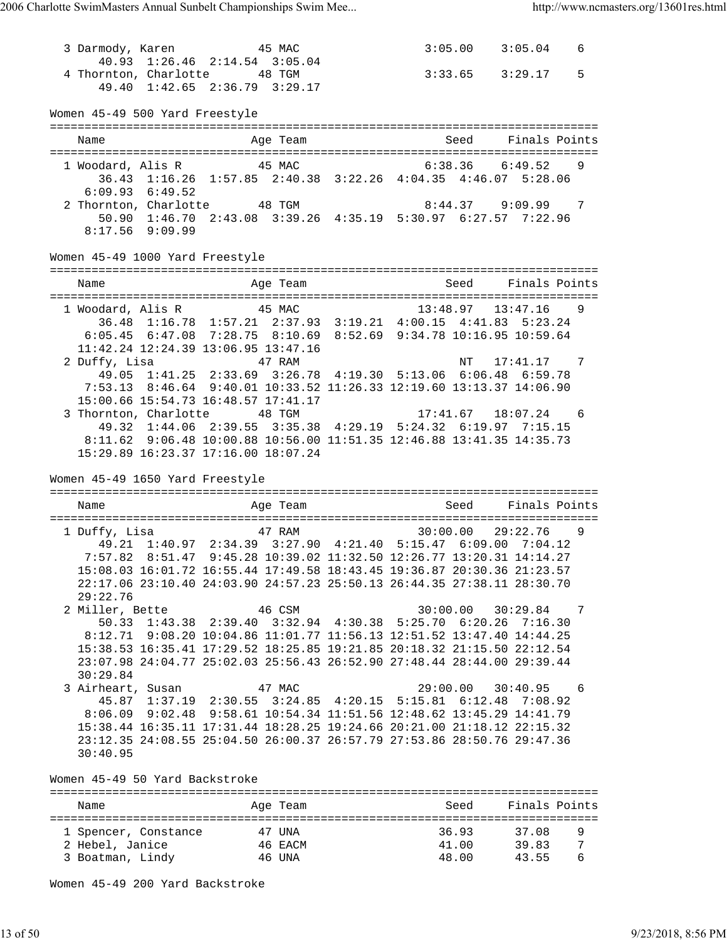3 Darmody, Karen 45 MAC 3:05.00 3:05.04 6 40.93 1:26.46 2:14.54 3:05.04 4 Thornton, Charlotte 48 TGM 3:33.65 3:29.17 5 49.40 1:42.65 2:36.79 3:29.17 Women 45-49 500 Yard Freestyle =============================================================================== Name Age Team Seed Finals Points =============================================================================== 1 Woodard, Alis R 45 MAC 6:38.36 6:49.52 9 36.43 1:16.26 1:57.85 2:40.38 3:22.26 4:04.35 4:46.07 5:28.06 6:09.93 6:49.52 2 Thornton, Charlotte 48 TGM 8:44.37 9:09.99 7 50.90 1:46.70 2:43.08 3:39.26 4:35.19 5:30.97 6:27.57 7:22.96 8:17.56 9:09.99 Women 45-49 1000 Yard Freestyle =============================================================================== Name Age Team Seed Finals Points =============================================================================== 1 Woodard, Alis R 45 MAC 13:48.97 13:47.16 9 36.48 1:16.78 1:57.21 2:37.93 3:19.21 4:00.15 4:41.83 5:23.24 6:05.45 6:47.08 7:28.75 8:10.69 8:52.69 9:34.78 10:16.95 10:59.64 11:42.24 12:24.39 13:06.95 13:47.16 2 Duffy, Lisa 47 RAM NT 17:41.17 7 49.05 1:41.25 2:33.69 3:26.78 4:19.30 5:13.06 6:06.48 6:59.78 7:53.13 8:46.64 9:40.01 10:33.52 11:26.33 12:19.60 13:13.37 14:06.90 15:00.66 15:54.73 16:48.57 17:41.17 3 Thornton, Charlotte 48 TGM 17:41.67 18:07.24 6 49.32 1:44.06 2:39.55 3:35.38 4:29.19 5:24.32 6:19.97 7:15.15 8:11.62 9:06.48 10:00.88 10:56.00 11:51.35 12:46.88 13:41.35 14:35.73 15:29.89 16:23.37 17:16.00 18:07.24 Women 45-49 1650 Yard Freestyle =============================================================================== Name **Age Team** Age Team Seed Finals Points =============================================================================== 1 Duffy, Lisa 47 RAM 30:00.00 29:22.76 9 49.21 1:40.97 2:34.39 3:27.90 4:21.40 5:15.47 6:09.00 7:04.12 7:57.82 8:51.47 9:45.28 10:39.02 11:32.50 12:26.77 13:20.31 14:14.27 15:08.03 16:01.72 16:55.44 17:49.58 18:43.45 19:36.87 20:30.36 21:23.57 22:17.06 23:10.40 24:03.90 24:57.23 25:50.13 26:44.35 27:38.11 28:30.70 29:22.76 2 Miller, Bette 46 CSM 30:00.00 30:29.84 7 50.33 1:43.38 2:39.40 3:32.94 4:30.38 5:25.70 6:20.26 7:16.30 8:12.71 9:08.20 10:04.86 11:01.77 11:56.13 12:51.52 13:47.40 14:44.25 15:38.53 16:35.41 17:29.52 18:25.85 19:21.85 20:18.32 21:15.50 22:12.54 23:07.98 24:04.77 25:02.03 25:56.43 26:52.90 27:48.44 28:44.00 29:39.44 30:29.84<br>3 Airheart, Susan 3 Airheart, Susan 47 MAC 29:00.00 30:40.95 6 45.87 1:37.19 2:30.55 3:24.85 4:20.15 5:15.81 6:12.48 7:08.92 8:06.09 9:02.48 9:58.61 10:54.34 11:51.56 12:48.62 13:45.29 14:41.79 15:38.44 16:35.11 17:31.44 18:28.25 19:24.66 20:21.00 21:18.12 22:15.32 23:12.35 24:08.55 25:04.50 26:00.37 26:57.79 27:53.86 28:50.76 29:47.36 30:40.95 Women 45-49 50 Yard Backstroke =============================================================================== Name **Age Team** Seed Finals Points Name =============================================================================== 1 Spencer, Constance 47 UNA 36.93 37.08 9 2 Hebel, Janice 46 EACM 41.00 39.83 7 3 Boatman, Lindy 46 UNA 48.00 43.55 6

Women 45-49 200 Yard Backstroke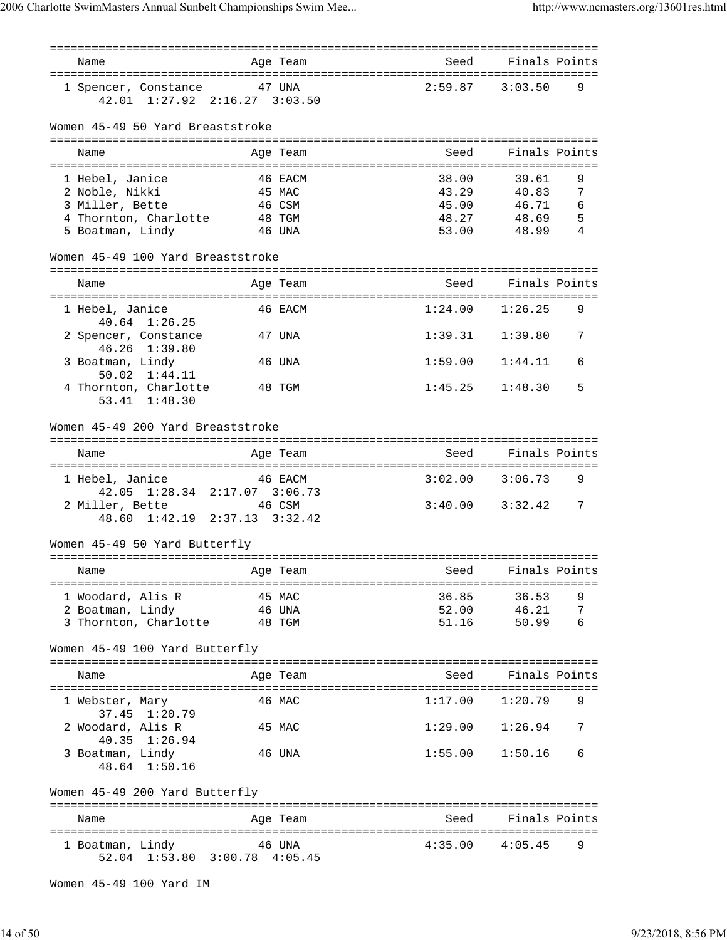| Name                                                         | Age Team                      | Seed                                | Finals Points |
|--------------------------------------------------------------|-------------------------------|-------------------------------------|---------------|
| 1 Spencer, Constance 47 UNA<br>42.01 1:27.92 2:16.27 3:03.50 |                               | 2:59.87                             | 3:03.50<br>9  |
| Women 45-49 50 Yard Breaststroke                             |                               |                                     |               |
| Name                                                         | Age Team                      | Seed                                | Finals Points |
|                                                              |                               |                                     |               |
| 1 Hebel, Janice                                              | 46 EACM                       | 38.00                               | 9<br>39.61    |
| 2 Noble, Nikki                                               | 45 MAC                        | 43.29                               | 7<br>40.83    |
| 3 Miller, Bette                                              | 46 CSM                        | 45.00                               | 46.71<br>6    |
| 4 Thornton, Charlotte                                        | 48 TGM                        | 48.27                               | 48.69<br>5    |
| 5 Boatman, Lindy                                             | 46 UNA                        | 53.00                               | 4<br>48.99    |
| Women 45-49 100 Yard Breaststroke                            |                               |                                     |               |
|                                                              |                               |                                     |               |
| Name                                                         | Age Team                      | Seed                                | Finals Points |
|                                                              |                               |                                     |               |
| 1 Hebel, Janice<br>$40.64$ $1:26.25$                         | 46 EACM                       | 1:24.00                             | 1:26.25<br>9  |
| 2 Spencer, Constance<br>46.26 1:39.80                        | 47 UNA                        | 1:39.31                             | 1:39.80<br>7  |
| 3 Boatman, Lindy                                             | 46 UNA                        | 1:59.00                             | 1:44.11<br>6  |
| 50.02 1:44.11<br>4 Thornton, Charlotte                       | 48 TGM                        | 1:45.25                             | 5<br>1:48.30  |
| 53.41 1:48.30                                                |                               |                                     |               |
| Women 45-49 200 Yard Breaststroke                            |                               |                                     |               |
| Name                                                         | Age Team                      | Seed                                | Finals Points |
| 1 Hebel, Janice                                              | 46 EACM                       | 3:02.00                             | 3:06.73<br>9  |
| $42.05$ $1:28.34$<br>2 Miller, Bette                         | $2:17.07$ $3:06.73$<br>46 CSM | $3:40.00$ $3:32.42$                 | 7             |
| 48.60 1:42.19 2:37.13 3:32.42                                |                               |                                     |               |
| Women 45-49 50 Yard Butterfly                                |                               | =================================== |               |
| Name                                                         | Age Team                      | Seed                                | Finals Points |
| 1 Woodard, Alis R                                            | 45 MAC                        | 36.85                               | 9<br>36.53    |
| 2 Boatman, Lindy                                             | 46 UNA                        | 52.00                               | 46.21<br>7    |
| 3 Thornton, Charlotte 48 TGM                                 |                               | 51.16                               | 50.99<br>6    |
| Women 45-49 100 Yard Butterfly                               |                               |                                     |               |
| Name                                                         | Age Team                      | Seed                                | Finals Points |
| 1 Webster, Mary                                              | 46 MAC                        | 1:17.00                             | 1:20.79<br>9  |
| 37.45 1:20.79<br>2 Woodard, Alis R                           | 45 MAC                        | 1:29.00                             | 1:26.94<br>7  |
| 40.35 1:26.94<br>3 Boatman, Lindy                            | 46 UNA                        | 1:55.00                             | 1:50.16<br>6  |
| 48.64 1:50.16                                                |                               |                                     |               |
| Women 45-49 200 Yard Butterfly                               |                               |                                     |               |
| Name                                                         | Age Team                      | Seed                                | Finals Points |
|                                                              |                               |                                     |               |
| 1 Boatman, Lindy<br>52.04 1:53.80 3:00.78 4:05.45            | 46 UNA                        | 4:35.00                             | 9<br>4:05.45  |
|                                                              |                               |                                     |               |

Women 45-49 100 Yard IM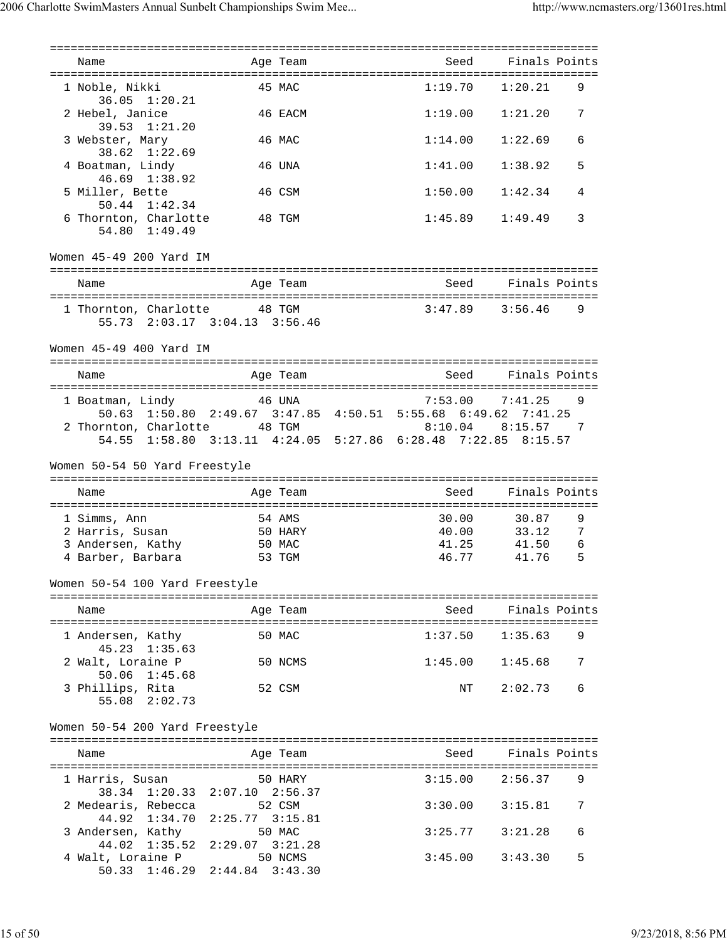| Name                                                          | Age Team                                             | Seed                                                          | Finals Points            |
|---------------------------------------------------------------|------------------------------------------------------|---------------------------------------------------------------|--------------------------|
| 1 Noble, Nikki<br>36.05 1:20.21                               | 45 MAC                                               | 1:19.70                                                       | 1:20.21<br>9             |
| 2 Hebel, Janice<br>$39.53$ $1:21.20$                          | 46 EACM                                              |                                                               | $1:19.00$ $1:21.20$<br>7 |
| 3 Webster, Mary<br>38.62 1:22.69                              | 46 MAC                                               | 1:14.00                                                       | 1:22.69<br>6             |
| 4 Boatman, Lindy<br>46.69 1:38.92                             | 46 UNA                                               | 1:41.00                                                       | 5<br>1:38.92             |
| 5 Miller, Bette<br>50.44 1:42.34                              | 46 CSM                                               | 1:50.00                                                       | 1:42.34<br>4             |
| 6 Thornton, Charlotte<br>54.80 1:49.49                        | 48 TGM                                               |                                                               | $1:45.89$ $1:49.49$<br>3 |
| Women 45-49 200 Yard IM                                       |                                                      |                                                               |                          |
| Name                                                          | Age Team                                             |                                                               | Seed Finals Points       |
| 1 Thornton, Charlotte 48 TGM<br>55.73 2:03.17 3:04.13 3:56.46 |                                                      |                                                               | $3:47.89$ $3:56.46$<br>9 |
| Women 45-49 400 Yard IM                                       |                                                      |                                                               |                          |
| Name                                                          | Age Team                                             | Seed                                                          | Finals Points            |
| 1 Boatman, Lindy                                              | 46 UNA                                               | 7:53.00                                                       | 7:41.25<br>9             |
|                                                               |                                                      | 50.63 1:50.80 2:49.67 3:47.85 4:50.51 5:55.68 6:49.62 7:41.25 |                          |
| 2 Thornton, Charlotte 48 TGM                                  |                                                      |                                                               | $8:10.04$ $8:15.57$ 7    |
|                                                               |                                                      | 54.55 1:58.80 3:13.11 4:24.05 5:27.86 6:28.48 7:22.85 8:15.57 |                          |
| Women 50-54 50 Yard Freestyle                                 |                                                      |                                                               |                          |
|                                                               |                                                      |                                                               | Finals Points            |
| Name                                                          | Age Team                                             | Seed                                                          |                          |
| 1 Simms, Ann                                                  | 54 AMS                                               | 30.00                                                         | 9<br>30.87               |
| 2 Harris, Susan 50 HARY                                       |                                                      | 40.00                                                         | 33.12<br>7               |
| 3 Andersen, Kathy                                             | 50 MAC                                               | 41.25                                                         | 41.50<br>6               |
| 4 Barber, Barbara                                             | 53 TGM                                               | 46.77                                                         | 5<br>41.76               |
| Women 50-54 100 Yard Freestyle                                |                                                      |                                                               |                          |
|                                                               |                                                      |                                                               |                          |
| Name                                                          | Age Team                                             | Seed                                                          | Finals Points            |
| 1 Andersen, Kathy<br>$45.23 \quad 1:35.63$                    | 50 MAC                                               | 1:37.50                                                       | 1:35.63<br>9             |
| 2 Walt, Loraine P<br>50.06 1:45.68                            | 50 NCMS                                              | 1:45.00                                                       | 7<br>1:45.68             |
| 3 Phillips, Rita<br>55.08 2:02.73                             | 52 CSM                                               | NT                                                            | 2:02.73<br>6             |
| Women 50-54 200 Yard Freestyle                                |                                                      |                                                               |                          |
| Name                                                          | Age Team                                             | Seed                                                          | Finals Points            |
| 1 Harris, Susan                                               | 50 HARY                                              | 3:15.00                                                       | 2:56.37<br>9             |
| 38.34<br>2 Medearis, Rebecca                                  | $1:20.33$ $2:07.10$ $2:56.37$<br>52 CSM              | 3:30.00                                                       | 3:15.81<br>7             |
| 44.92 1:34.70<br>3 Andersen, Kathy<br>44.02 1:35.52           | $2:25.77$ $3:15.81$<br>50 MAC<br>$2:29.07$ $3:21.28$ | 3:25.77                                                       | 3:21.28<br>6             |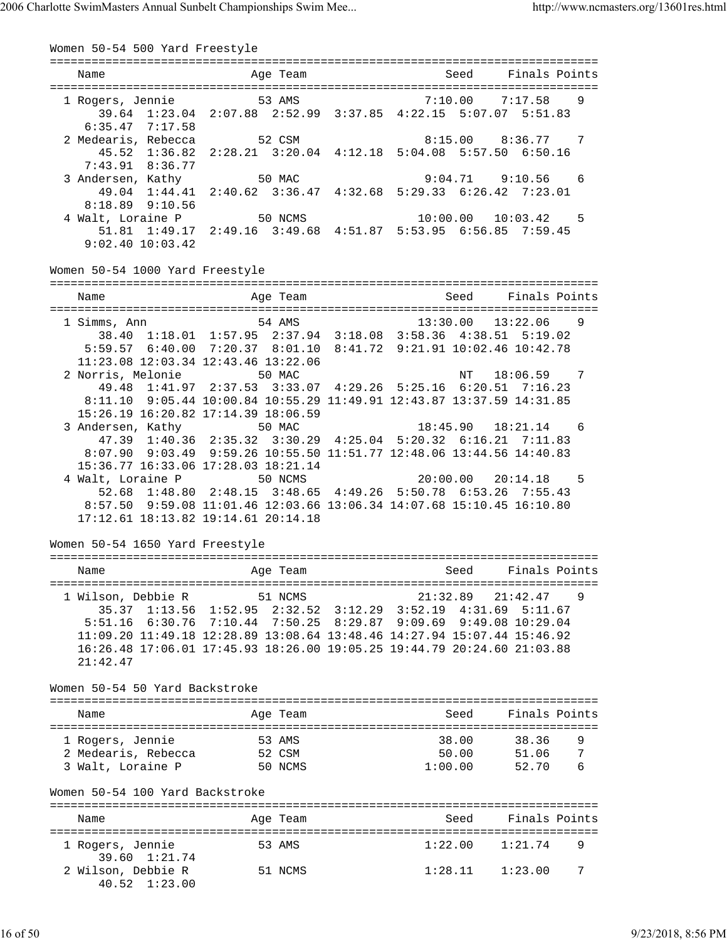| Women 50-54 500 Yard Freestyle                                                                                                                              |                                                                                                                                                                                                                                                                                                    |                |                                |                                           |        |
|-------------------------------------------------------------------------------------------------------------------------------------------------------------|----------------------------------------------------------------------------------------------------------------------------------------------------------------------------------------------------------------------------------------------------------------------------------------------------|----------------|--------------------------------|-------------------------------------------|--------|
| Name                                                                                                                                                        | Age Team                                                                                                                                                                                                                                                                                           |                | Seed                           | Finals Points                             |        |
| 1 Rogers, Jennie 53 AMS<br>39.64 1:23.04 2:07.88 2:52.99 3:37.85 4:22.15 5:07.07 5:51.83                                                                    |                                                                                                                                                                                                                                                                                                    |                | $7:10.00$ $7:17.58$            |                                           | 9      |
| $6:35.47$ $7:17.58$<br>2 Medearis, Rebecca 52 CSM                                                                                                           | 45.52 1:36.82 2:28.21 3:20.04 4:12.18 5:04.08 5:57.50 6:50.16                                                                                                                                                                                                                                      |                |                                | $8:15.00$ $8:36.77$ 7                     |        |
| $7:43.91$ $8:36.77$<br>3 Andersen, Kathy 50 MAC                                                                                                             | 49.04 1:44.41 2:40.62 3:36.47 4:32.68 5:29.33 6:26.42 7:23.01                                                                                                                                                                                                                                      |                |                                | $9:04.71$ $9:10.56$ 6                     |        |
| $8:18.89$ $9:10.56$<br>4 Walt, Loraine P 50 NCMS 10:00.00 10:03.42<br>51.81 1:49.17 2:49.16 3:49.68 4:51.87 5:53.95 6:56.85 7:59.45<br>$9:02.40$ $10:03.42$ |                                                                                                                                                                                                                                                                                                    |                |                                | $10:00.00$ $10:03.42$                     | - 5    |
| Women 50-54 1000 Yard Freestyle                                                                                                                             |                                                                                                                                                                                                                                                                                                    |                |                                |                                           |        |
| Name                                                                                                                                                        | Age Team                                                                                                                                                                                                                                                                                           |                | Seed                           | Finals Points                             |        |
| 1 Simms, Ann                                                                                                                                                | 54 AMS<br>38.40 1:18.01 1:57.95 2:37.94 3:18.08 3:58.36 4:38.51 5:19.02<br>5:59.57 6:40.00 7:20.37 8:01.10 8:41.72 9:21.91 10:02.46 10:42.78<br>11:23.08 12:03.34 12:43.46 13:22.06                                                                                                                |                | 13:30.00 13:22.06              |                                           | - 9    |
| 2 Norris, Melonie                                                                                                                                           | 50 MAC<br>49.48 1:41.97 2:37.53 3:33.07 4:29.26 5:25.16 6:20.51 7:16.23<br>8:11.10 9:05.44 10:00.84 10:55.29 11:49.91 12:43.87 13:37.59 14:31.85<br>15:26.19 16:20.82 17:14.39 18:06.59                                                                                                            | 06             | NT                             | $18:06.59$ 7                              |        |
| 3 Andersen, Kathy 50 MAC                                                                                                                                    | 47.39 1:40.36 2:35.32 3:30.29 4:25.04 5:20.32 6:16.21 7:11.83<br>8:07.90  9:03.49  9:59.26  10:55.50  11:51.77  12:48.06  13:44.56  14:40.83<br>15:36.77 16:33.06 17:28.03 18:21.14                                                                                                                | $\overline{z}$ |                                | 18:45.90  18:21.14  6                     |        |
| 4 Walt, Loraine P                                                                                                                                           | 50 NCMS<br>52.68 1:48.80 2:48.15 3:48.65 4:49.26 5:50.78 6:53.26 7:55.43<br>8:57.50 9:59.08 11:01.46 12:03.66 13:06.34 14:07.68 15:10.45 16:10.80<br>17:12.61 18:13.82 19:14.61 20:14.18                                                                                                           |                |                                | $20:00.00$ $20:14.18$ 5                   |        |
| Women 50-54 1650 Yard Freestyle                                                                                                                             | ================                                                                                                                                                                                                                                                                                   |                |                                |                                           |        |
| Name                                                                                                                                                        | Age Team                                                                                                                                                                                                                                                                                           |                | Seed                           | Finals Points                             |        |
| 1 Wilson, Debbie R<br>21:42.47                                                                                                                              | 51 NCMS<br>35.37 1:13.56 1:52.95 2:32.52 3:12.29 3:52.19 4:31.69 5:11.67<br>5:51.16 6:30.76 7:10.44 7:50.25 8:29.87 9:09.69 9:49.08 10:29.04<br>11:09.20 11:49.18 12:28.89 13:08.64 13:48.46 14:27.94 15:07.44 15:46.92<br>16:26.48 17:06.01 17:45.93 18:26.00 19:05.25 19:44.79 20:24.60 21:03.88 |                | 21:32.89                       | 21:42.47                                  | 9      |
| Women 50-54 50 Yard Backstroke                                                                                                                              |                                                                                                                                                                                                                                                                                                    |                |                                |                                           |        |
| Name                                                                                                                                                        | Age Team                                                                                                                                                                                                                                                                                           |                | Seed                           | Finals Points                             |        |
| 1 Rogers, Jennie<br>2 Medearis, Rebecca<br>3 Walt, Loraine P                                                                                                | 53 AMS<br>52 CSM<br>50 NCMS                                                                                                                                                                                                                                                                        |                | 38.00                          | 38.36<br>50.00 51.06 7<br>$1:00.00$ 52.70 | 9<br>6 |
| Women 50-54 100 Yard Backstroke                                                                                                                             |                                                                                                                                                                                                                                                                                                    |                |                                |                                           |        |
| Name                                                                                                                                                        | Age Team                                                                                                                                                                                                                                                                                           |                | Seed                           | Finals Points                             |        |
| 1 Rogers, Jennie<br>39.60 1:21.74<br>2 Wilson, Debbie R<br>40.52 1:23.00                                                                                    | 53 AMS<br>51 NCMS                                                                                                                                                                                                                                                                                  |                | 1:22.00<br>$1:28.11$ $1:23.00$ | 1:21.74                                   | 9<br>7 |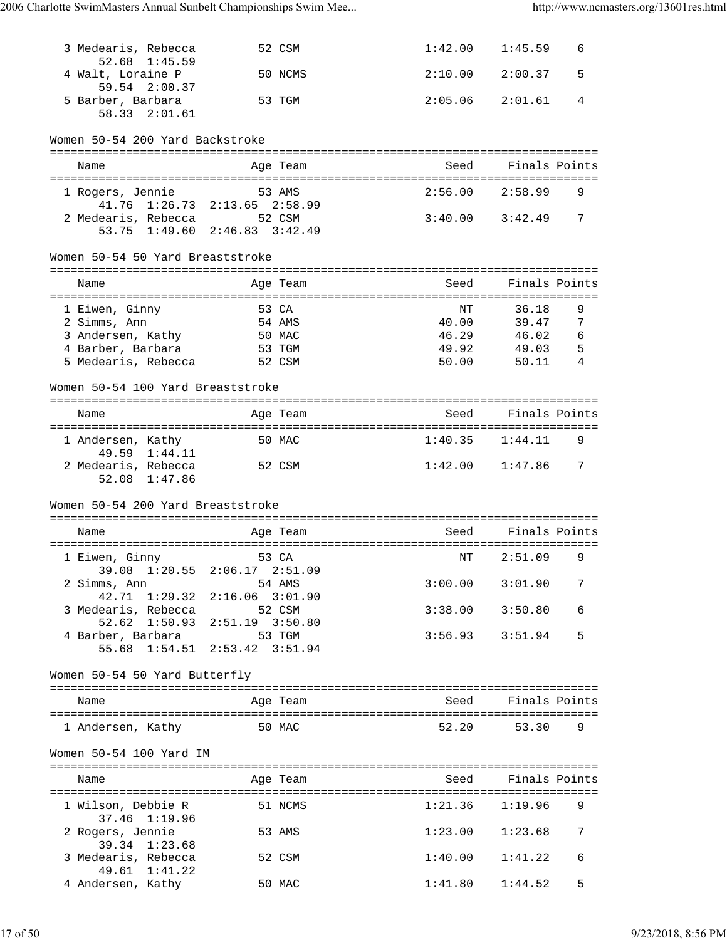| 3 Medearis, Rebecca                                 | 52 CSM                                                         | 1:42.00             | 1:45.59             | 6      |
|-----------------------------------------------------|----------------------------------------------------------------|---------------------|---------------------|--------|
| 52.68 1:45.59<br>4 Walt, Loraine P                  | 50 NCMS                                                        | 2:10.00             | 2:00.37             | 5      |
| 59.54 2:00.37<br>5 Barber, Barbara<br>58.33 2:01.61 | 53 TGM                                                         | 2:05.06             | 2:01.61             | 4      |
| Women 50-54 200 Yard Backstroke                     |                                                                |                     |                     |        |
| Name                                                | Age Team                                                       | Seed                | Finals Points       |        |
| 1 Rogers, Jennie                                    | 53 AMS                                                         | 2:56.00             | 2:58.99             | 9      |
| 41.76 1:26.73<br>2 Medearis, Rebecca                | $2:13.65$ $2:58.99$<br>52 CSM<br>53.75 1:49.60 2:46.83 3:42.49 | $3:40.00$ $3:42.49$ |                     | 7      |
| Women 50-54 50 Yard Breaststroke                    |                                                                |                     |                     |        |
|                                                     |                                                                |                     |                     |        |
| Name<br>=====================================       | Age Team                                                       | Seed                | Finals Points       |        |
| 1 Eiwen, Ginny                                      | 53 CA                                                          | NΤ                  | 36.18               | 9      |
| 2 Simms, Ann                                        | 54 AMS                                                         | 40.00               | 39.47               | 7      |
| 3 Andersen, Kathy                                   | 50 MAC                                                         | 46.29               | 46.02               | 6      |
| 4 Barber, Barbara<br>5 Medearis, Rebecca            | 53 TGM<br>52 CSM                                               | 49.92<br>50.00      | 49.03<br>50.11      | 5<br>4 |
|                                                     |                                                                |                     |                     |        |
| Women 50-54 100 Yard Breaststroke                   |                                                                |                     |                     |        |
|                                                     |                                                                | Seed                | Finals Points       |        |
| Name                                                | Age Team                                                       |                     |                     |        |
| 1 Andersen, Kathy<br>49.59 1:44.11                  | 50 MAC                                                         | 1:40.35             | 1:44.11             | 9      |
| 2 Medearis, Rebecca<br>52.08 1:47.86                | 52 CSM                                                         | 1:42.00             | 1:47.86             | 7      |
| Women 50-54 200 Yard Breaststroke                   |                                                                |                     |                     |        |
|                                                     |                                                                |                     |                     |        |
| Name                                                | Age Team                                                       | Seed                | Finals Points       |        |
| 1 Eiwen, Ginny                                      | 53 CA<br>39.08 1:20.55 2:06.17 2:51.09                         | ΝT                  | 2:51.09             | 9      |
| 2 Simms, Ann<br>42.71 1:29.32                       | 54 AMS<br>$2:16.06$ $3:01.90$                                  |                     | $3:00.00$ $3:01.90$ | 7      |
| 3 Medearis, Rebecca                                 | 52 CSM<br>52.62 1:50.93 2:51.19 3:50.80                        | 3:38.00             | 3:50.80             | 6      |
| 4 Barber, Barbara                                   | 53 TGM<br>55.68 1:54.51 2:53.42 3:51.94                        |                     | $3:56.93$ $3:51.94$ | 5      |
|                                                     |                                                                |                     |                     |        |
| Women 50-54 50 Yard Butterfly                       |                                                                |                     |                     |        |
| Name                                                | Age Team                                                       | Seed                | Finals Points       |        |
| 1 Andersen, Kathy                                   | 50 MAC                                                         | 52.20               | 53.30               | 9      |
| Women 50-54 100 Yard IM                             |                                                                |                     |                     |        |
| Name                                                | Age Team                                                       | Seed                | Finals Points       |        |
| 1 Wilson, Debbie R                                  | 51 NCMS                                                        | $1:21.36$ $1:19.96$ |                     | 9      |
| 37.46 1:19.96<br>2 Rogers, Jennie                   | 53 AMS                                                         |                     | $1:23.00$ $1:23.68$ | 7      |
| 39.34 1:23.68<br>3 Medearis, Rebecca                | 52 CSM                                                         | 1:40.00             | 1:41.22             | 6      |
| 49.61 1:41.22                                       |                                                                |                     |                     |        |
| 4 Andersen, Kathy                                   | 50 MAC                                                         | 1:41.80             | 1:44.52             | 5      |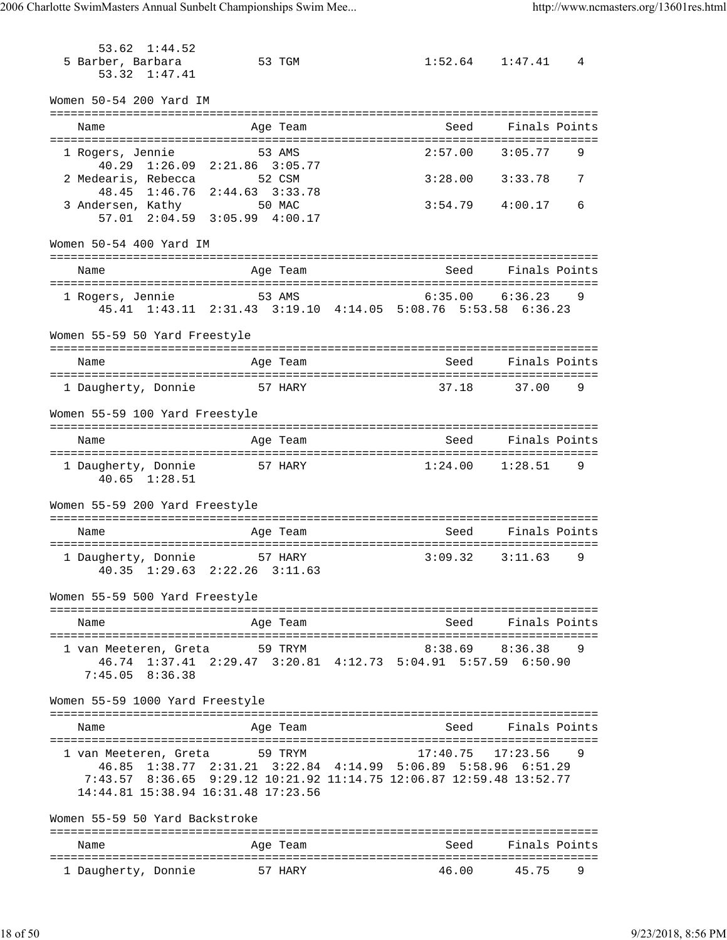53.62 1:44.52 5 Barber, Barbara 53 TGM 1:52.64 1:47.41 4 53.32 1:47.41 Women 50-54 200 Yard IM =============================================================================== Name Age Team Seed Finals Points =============================================================================== 1 Rogers, Jennie 53 AMS 2:57.00 3:05.77 9 40.29 1:26.09 2:21.86 3:05.77 2 Medearis, Rebecca 52 CSM 3:28.00 3:33.78 7 48.45 1:46.76 2:44.63 3:33.78 3 Andersen, Kathy 50 MAC 3:54.79 4:00.17 6 57.01 2:04.59 3:05.99 4:00.17 Women 50-54 400 Yard IM =============================================================================== Name and Age Team Seed Finals Points =============================================================================== 1 Rogers, Jennie 53 AMS 6:35.00 6:36.23 9 45.41 1:43.11 2:31.43 3:19.10 4:14.05 5:08.76 5:53.58 6:36.23 Women 55-59 50 Yard Freestyle =============================================================================== Name Age Team =============================================================================== 1 Daugherty, Donnie 57 HARY 37.18 37.00 9 Women 55-59 100 Yard Freestyle =============================================================================== Name and Age Team Seed Finals Points =============================================================================== 1 Daugherty, Donnie 57 HARY 1:24.00 1:28.51 9 40.65 1:28.51 Women 55-59 200 Yard Freestyle =============================================================================== Name and Age Team Seed Finals Points =============================================================================== 1 Daugherty, Donnie 57 HARY 3:09.32 3:11.63 9 40.35 1:29.63 2:22.26 3:11.63 Women 55-59 500 Yard Freestyle =============================================================================== Name and Age Team Seed Finals Points =============================================================================== 1 van Meeteren, Greta 59 TRYM 8:38.69 8:36.38 9 46.74 1:37.41 2:29.47 3:20.81 4:12.73 5:04.91 5:57.59 6:50.90 7:45.05 8:36.38 Women 55-59 1000 Yard Freestyle =============================================================================== Name **Age Team** Age Team Seed Finals Points =============================================================================== 1 van Meeteren, Greta 59 TRYM 17:40.75 17:23.56 9 46.85 1:38.77 2:31.21 3:22.84 4:14.99 5:06.89 5:58.96 6:51.29 7:43.57 8:36.65 9:29.12 10:21.92 11:14.75 12:06.87 12:59.48 13:52.77 14:44.81 15:38.94 16:31.48 17:23.56 Women 55-59 50 Yard Backstroke =============================================================================== Name and Age Team Seed Finals Points =============================================================================== 1 Daugherty, Donnie 57 HARY 46.00 45.75 9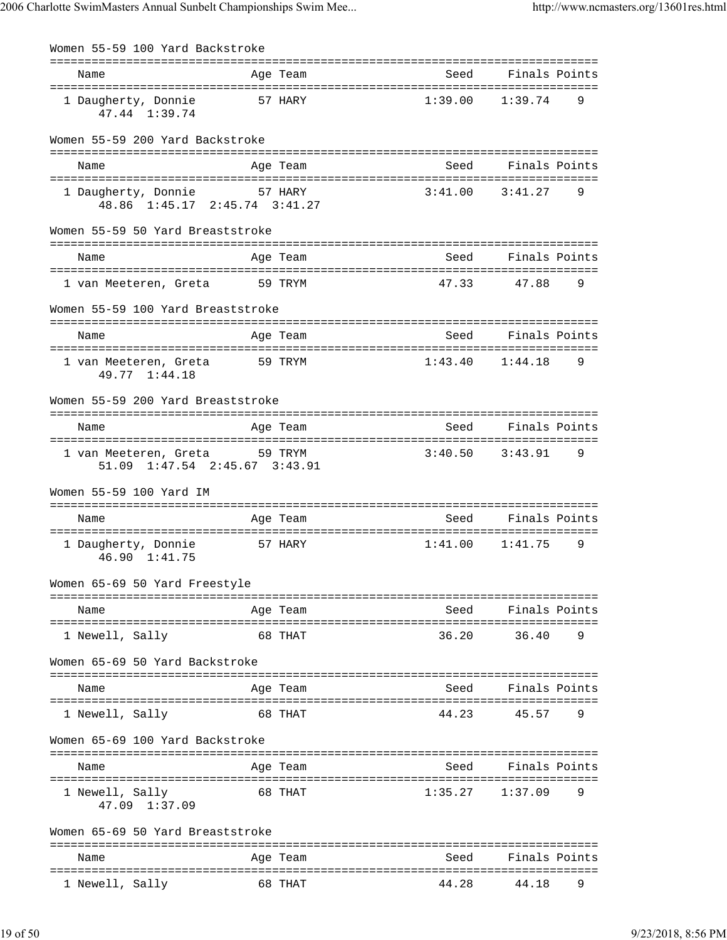| Women 55-59 100 Yard Backstroke                        |                                      |                                             |               |
|--------------------------------------------------------|--------------------------------------|---------------------------------------------|---------------|
| Name                                                   | Age Team                             | ===================================<br>Seed | Finals Points |
| 1 Daugherty, Donnie<br>47.44 1:39.74                   | 57 HARY                              | 1:39.00                                     | 1:39.74<br>9  |
| Women 55-59 200 Yard Backstroke                        |                                      |                                             |               |
| Name                                                   | Age Team                             | Seed                                        | Finals Points |
| 1 Daugherty, Donnie<br>48.86 1:45.17 2:45.74 3:41.27   | 57 HARY                              | 3:41.00                                     | 3:41.27<br>9  |
| Women 55-59 50 Yard Breaststroke                       |                                      |                                             |               |
| Name                                                   | Age Team                             | Seed                                        | Finals Points |
| 1 van Meeteren, Greta                                  | 59 TRYM                              | 47.33                                       | 47.88<br>9    |
| Women 55-59 100 Yard Breaststroke                      |                                      |                                             |               |
| Name                                                   | Age Team                             | Seed                                        | Finals Points |
| 1 van Meeteren, Greta<br>49.77 1:44.18                 | 59 TRYM                              | 1:43.40                                     | 1:44.18<br>9  |
| Women 55-59 200 Yard Breaststroke                      |                                      |                                             |               |
| Name                                                   | Age Team                             | Seed                                        | Finals Points |
| 1 van Meeteren, Greta<br>51.09 1:47.54 2:45.67 3:43.91 | 59 TRYM                              | 3:40.50                                     | 3:43.91<br>9  |
| Women 55-59 100 Yard IM                                |                                      |                                             |               |
| Name                                                   | Age Team                             | Seed                                        | Finals Points |
| 1 Daugherty, Donnie<br>46.90 1:41.75                   | 57 HARY                              | 1:41.00                                     | 1:41.75<br>9  |
| Women 65-69 50 Yard Freestyle                          |                                      |                                             |               |
| ===================<br>Name                            | :=======================<br>Age Team | Seed                                        | Finals Points |
| 1 Newell, Sally                                        | 68 THAT                              | 36.20                                       | 9<br>36.40    |
| Women 65-69 50 Yard Backstroke                         |                                      |                                             |               |
| Name                                                   | Age Team                             | Seed                                        | Finals Points |
| 1 Newell, Sally                                        | 68 THAT                              | 44.23                                       | 45.57<br>9    |
| Women 65-69 100 Yard Backstroke                        |                                      |                                             |               |
| Name                                                   | Age Team                             | Seed                                        | Finals Points |
| 1 Newell, Sally<br>47.09 1:37.09                       | 68 THAT                              | 1:35.27                                     | 9<br>1:37.09  |
| Women 65-69 50 Yard Breaststroke                       |                                      |                                             |               |
| Name                                                   | Age Team                             | Seed                                        | Finals Points |
| 1 Newell, Sally                                        | 68 THAT                              | 44.28                                       | 44.18<br>9    |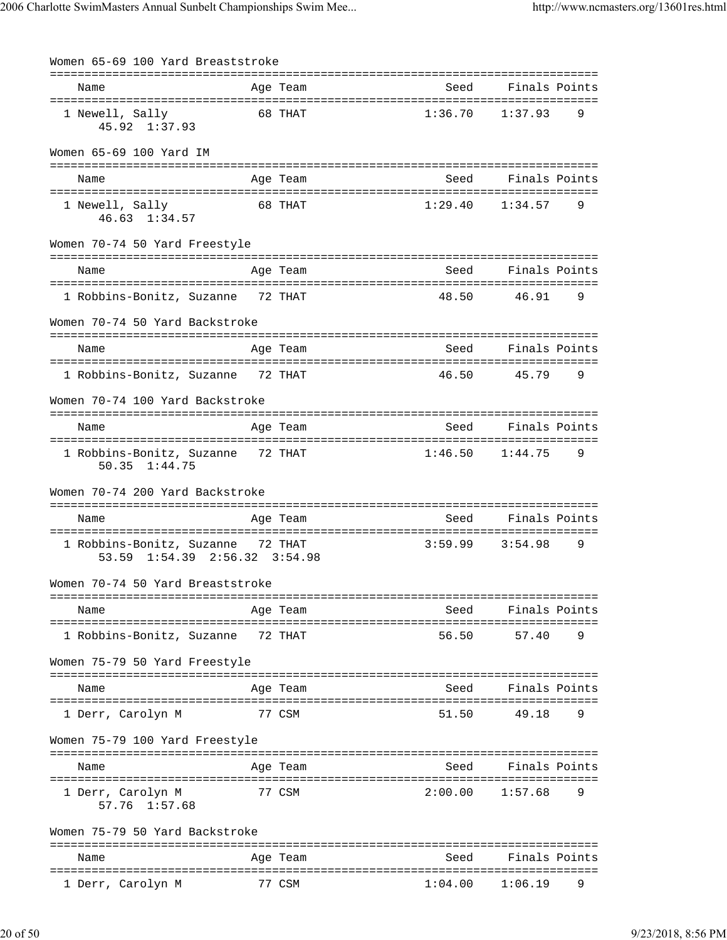| Women 65-69 100 Yard Breaststroke                                  |         |          |         |                          |  |
|--------------------------------------------------------------------|---------|----------|---------|--------------------------|--|
| Name                                                               |         | Age Team | Seed    | Finals Points            |  |
| 1 Newell, Sally<br>45.92 1:37.93                                   |         | 68 THAT  | 1:36.70 | 1:37.93<br>9             |  |
| Women 65-69 100 Yard IM                                            |         |          |         |                          |  |
| Name                                                               |         | Age Team | Seed    | Finals Points            |  |
| 1 Newell, Sally<br>46.63 1:34.57                                   | 68 THAT |          | 1:29.40 | 1:34.57<br>9             |  |
| Women 70-74 50 Yard Freestyle                                      |         |          |         |                          |  |
| Name                                                               |         | Age Team | Seed    | Finals Points            |  |
| 1 Robbins-Bonitz, Suzanne 72 THAT                                  |         |          | 48.50   | 46.91<br>9               |  |
| Women 70-74 50 Yard Backstroke                                     |         |          |         |                          |  |
| Name                                                               |         | Age Team | Seed    | Finals Points            |  |
| 1 Robbins-Bonitz, Suzanne 72 THAT                                  |         |          | 46.50   | 45.79<br>9               |  |
| Women 70-74 100 Yard Backstroke                                    |         |          |         |                          |  |
| Name                                                               |         | Age Team | Seed    | Finals Points            |  |
| 1 Robbins-Bonitz, Suzanne 72 THAT<br>50.35 1:44.75                 |         |          |         | $1:46.50$ $1:44.75$<br>9 |  |
| Women 70-74 200 Yard Backstroke                                    |         |          |         |                          |  |
| Name                                                               |         | Age Team |         | Seed Finals Points       |  |
| 1 Robbins-Bonitz, Suzanne 72 THAT<br>53.59 1:54.39 2:56.32 3:54.98 |         |          | 3:59.99 | 3:54.98<br>9             |  |
| Women 70-74 50 Yard Breaststroke                                   |         |          |         |                          |  |
| Name                                                               |         | Age Team | Seed    | Finals Points            |  |
| 1 Robbins-Bonitz, Suzanne                                          |         | 72 THAT  | 56.50   | 57.40<br>9               |  |
| Women 75-79 50 Yard Freestyle                                      |         |          |         |                          |  |
| Name                                                               |         | Age Team | Seed    | Finals Points            |  |
| 1 Derr, Carolyn M                                                  |         | 77 CSM   | 51.50   | 49.18<br>9               |  |
| Women 75-79 100 Yard Freestyle                                     |         |          |         |                          |  |
| Name                                                               |         | Age Team | Seed    | Finals Points            |  |
| 1 Derr, Carolyn M<br>57.76 1:57.68                                 |         | 77 CSM   | 2:00.00 | 1:57.68<br>9             |  |
| Women 75-79 50 Yard Backstroke                                     |         |          |         |                          |  |
| Name                                                               |         | Age Team | Seed    | Finals Points            |  |
| 1 Derr, Carolyn M                                                  |         | 77 CSM   | 1:04.00 | 1:06.19<br>9             |  |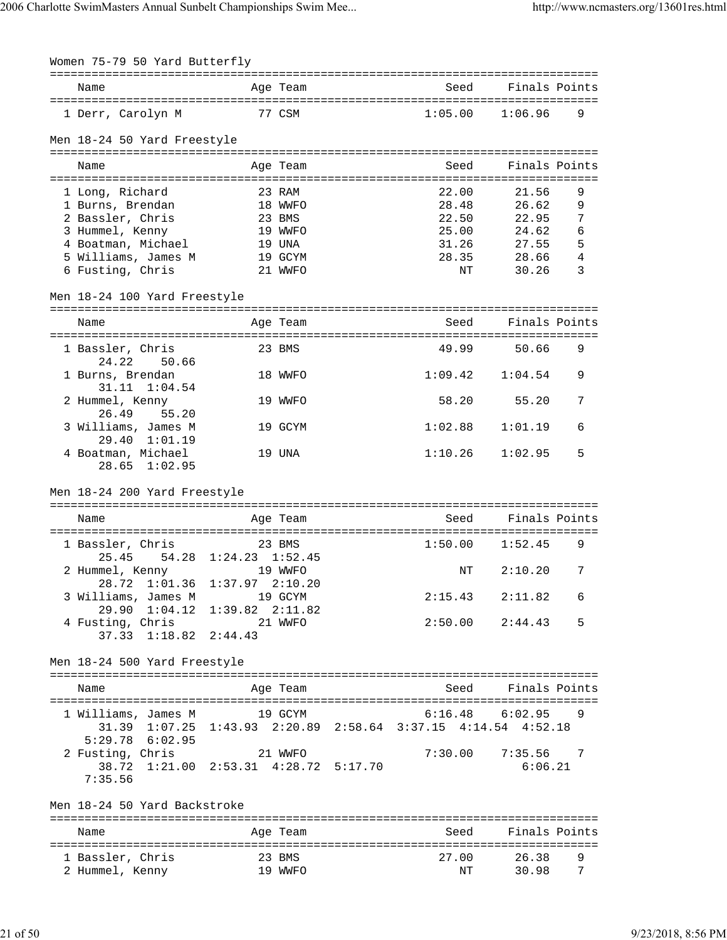| Women 75-79 50 Yard Butterfly                                                        |                       |          |         |                          |               |
|--------------------------------------------------------------------------------------|-----------------------|----------|---------|--------------------------|---------------|
| Name                                                                                 |                       | Age Team |         | Seed       Finals Points |               |
| 1 Derr, Carolyn M                                                                    | 77 CSM                |          | 1:05.00 | 1:06.96                  | 9             |
| Men 18-24 50 Yard Freestyle                                                          |                       |          |         |                          |               |
| Name                                                                                 |                       | Age Team | Seed    |                          | Finals Points |
| 1 Long, Richard                                                                      |                       | 23 RAM   | 22.00   | 21.56                    | 9             |
| 1 Burns, Brendan                                                                     |                       | 18 WWFO  | 28.48   | 26.62                    | 9             |
| 2 Bassler, Chris                                                                     |                       | 23 BMS   |         | 22.50<br>22.95           | 7             |
| 3 Hummel, Kenny                                                                      |                       | 19 WWFO  | 25.00   | 24.62                    | 6             |
| 4 Boatman, Michael                                                                   |                       | 19 UNA   | 31.26   | 27.55                    | 5             |
| 5 Williams, James M                                                                  |                       | 19 GCYM  |         | 28.35 28.66              | 4             |
| 6 Fusting, Chris                                                                     |                       | 21 WWFO  |         | ΝT<br>30.26              | 3             |
| Men 18-24 100 Yard Freestyle                                                         |                       |          |         |                          |               |
| Name                                                                                 |                       | Age Team | Seed    |                          | Finals Points |
|                                                                                      |                       |          |         |                          |               |
| 1 Bassler, Chris<br>24.22<br>50.66                                                   |                       | 23 BMS   | 49.99   | 50.66                    | 9             |
| 1 Burns, Brendan<br>31.11 1:04.54                                                    |                       | 18 WWFO  | 1:09.42 | 1:04.54                  | 9             |
| 2 Hummel, Kenny<br>26.49<br>55.20                                                    |                       | 19 WWFO  | 58.20   | 55.20                    | 7             |
| 3 Williams, James M<br>29.40 1:01.19                                                 |                       | 19 GCYM  | 1:02.88 | 1:01.19                  | 6             |
| 4 Boatman, Michael<br>$28.65$ $1:02.95$                                              |                       | 19 UNA   | 1:10.26 | 1:02.95                  | 5             |
|                                                                                      |                       |          |         |                          |               |
| Men 18-24 200 Yard Freestyle                                                         |                       |          |         |                          |               |
| Name                                                                                 |                       | Age Team | Seed    |                          | Finals Points |
|                                                                                      |                       |          |         |                          |               |
| 1 Bassler, Chris                                                                     | 54.28 1:24.23 1:52.45 | 23 BMS   |         | $1:50.00$ $1:52.45$      | 9             |
| 25.45<br>2 Hummel, Kenny                                                             | 19 WWFO               |          |         | 2:10.20<br>ΝT            | 7             |
| 28.72 1:01.36 1:37.97 2:10.20                                                        |                       |          |         |                          |               |
| 3 Williams, James M<br>$29.90 \quad 1:04.12$                                         | $1:39.82$ $2:11.82$   | 19 GCYM  | 2:15.43 | 2:11.82                  | 6             |
| 4 Fusting, Chris                                                                     |                       | 21 WWFO  |         | $2:50.00$ $2:44.43$      | 5             |
| $37.33 \quad 1:18.82$                                                                | 2:44.43               |          |         |                          |               |
| Men 18-24 500 Yard Freestyle                                                         |                       |          |         |                          |               |
| Name                                                                                 |                       | Age Team | Seed    |                          | Finals Points |
| 1 Williams, James M                                                                  | 19 GCYM               |          | 6:16.48 | 6:02.95                  | 9             |
| 31.39 1:07.25 1:43.93 2:20.89 2:58.64 3:37.15 4:14.54 4:52.18<br>$5:29.78$ $6:02.95$ |                       |          |         |                          |               |
| 2 Fusting, Chris                                                                     |                       | 21 WWFO  | 7:30.00 | 7:35.56                  | 7             |
| 38.72 1:21.00 2:53.31 4:28.72 5:17.70                                                |                       |          |         | 6:06.21                  |               |
| 7:35.56                                                                              |                       |          |         |                          |               |
| Men 18-24 50 Yard Backstroke                                                         |                       |          |         |                          |               |
| Name                                                                                 |                       | Age Team | Seed    |                          | Finals Points |
| 1 Bassler, Chris                                                                     |                       | 23 BMS   | 27.00   | 26.38                    | 9             |
| 2 Hummel, Kenny                                                                      |                       | 19 WWFO  |         | 30.98<br>ΝT              | 7             |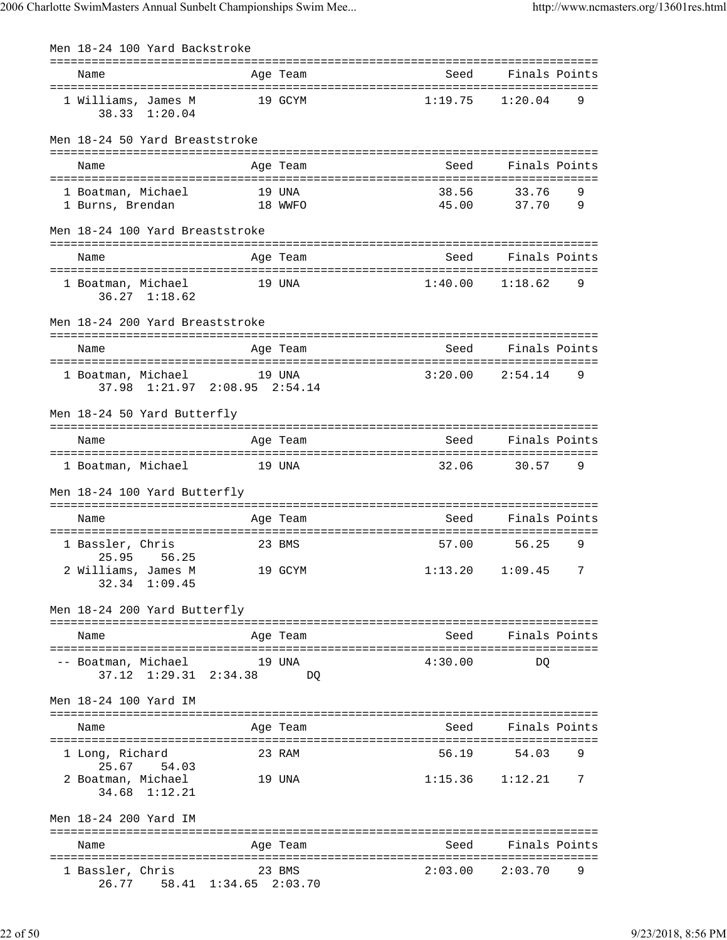| Men 18-24 100 Yard Backstroke                         |         |          |         |                          |
|-------------------------------------------------------|---------|----------|---------|--------------------------|
| ------------------------------<br>Name                |         | Age Team | Seed    | Finals Points            |
| 1 Williams, James M<br>38.33 1:20.04                  |         | 19 GCYM  | 1:19.75 | 1:20.04<br>9             |
|                                                       |         |          |         |                          |
| Men 18-24 50 Yard Breaststroke                        |         |          |         |                          |
| Name                                                  |         | Age Team | Seed    | Finals Points            |
| 1 Boatman, Michael                                    |         | 19 UNA   | 38.56   | 9<br>33.76               |
| 1 Burns, Brendan                                      | 18 WWFO |          | 45.00   | 37.70<br>9               |
| Men 18-24 100 Yard Breaststroke                       |         |          |         |                          |
| Name                                                  |         | Age Team | Seed    | Finals Points            |
| 1 Boatman, Michael<br>$36.27$ $1:18.62$               | 19 UNA  |          |         | $1:40.00$ $1:18.62$<br>9 |
| Men 18-24 200 Yard Breaststroke                       |         |          |         |                          |
| Name                                                  |         | Age Team | Seed    | Finals Points            |
|                                                       |         |          |         |                          |
| 1 Boatman, Michael<br>37.98 1:21.97 2:08.95 2:54.14   |         | 19 UNA   | 3:20.00 | 2:54.14<br>9             |
| Men 18-24 50 Yard Butterfly                           |         |          |         |                          |
| Name                                                  |         | Age Team | Seed    | Finals Points            |
| 1 Boatman, Michael                                    | 19 UNA  |          | 32.06   | 30.57<br>9               |
| Men 18-24 100 Yard Butterfly                          |         |          |         |                          |
| Name                                                  |         | Age Team | Seed    | Finals Points            |
|                                                       |         |          |         |                          |
| 1 Bassler, Chris<br>25.95 56.25                       |         | 23 BMS   | 57.00   | 56.25<br>9               |
| 2 Williams, James M<br>32.34 1:09.45                  | 19 GCYM |          |         | $1:13.20$ $1:09.45$<br>7 |
| Men 18-24 200 Yard Butterfly                          |         |          |         |                          |
| Name                                                  |         | Age Team | Seed    | Finals Points            |
| -- Boatman, Michael                                   |         | 19 UNA   | 4:30.00 | DO                       |
| 37.12 1:29.31 2:34.38                                 |         | DO       |         |                          |
| Men 18-24 100 Yard IM                                 |         |          |         |                          |
| Name                                                  |         | Age Team | Seed    | Finals Points            |
| 1 Long, Richard                                       |         | 23 RAM   | 56.19   | 54.03<br>9               |
| 25.67<br>54.03<br>2 Boatman, Michael<br>34.68 1:12.21 |         | 19 UNA   |         | $1:15.36$ $1:12.21$<br>7 |
| Men 18-24 200 Yard IM                                 |         |          |         |                          |
| Name                                                  |         | Age Team | Seed    | Finals Points            |
| 1 Bassler, Chris<br>26.77 58.41 1:34.65 2:03.70       |         | 23 BMS   | 2:03.00 | 2:03.70<br>9             |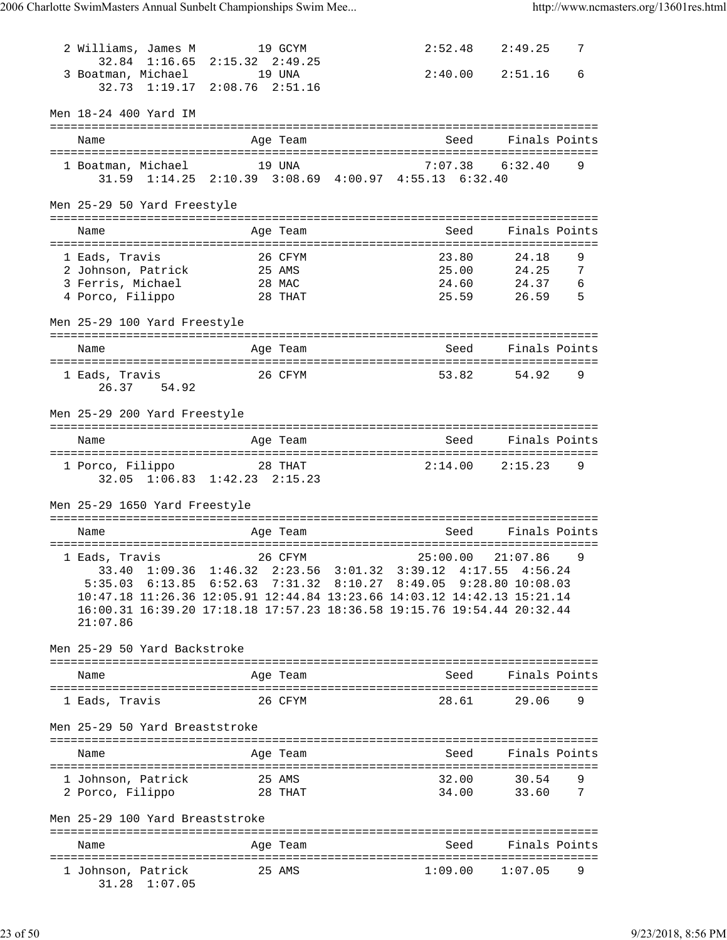| 2 Williams, James M 19 GCYM                           | 32.84 1:16.65 2:15.32 2:49.25            |                                                                                                                                                   | $2:52.48$ $2:49.25$<br>7        |
|-------------------------------------------------------|------------------------------------------|---------------------------------------------------------------------------------------------------------------------------------------------------|---------------------------------|
| 3 Boatman, Michael 19 UNA                             | 32.73 1:19.17 2:08.76 2:51.16            |                                                                                                                                                   | $2:40.00$ $2:51.16$<br>6        |
| Men 18-24 400 Yard IM                                 |                                          |                                                                                                                                                   |                                 |
| Name                                                  | Age Team                                 |                                                                                                                                                   | Seed Finals Points              |
|                                                       |                                          | 1 Boatman, Michael 19 UNA 7:07.38 6:32.40<br>31.59 1:14.25 2:10.39 3:08.69 4:00.97 4:55.13 6:32.40                                                | 9                               |
| Men 25-29 50 Yard Freestyle                           |                                          |                                                                                                                                                   |                                 |
| Name                                                  | Age Team                                 | Seed                                                                                                                                              | Finals Points                   |
| 1 Eads, Travis                                        | 26 CFYM                                  | 23.80                                                                                                                                             | 24.18<br>9                      |
| 2 Johnson, Patrick 25 AMS<br>3 Ferris, Michael 28 MAC |                                          |                                                                                                                                                   | 25.00 24.25<br>24.60 24.37<br>7 |
|                                                       |                                          | 24.60                                                                                                                                             | 6                               |
| 4 Porco, Filippo                                      | 28 THAT                                  |                                                                                                                                                   | 25.59 26.59<br>5                |
| Men 25-29 100 Yard Freestyle                          |                                          |                                                                                                                                                   |                                 |
| Name                                                  | Age Team                                 |                                                                                                                                                   | Seed Finals Points              |
| 1 Eads, Travis 1 26 CFYM<br>26.37 54.92               |                                          |                                                                                                                                                   | 53.82 54.92<br>9                |
| Men 25-29 200 Yard Freestyle                          |                                          |                                                                                                                                                   |                                 |
| Name                                                  | Age Team                                 |                                                                                                                                                   | Seed Finals Points              |
| 1 Porco, Filippo                                      | 28 THAT<br>32.05 1:06.83 1:42.23 2:15.23 | $2:14.00$ $2:15.23$                                                                                                                               | 9                               |
| Men 25-29 1650 Yard Freestyle                         |                                          |                                                                                                                                                   |                                 |
| Name                                                  | Age Team                                 | Seed                                                                                                                                              | Finals Points                   |
|                                                       |                                          |                                                                                                                                                   |                                 |
|                                                       |                                          |                                                                                                                                                   | 25:00.00 21:07.86 9             |
|                                                       |                                          | 33.40 1:09.36 1:46.32 2:23.56 3:01.32 3:39.12 4:17.55 4:56.24                                                                                     |                                 |
| 5:35.03                                               |                                          | $6:13.85$ $6:52.63$ $7:31.32$ $8:10.27$ $8:49.05$ $9:28.80$ $10:08.03$<br>10:47.18 11:26.36 12:05.91 12:44.84 13:23.66 14:03.12 14:42.13 15:21.14 |                                 |
| 21:07.86                                              |                                          | 16:00.31 16:39.20 17:18.18 17:57.23 18:36.58 19:15.76 19:54.44 20:32.44                                                                           |                                 |
| Men 25-29 50 Yard Backstroke                          |                                          |                                                                                                                                                   |                                 |
| Name                                                  | Age Team                                 | Seed                                                                                                                                              | Finals Points                   |
| 1 Eads, Travis                                        | 26 CFYM                                  | 28.61                                                                                                                                             | 29.06<br>9                      |
| Men 25-29 50 Yard Breaststroke                        |                                          |                                                                                                                                                   |                                 |
| Name                                                  | Age Team                                 | Seed                                                                                                                                              | Finals Points                   |
|                                                       |                                          |                                                                                                                                                   |                                 |
| 1 Johnson, Patrick<br>2 Porco, Filippo                | 25 AMS<br>28 THAT                        | 32.00<br>34.00                                                                                                                                    | 30.54<br>9<br>33.60<br>7        |
| Men 25-29 100 Yard Breaststroke                       |                                          |                                                                                                                                                   |                                 |
| Name                                                  | Age Team                                 | Seed                                                                                                                                              | Finals Points                   |
| 1 Johnson, Patrick                                    | 25 AMS                                   | 1:09.00                                                                                                                                           | 1:07.05<br>9                    |
| 31.28 1:07.05                                         |                                          |                                                                                                                                                   |                                 |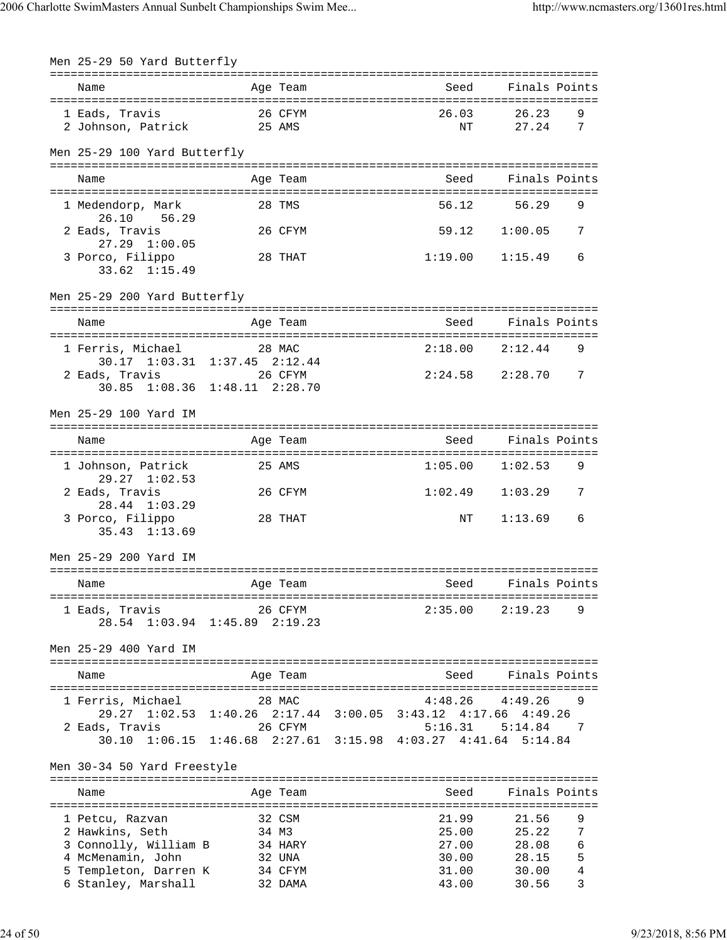| Men 25-29 50 Yard Butterfly                  |                                                                         |                                           |                     |        |
|----------------------------------------------|-------------------------------------------------------------------------|-------------------------------------------|---------------------|--------|
| Name                                         | Age Team                                                                | =================================<br>Seed | Finals Points       |        |
| 1 Eads, Travis<br>2 Johnson, Patrick 25 AMS  | 26 CFYM                                                                 | 26.03<br>ΝT                               | 26.23<br>27.24      | 9<br>7 |
| Men 25-29 100 Yard Butterfly                 |                                                                         |                                           |                     |        |
| Name                                         | Age Team                                                                | Seed                                      | Finals Points       |        |
| 1 Medendorp, Mark<br>26.10 56.29             | 28 TMS                                                                  | 56.12                                     | 56.29               | 9      |
| 2 Eads, Travis<br>$27.29$ $1:00.05$          | 26 CFYM                                                                 | 59.12                                     | 1:00.05             | 7      |
| 3 Porco, Filippo<br>$33.62 \quad 1:15.49$    | 28 THAT                                                                 | 1:19.00                                   | 1:15.49             | 6      |
| Men 25-29 200 Yard Butterfly                 |                                                                         |                                           |                     |        |
| Name                                         | Age Team                                                                | Seed                                      | Finals Points       |        |
| 1 Ferris, Michael                            | 28 MAC<br>30.17 1:03.31 1:37.45 2:12.44                                 |                                           | $2:18.00$ $2:12.44$ | 9      |
| 2 Eads, Travis                               | 26 CFYM<br>30.85 1:08.36 1:48.11 2:28.70                                | $2:24.58$ $2:28.70$                       |                     | 7      |
| Men 25-29 100 Yard IM                        |                                                                         |                                           |                     |        |
| Name                                         | Age Team                                                                | Seed                                      | Finals Points       |        |
| 1 Johnson, Patrick<br>$29.27 \quad 1:02.53$  | 25 AMS                                                                  | 1:05.00                                   | 1:02.53             | 9      |
| 2 Eads, Travis<br>28.44 1:03.29              | 26 CFYM                                                                 | 1:02.49                                   | 1:03.29             | 7      |
| 3 Porco, Filippo<br>$35.43$ $1:13.69$        | 28 THAT                                                                 | NΤ                                        | 1:13.69             | 6      |
| Men 25-29 200 Yard IM                        |                                                                         |                                           |                     |        |
| Name                                         | Age Team                                                                | Seed                                      | Finals Points       |        |
| 1 Eads, Travis                               | 26 CFYM<br>28.54 1:03.94 1:45.89 2:19.23                                | 2:35.00                                   | 2:19.23             | 9      |
| Men 25-29 400 Yard IM                        |                                                                         |                                           |                     |        |
| Name                                         | Age Team                                                                | Seed                                      | Finals Points       |        |
| 1 Ferris, Michael                            | 28 MAC<br>29.27 1:02.53 1:40.26 2:17.44 3:00.05 3:43.12 4:17.66 4:49.26 | 4:48.26                                   | 4:49.26             | 9      |
| 2 Eads, Travis<br>30.10                      | 26 CFYM<br>1:06.15 1:46.68 2:27.61 3:15.98 4:03.27 4:41.64 5:14.84      | 5:16.31                                   | 5:14.84             | 7      |
| Men 30-34 50 Yard Freestyle                  |                                                                         |                                           |                     |        |
| Name                                         | Age Team                                                                | Seed                                      | Finals Points       |        |
| 1 Petcu, Razvan                              | 32 CSM                                                                  | 21.99                                     | 21.56               | 9      |
| 2 Hawkins, Seth<br>3 Connolly, William B     | 34 M3<br>34 HARY                                                        | 25.00<br>27.00                            | 25.22<br>28.08      | 7<br>6 |
| 4 McMenamin, John                            | 32 UNA                                                                  | 30.00                                     | 28.15               | 5      |
| 5 Templeton, Darren K<br>6 Stanley, Marshall | 34 CFYM<br>32 DAMA                                                      | 31.00<br>43.00                            | 30.00<br>30.56      | 4<br>3 |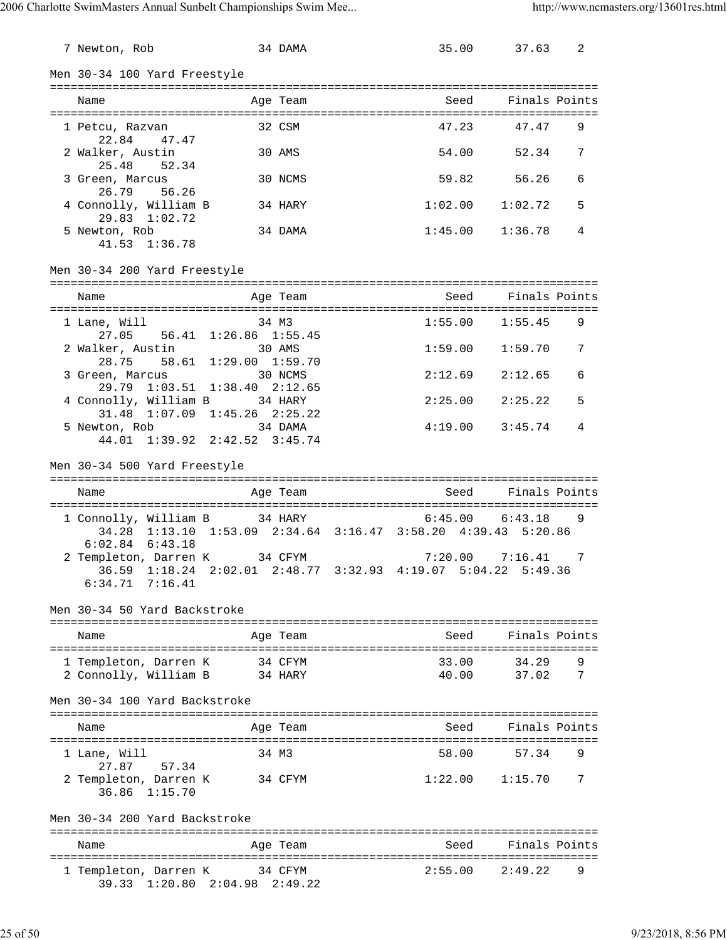| 7 Newton, Rob                                        |       |                                          | 34 DAMA  | 35.00                                                         | 37.63                    | 2 |
|------------------------------------------------------|-------|------------------------------------------|----------|---------------------------------------------------------------|--------------------------|---|
| Men 30-34 100 Yard Freestyle                         |       |                                          |          |                                                               |                          |   |
| Name                                                 |       | Aqe Team                                 |          |                                                               | Seed       Finals Points |   |
| 1 Petcu, Razvan<br>22.84                             | 47.47 |                                          | 32 CSM   | 47.23                                                         | 47.47                    | 9 |
| 2 Walker, Austin<br>25.48                            | 52.34 |                                          | 30 AMS   | 54.00                                                         | 52.34                    | 7 |
| 3 Green, Marcus<br>26.79 56.26                       |       |                                          | 30 NCMS  | 59.82                                                         | 56.26                    | 6 |
| 4 Connolly, William B<br>29.83 1:02.72               |       |                                          | 34 HARY  | 1:02.00                                                       | 1:02.72                  | 5 |
| 5 Newton, Rob<br>41.53 1:36.78                       |       |                                          | 34 DAMA  |                                                               | $1:45.00$ $1:36.78$      | 4 |
| Men 30-34 200 Yard Freestyle                         |       |                                          |          |                                                               |                          |   |
| Name                                                 |       |                                          | Age Team | Seed                                                          | Finals Points            |   |
| 1 Lane, Will                                         |       | 34 M3                                    |          | 1:55.00                                                       | 1:55.45                  | 9 |
|                                                      |       | 27.05 56.41 1:26.86 1:55.45              |          |                                                               |                          |   |
| 2 Walker, Austin<br>28.75                            |       | 30 AMS<br>58.61 1:29.00 1:59.70          |          | 1:59.00                                                       | 1:59.70                  | 7 |
| 3 Green, Marcus                                      |       | 30 NCMS<br>29.79 1:03.51 1:38.40 2:12.65 |          | 2:12.69                                                       | 2:12.65                  | 6 |
| 4 Connolly, William B 34 HARY                        |       | 31.48 1:07.09 1:45.26 2:25.22            |          | 2:25.00                                                       | 2:25.22                  | 5 |
| 5 Newton, Rob                                        |       | 34 DAMA<br>44.01 1:39.92 2:42.52 3:45.74 |          | 4:19.00                                                       | 3:45.74                  | 4 |
| Men 30-34 500 Yard Freestyle                         |       |                                          |          |                                                               |                          |   |
| Name                                                 |       |                                          | Age Team |                                                               | Seed Finals Points       |   |
|                                                      |       |                                          |          |                                                               |                          |   |
| 1 Connolly, William B 34 HARY                        |       |                                          |          | 34.28 1:13.10 1:53.09 2:34.64 3:16.47 3:58.20 4:39.43 5:20.86 | $6:45.00$ $6:43.18$      | 9 |
| $6:02.84$ $6:43.18$<br>2 Templeton, Darren K 34 CFYM |       |                                          |          |                                                               | $7:20.00$ $7:16.41$ 7    |   |
| $6:34.71$ $7:16.41$                                  |       |                                          |          | 36.59 1:18.24 2:02.01 2:48.77 3:32.93 4:19.07 5:04.22 5:49.36 |                          |   |
| Men 30-34 50 Yard Backstroke                         |       |                                          |          |                                                               |                          |   |
| Name                                                 |       |                                          | Age Team | Seed                                                          | Finals Points            |   |
| 1 Templeton, Darren K                                |       | 34 CFYM                                  |          | 33.00                                                         | 34.29                    | 9 |
| 2 Connolly, William B                                |       | 34 HARY                                  |          | 40.00                                                         | 37.02                    | 7 |
| Men 30-34 100 Yard Backstroke                        |       |                                          |          |                                                               |                          |   |
| Name                                                 |       |                                          | Age Team | Seed                                                          | Finals Points            |   |
| 1 Lane, Will<br>27.87                                | 57.34 | 34 M3                                    |          | 58.00                                                         | 57.34                    | 9 |
| 2 Templeton, Darren K<br>36.86 1:15.70               |       | 34 CFYM                                  |          |                                                               | $1:22.00$ $1:15.70$      | 7 |
| Men 30-34 200 Yard Backstroke                        |       |                                          |          |                                                               |                          |   |
| Name                                                 |       |                                          | Age Team | Seed                                                          | Finals Points            |   |
| 1 Templeton, Darren K 34 CFYM                        |       | 39.33 1:20.80 2:04.98 2:49.22            |          | 2:55.00                                                       | 2:49.22                  | 9 |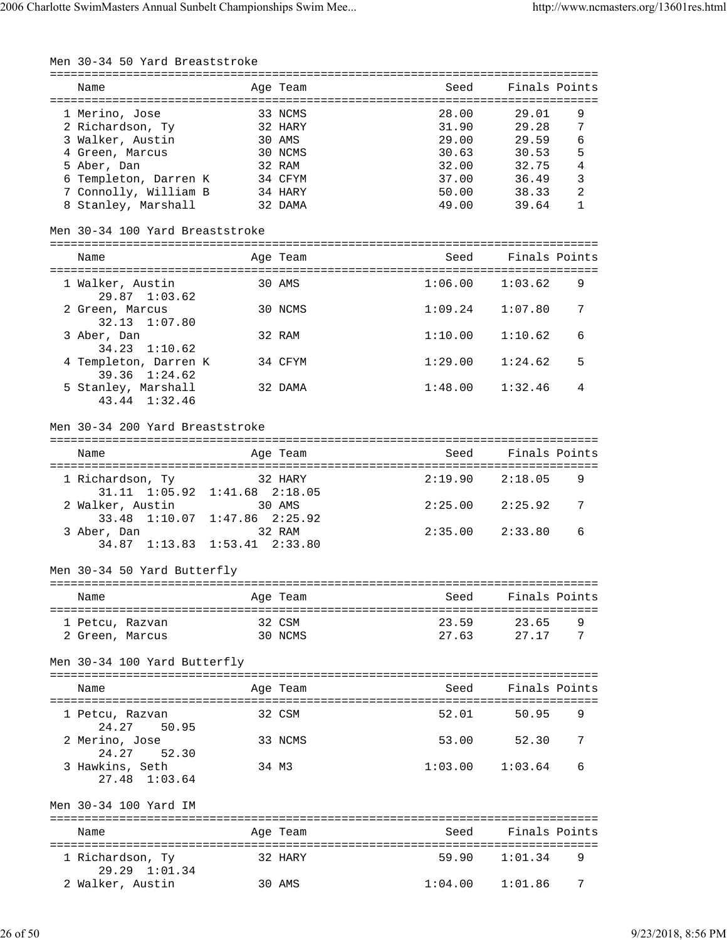| Men 30-34 50 Yard Breaststroke                             |                     |          | =============== |               |              |
|------------------------------------------------------------|---------------------|----------|-----------------|---------------|--------------|
| Name                                                       |                     | Age Team | Seed            | Finals Points |              |
|                                                            |                     |          |                 |               |              |
| 1 Merino, Jose                                             |                     | 33 NCMS  | 28.00           | 29.01         | 9            |
| 2 Richardson, Ty                                           |                     | 32 HARY  | 31.90           | 29.28         | 7            |
| 3 Walker, Austin                                           |                     | 30 AMS   | 29.00           | 29.59         | 6            |
| 4 Green, Marcus                                            |                     | 30 NCMS  | 30.63           | 30.53         | 5            |
| 5 Aber, Dan                                                |                     | 32 RAM   | 32.00           | 32.75         | 4            |
| 6 Templeton, Darren K                                      |                     | 34 CFYM  | 37.00           | 36.49         | 3            |
| 7 Connolly, William B                                      |                     | 34 HARY  | 50.00           | 38.33         | 2            |
| 8 Stanley, Marshall                                        |                     | 32 DAMA  | 49.00           | 39.64         | $\mathbf{1}$ |
| Men 30-34 100 Yard Breaststroke                            |                     |          |                 |               |              |
| Name                                                       |                     | Age Team | Seed            | Finals Points |              |
| ======================================<br>1 Walker, Austin |                     | 30 AMS   | 1:06.00         | 1:03.62       | 9            |
| $29.87$ $1:03.62$                                          |                     |          |                 |               |              |
| 2 Green, Marcus<br>32.13 1:07.80                           |                     | 30 NCMS  | 1:09.24         | 1:07.80       | 7            |
| 3 Aber, Dan                                                |                     | 32 RAM   | 1:10.00         | 1:10.62       | 6            |
| 34.23 1:10.62<br>4 Templeton, Darren K                     |                     | 34 CFYM  | 1:29.00         | 1:24.62       | 5            |
| 39.36 1:24.62<br>5 Stanley, Marshall                       |                     | 32 DAMA  | 1:48.00         | 1:32.46       | 4            |
| 43.44 1:32.46                                              |                     |          |                 |               |              |
| Men 30-34 200 Yard Breaststroke                            |                     |          |                 |               |              |
|                                                            |                     |          |                 |               |              |
| Name                                                       |                     | Age Team | Seed            | Finals Points |              |
| 1 Richardson, Ty                                           |                     | 32 HARY  | 2:19.90         | 2:18.05       | 9            |
| 31.11 1:05.92 1:41.68 2:18.05                              |                     |          |                 |               |              |
| 2 Walker, Austin                                           |                     | 30 AMS   | 2:25.00         | 2:25.92       | 7            |
| 33.48 1:10.07                                              | $1:47.86$ $2:25.92$ |          |                 |               |              |
| 3 Aber, Dan                                                |                     | 32 RAM   | 2:35.00         | 2:33.80       | 6            |
| 34.87 1:13.83 1:53.41 2:33.80                              |                     |          |                 |               |              |
|                                                            |                     |          |                 |               |              |
| Men 30-34 50 Yard Butterfly                                |                     |          |                 |               |              |
| Name                                                       |                     | Age Team | Seed            | Finals Points |              |
| 1 Petcu, Razvan                                            |                     | 32 CSM   | 23.59           | 23.65         | 9            |
| 2 Green, Marcus                                            |                     | 30 NCMS  | 27.63           | 27.17         | 7            |
|                                                            |                     |          |                 |               |              |
| Men 30-34 100 Yard Butterfly                               |                     |          |                 |               |              |
| Name                                                       |                     | Age Team | Seed            | Finals Points |              |
| =====================<br>1 Petcu, Razvan                   |                     | 32 CSM   | 52.01           | 50.95         | 9            |
| 24.27<br>50.95<br>2 Merino, Jose                           |                     | 33 NCMS  | 53.00           | 52.30         | 7            |
| 24.27<br>52.30                                             |                     |          |                 |               |              |
| 3 Hawkins, Seth<br>27.48<br>1:03.64                        |                     | 34 M3    | 1:03.00         | 1:03.64       | 6            |
| Men 30-34 100 Yard IM                                      |                     |          |                 |               |              |
| Name                                                       |                     | Age Team | Seed            | Finals Points |              |
| 1 Richardson, Ty<br>29.29 1:01.34                          |                     | 32 HARY  | 59.90           | 1:01.34       | 9            |
| 2 Walker, Austin                                           |                     | 30 AMS   | 1:04.00         | 1:01.86       | 7            |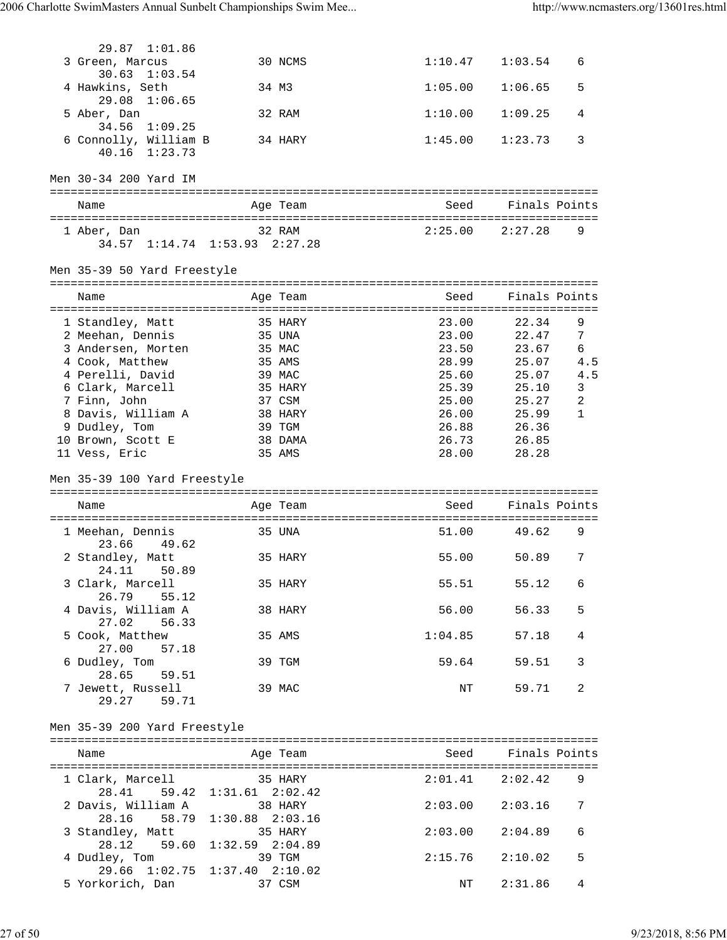| 29.87 1:01.86                          |                               |                |                    |              |
|----------------------------------------|-------------------------------|----------------|--------------------|--------------|
| 3 Green, Marcus                        | 30 NCMS                       | 1:10.47        | 1:03.54            | 6            |
| $30.63$ $1:03.54$                      |                               |                |                    |              |
| 4 Hawkins, Seth<br>29.08 1:06.65       | 34 M3                         | 1:05.00        | 1:06.65            | 5            |
| 5 Aber, Dan                            | 32 RAM                        | 1:10.00        | 1:09.25            | 4            |
| 34.56 1:09.25                          |                               |                |                    |              |
| 6 Connolly, William B<br>40.16 1:23.73 | 34 HARY                       | 1:45.00        | 1:23.73            | 3            |
|                                        |                               |                |                    |              |
| Men 30-34 200 Yard IM                  |                               |                |                    |              |
|                                        |                               |                |                    |              |
| Name                                   | Age Team                      |                | Seed Finals Points |              |
| 1 Aber, Dan                            | 32 RAM                        | 2:25.00        | 2:27.28            | 9            |
| 34.57 1:14.74 1:53.93 2:27.28          |                               |                |                    |              |
|                                        |                               |                |                    |              |
| Men 35-39 50 Yard Freestyle            |                               |                |                    |              |
| Name                                   | Age Team                      | Seed           | Finals Points      |              |
|                                        |                               |                |                    |              |
| 1 Standley, Matt<br>2 Meehan, Dennis   | 35 HARY<br>35 UNA             | 23.00<br>23.00 | 22.34<br>22.47     | 9<br>7       |
| 3 Andersen, Morten                     | 35 MAC                        | 23.50          | 23.67              | 6            |
| 4 Cook, Matthew                        | 35 AMS                        | 28.99          | 25.07              | 4.5          |
| 4 Perelli, David                       | 39 MAC                        | 25.60          | 25.07              | 4.5          |
| 6 Clark, Marcell                       | 35 HARY                       |                | 25.39 25.10        | 3            |
| 7 Finn, John                           | 37 CSM                        | 25.00          | 25.27              | 2            |
| 8 Davis, William A                     | 38 HARY                       | 26.00          | 25.99              | $\mathbf{1}$ |
| 9 Dudley, Tom                          | 39 TGM                        | 26.88          | 26.36              |              |
| 10 Brown, Scott E                      | 38 DAMA                       | 26.73          | 26.85              |              |
| 11 Vess, Eric                          | 35 AMS                        | 28.00          | 28.28              |              |
|                                        |                               |                |                    |              |
|                                        |                               |                |                    |              |
| Men 35-39 100 Yard Freestyle           |                               |                |                    |              |
|                                        |                               |                |                    |              |
| Name                                   | Age Team                      | Seed           | Finals Points      |              |
|                                        |                               |                |                    |              |
| 1 Meehan, Dennis                       | 35 UNA                        | 51.00          | 49.62              | 9            |
| 23.66<br>49.62                         |                               |                | 50.89              | 7            |
| 2 Standley, Matt<br>24.11              | 35 HARY                       | 55.00          |                    |              |
| 50.89<br>3 Clark, Marcell              | 35 HARY                       | 55.51          | 55.12              | 6            |
| 26.79<br>55.12                         |                               |                |                    |              |
| 4 Davis, William A                     | 38 HARY                       | 56.00          | 56.33              | 5            |
| 27.02<br>56.33                         |                               |                |                    |              |
| 5 Cook, Matthew                        | 35 AMS                        | 1:04.85        | 57.18              | 4            |
| 27.00<br>57.18                         |                               |                |                    |              |
| 6 Dudley, Tom<br>28.65<br>59.51        | 39 TGM                        | 59.64          | 59.51              | 3            |
| 7 Jewett, Russell                      | 39 MAC                        | NΤ             | 59.71              | 2            |
| 29.27 59.71                            |                               |                |                    |              |
|                                        |                               |                |                    |              |
| Men 35-39 200 Yard Freestyle           |                               |                |                    |              |
| Name                                   | Age Team                      |                | Seed Finals Points |              |
|                                        |                               |                |                    |              |
| 1 Clark, Marcell                       | 35 HARY                       | 2:01.41        | 2:02.42            | 9            |
| 28.41<br>59.42                         | $1:31.61$ $2:02.42$           |                |                    |              |
| 2 Davis, William A                     | 38 HARY                       | 2:03.00        | 2:03.16            | 7            |
| 28.16 58.79                            | $1:30.88$ $2:03.16$           |                |                    |              |
| 3 Standley, Matt                       | 35 HARY                       | 2:03.00        | 2:04.89            | 6            |
| 28.12                                  | 59.60 1:32.59 2:04.89         |                |                    |              |
| 4 Dudley, Tom                          | 39 TGM                        | 2:15.76        | 2:10.02            | 5            |
| 29.66 1:02.75<br>5 Yorkorich, Dan      | $1:37.40$ $2:10.02$<br>37 CSM | NΤ             | 2:31.86            | 4            |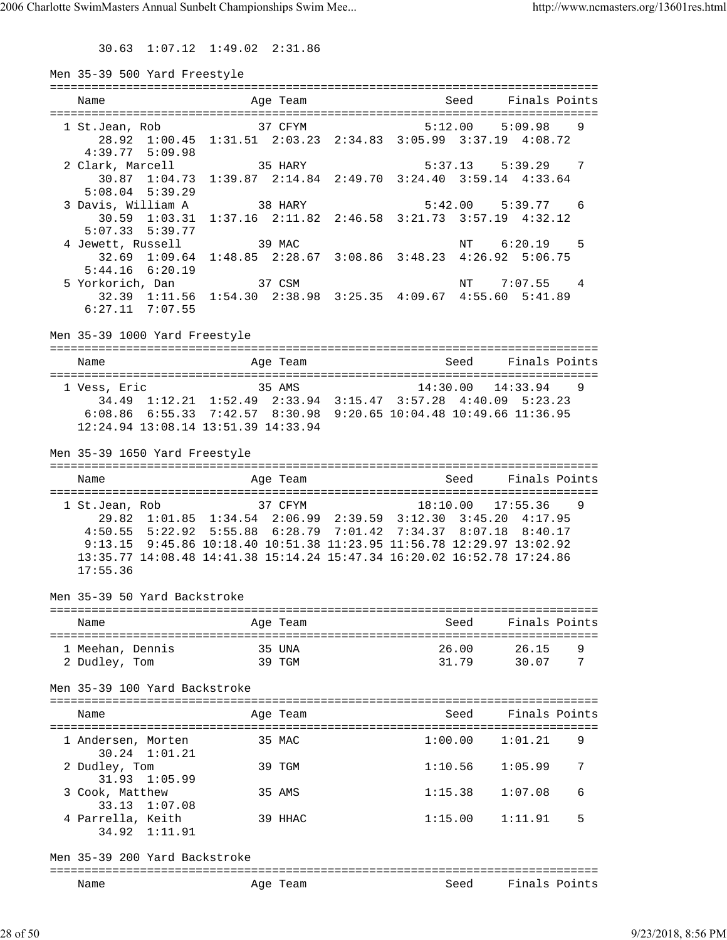30.63 1:07.12 1:49.02 2:31.86

| Men 35-39 500 Yard Freestyle                             |                                                                                                                                                                                                                                                                                                 |                       |                       |        |
|----------------------------------------------------------|-------------------------------------------------------------------------------------------------------------------------------------------------------------------------------------------------------------------------------------------------------------------------------------------------|-----------------------|-----------------------|--------|
| Name                                                     | Age Team                                                                                                                                                                                                                                                                                        | Seed                  | Finals Points         |        |
| 1 St.Jean, Rob<br>$4:39.77$ $5:09.98$                    | 37 CFYM<br>28.92 1:00.45 1:31.51 2:03.23 2:34.83 3:05.99 3:37.19 4:08.72                                                                                                                                                                                                                        | $5:12.00$ $5:09.98$   |                       | 9      |
| 2 Clark, Marcell<br>30.87 1:04.73<br>$5:08.04$ $5:39.29$ | 35 HARY<br>1:39.87 2:14.84 2:49.70 3:24.40 3:59.14 4:33.64                                                                                                                                                                                                                                      |                       | $5:37.13$ $5:39.29$ 7 |        |
| 3 Davis, William A<br>$5:07.33$ $5:39.77$                | 38 HARY<br>30.59 1:03.31 1:37.16 2:11.82 2:46.58 3:21.73 3:57.19 4:32.12                                                                                                                                                                                                                        |                       | 5:42.00 5:39.77 6     |        |
| 4 Jewett, Russell<br>$5:44.16$ $6:20.19$                 | 39 MAC<br>32.69 1:09.64 1:48.85 2:28.67 3:08.86 3:48.23 4:26.92 5:06.75                                                                                                                                                                                                                         |                       | NT 6:20.19            | -5     |
| 5 Yorkorich, Dan<br>$6:27.11$ $7:07.55$                  | $37 \text{ CSM}$<br>32.39 1:11.56 1:54.30 2:38.98 3:25.35 4:09.67 4:55.60 5:41.89                                                                                                                                                                                                               |                       | NT 7:07.55 4          |        |
| Men 35-39 1000 Yard Freestyle                            |                                                                                                                                                                                                                                                                                                 |                       |                       |        |
| Name                                                     | Age Team                                                                                                                                                                                                                                                                                        | Seed Finals Points    |                       |        |
| 1 Vess, Eric                                             | 35 AMS<br>34.49 1:12.21 1:52.49 2:33.94 3:15.47 3:57.28 4:40.09 5:23.23<br>6:08.86 6:55.33 7:42.57 8:30.98 9:20.65 10:04.48 10:49.66 11:36.95<br>12:24.94 13:08.14 13:51.39 14:33.94                                                                                                            |                       | $14:30.00$ $14:33.94$ | 9      |
| Men 35-39 1650 Yard Freestyle                            |                                                                                                                                                                                                                                                                                                 |                       |                       |        |
| Name                                                     | Age Team                                                                                                                                                                                                                                                                                        | <b>Seed</b>           | Finals Points         |        |
| 1 St.Jean, Rob<br>17:55.36                               | 37 CFYM<br>29.82 1:01.85 1:34.54 2:06.99 2:39.59 3:12.30 3:45.20 4:17.95<br>4:50.55 5:22.92 5:55.88 6:28.79 7:01.42 7:34.37 8:07.18 8:40.17<br>9:13.15 9:45.86 10:18.40 10:51.38 11:23.95 11:56.78 12:29.97 13:02.92<br>13:35.77 14:08.48 14:41.38 15:14.24 15:47.34 16:20.02 16:52.78 17:24.86 | $18:10.00$ $17:55.36$ |                       | 9      |
| Men 35-39 50 Yard Backstroke                             |                                                                                                                                                                                                                                                                                                 |                       |                       |        |
| Name                                                     | Age Team                                                                                                                                                                                                                                                                                        | Seed                  | Finals Points         |        |
| 1 Meehan, Dennis<br>2 Dudley, Tom                        | 35 UNA<br>39 TGM                                                                                                                                                                                                                                                                                | 26.00<br>31.79        | 26.15<br>30.07        | 9<br>7 |
| Men 35-39 100 Yard Backstroke                            |                                                                                                                                                                                                                                                                                                 |                       |                       |        |
| Name                                                     | Age Team                                                                                                                                                                                                                                                                                        | Seed                  | Finals Points         |        |
| 1 Andersen, Morten<br>30.24 1:01.21                      | 35 MAC                                                                                                                                                                                                                                                                                          | 1:00.00               | 1:01.21               | 9      |
| 2 Dudley, Tom<br>$31.93$ $1:05.99$                       | 39 TGM                                                                                                                                                                                                                                                                                          | 1:10.56               | 1:05.99               | 7      |
| 3 Cook, Matthew<br>33.13 1:07.08                         | 35 AMS                                                                                                                                                                                                                                                                                          | 1:15.38               | 1:07.08               | 6      |
| 4 Parrella, Keith<br>34.92 1:11.91                       | 39 HHAC                                                                                                                                                                                                                                                                                         | 1:15.00               | 1:11.91               | 5      |
| Men 35-39 200 Yard Backstroke                            |                                                                                                                                                                                                                                                                                                 |                       | =================     |        |
| Name                                                     | Age Team                                                                                                                                                                                                                                                                                        | Seed                  | Finals Points         |        |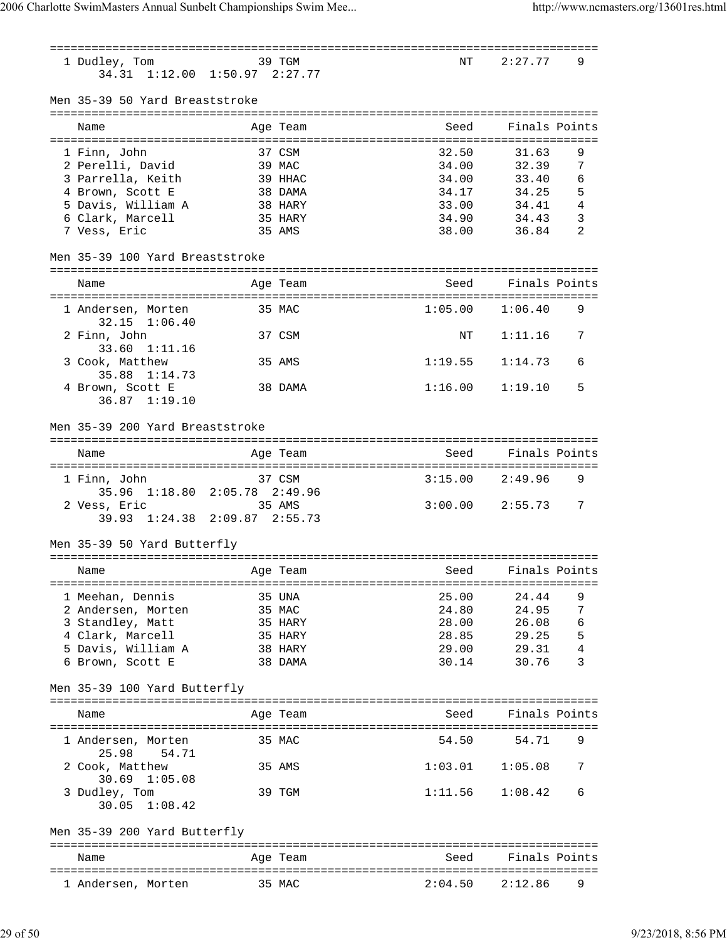=============================================================================== NT 2:27.77 9 34.31 1:12.00 1:50.97 2:27.77 Men 35-39 50 Yard Breaststroke =============================================================================== Name Age Team Seed Finals Points =============================================================================== 1 Finn, John 37 CSM 32.50 31.63 9 2 Perelli, David 39 MAC 34.00 32.39 7 3 Parrella, Keith 39 HHAC 34.00 33.40 6 4 Brown, Scott E 38 DAMA 34.17 34.25 5 5 Davis, William A 38 HARY 33.00 34.41 4 6 Clark, Marcell 35 HARY 34.90 34.43 3 7 Vess, Eric 35 AMS 38.00 36.84 2 Men 35-39 100 Yard Breaststroke =============================================================================== Name Age Team Seed Finals Points =============================================================================== 1 Andersen, Morten 35 MAC 1:05.00 1:06.40 9 32.15 1:06.40 2 Finn, John 37 CSM NT 1:11.16 7 33.60 1:11.16 3 Cook, Matthew 35 AMS 1:19.55 1:14.73 6 35.88 1:14.73 4 Brown, Scott E 38 DAMA 1:16.00 1:19.10 5 36.87 1:19.10 Men 35-39 200 Yard Breaststroke =============================================================================== Name and Age Team Seed Finals Points =============================================================================== 1 Finn, John 37 CSM 3:15.00 2:49.96 9 35.96 1:18.80 2:05.78 2:49.96 2 Vess, Eric 35 AMS 3:00.00 2:55.73 7 39.93 1:24.38 2:09.87 2:55.73 Men 35-39 50 Yard Butterfly =============================================================================== Age Team Seed Finals Points =============================================================================== 1 Meehan, Dennis 35 UNA 25.00 24.44 9 2 Andersen, Morten 35 MAC 24.80 24.95 7 3 Standley, Matt 35 HARY 28.00 26.08 6 4 Clark, Marcell 35 HARY 28.85 29.25 5 5 Davis, William A 38 HARY 29.00 29.31 4 6 Brown, Scott E 38 DAMA 30.14 30.76 3 Men 35-39 100 Yard Butterfly =============================================================================== Name and Age Team Seed Finals Points =============================================================================== 1 Andersen, Morten 35 MAC 54.50 54.71 25.98 54.71 2 Cook, Matthew 35 AMS 1:03.01 1:05.08 7 30.69 1:05.08 3 Dudley, Tom 39 TGM 1:11.56 1:08.42 6 30.05 1:08.42 Men 35-39 200 Yard Butterfly =============================================================================== Name and Age Team Seed Finals Points =============================================================================== 1 Andersen, Morten 35 MAC 2:04.50 2:12.86 9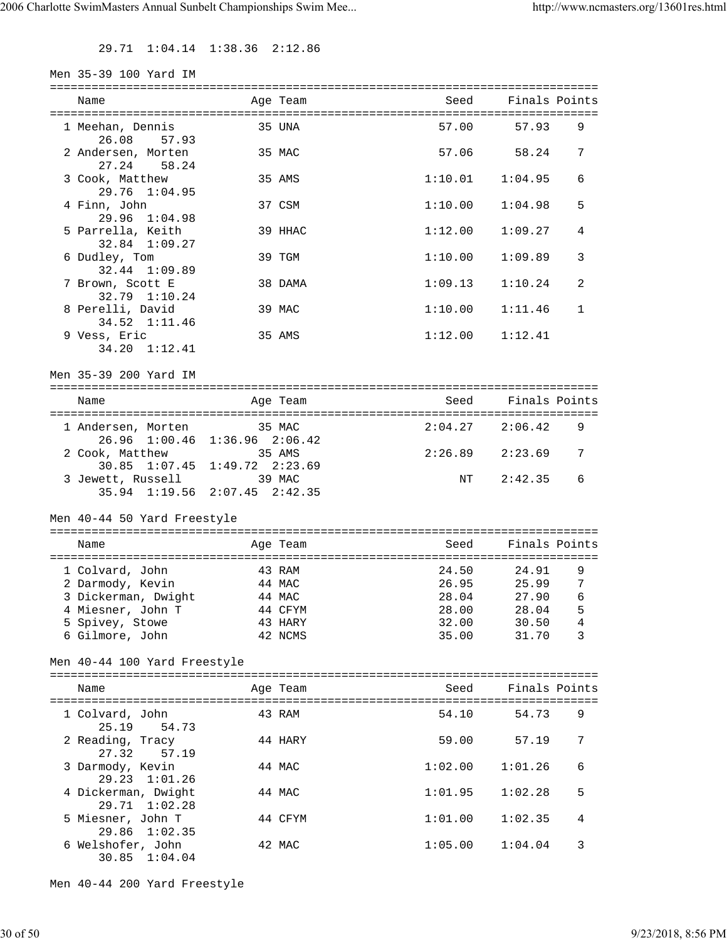29.71 1:04.14 1:38.36 2:12.86

| Men 35-39 100 Yard IM                          |                                         |                     |               |                |
|------------------------------------------------|-----------------------------------------|---------------------|---------------|----------------|
| Name                                           | Age Team                                | Seed                | Finals Points |                |
|                                                |                                         |                     |               |                |
| 1 Meehan, Dennis<br>26.08<br>57.93             | 35 UNA                                  | 57.00               | 57.93         | 9              |
| 2 Andersen, Morten<br>27.24 58.24              | 35 MAC                                  | 57.06               | 58.24         | 7              |
| 3 Cook, Matthew<br>$29.76$ $1:04.95$           | 35 AMS                                  | $1:10.01$ $1:04.95$ |               | 6              |
| 4 Finn, John<br>$29.96$ $1:04.98$              | 37 CSM                                  | 1:10.00             | 1:04.98       | 5              |
| 5 Parrella, Keith                              | 39 HHAC                                 | 1:12.00             | 1:09.27       | 4              |
| 32.84 1:09.27<br>6 Dudley, Tom                 | 39 TGM                                  | 1:10.00             | 1:09.89       | 3              |
| 32.44 1:09.89<br>7 Brown, Scott E              | 38 DAMA                                 | 1:09.13             | 1:10.24       | 2              |
| 32.79 1:10.24<br>8 Perelli, David              | 39 MAC                                  | 1:10.00             | 1:11.46       | $\mathbf{1}$   |
| 34.52 1:11.46<br>9 Vess, Eric<br>34.20 1:12.41 | 35 AMS                                  | 1:12.00             | 1:12.41       |                |
| Men 35-39 200 Yard IM                          |                                         |                     |               |                |
|                                                |                                         |                     |               |                |
| Name                                           | Age Team                                | Seed                | Finals Points |                |
| 1 Andersen, Morten 35 MAC                      | 26.96 1:00.46 1:36.96 2:06.42           | $2:04.27$ $2:06.42$ |               | 9              |
| 2 Cook, Matthew                                | 35 AMS<br>30.85 1:07.45 1:49.72 2:23.69 | $2:26.89$ $2:23.69$ |               | 7              |
| 3 Jewett, Russell                              | 39 MAC<br>35.94 1:19.56 2:07.45 2:42.35 | NT                  | 2:42.35       | 6              |
| Men 40-44 50 Yard Freestyle                    |                                         |                     |               |                |
| Name                                           | Age Team                                | Seed                | Finals Points |                |
| 1 Colvard, John                                | 43 RAM                                  | 24.50               | 24.91         | 9              |
| 2 Darmody, Kevin                               | 44 MAC                                  | 26.95               | 25.99         | 7              |
| 3 Dickerman, Dwight                            | 44 MAC                                  | 28.04               | 27.90         | 6              |
| 4 Miesner, John T                              | 44 CFYM                                 | 28.00               | 28.04         | 5              |
| 5 Spivey, Stowe                                | 43 HARY                                 | 32.00               | 30.50         | $\overline{4}$ |
| 6 Gilmore, John                                | 42 NCMS                                 | 35.00               | 31.70         | 3              |
| Men 40-44 100 Yard Freestyle                   |                                         |                     |               |                |
| Name                                           | Age Team                                | Seed                | Finals Points |                |
| 1 Colvard, John<br>25.19<br>54.73              | 43 RAM                                  | 54.10               | 54.73         | 9              |
| 2 Reading, Tracy<br>27.32<br>57.19             | 44 HARY                                 | 59.00               | 57.19         | 7              |
| 3 Darmody, Kevin<br>29.23 1:01.26              | 44 MAC                                  | 1:02.00             | 1:01.26       | 6              |
| 4 Dickerman, Dwight<br>29.71 1:02.28           | 44 MAC                                  | 1:01.95             | 1:02.28       | 5              |
| 5 Miesner, John T<br>29.86 1:02.35             | 44 CFYM                                 | 1:01.00             | 1:02.35       | 4              |
| 6 Welshofer, John<br>30.85 1:04.04             | 42 MAC                                  | 1:05.00             | 1:04.04       | 3              |

Men 40-44 200 Yard Freestyle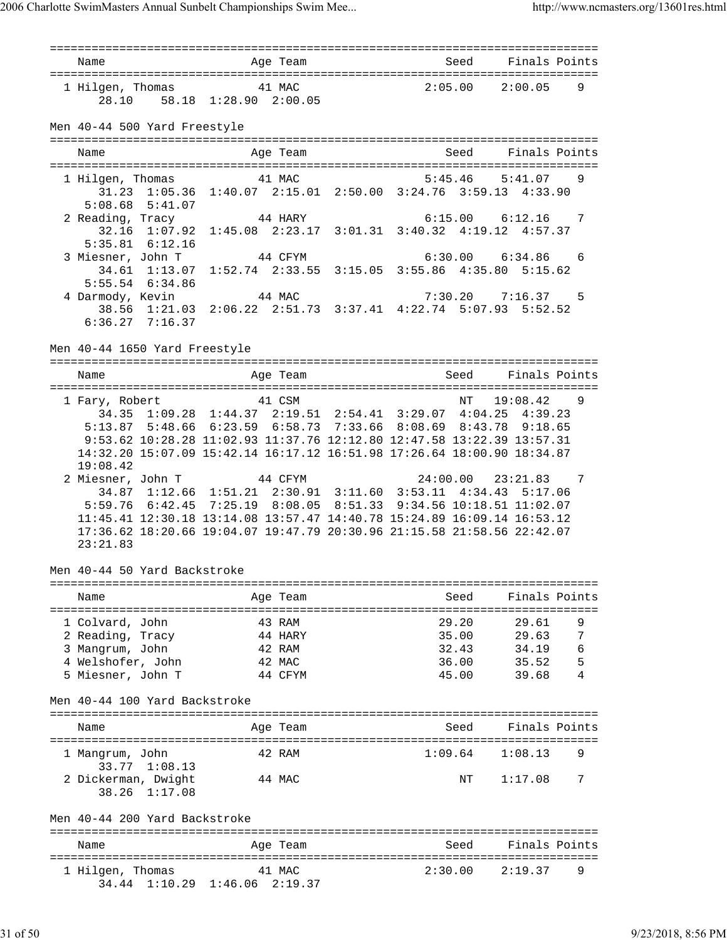=============================================================================== Name and Age Team Seed Finals Points =============================================================================== 1 Hilgen, Thomas 41 MAC 2:05.00 2:00.05 9 28.10 58.18 1:28.90 2:00.05 Men 40-44 500 Yard Freestyle =============================================================================== Name Age Team Seed Finals Points Age Team Seed Finals Points =============================================================================== 1 Hilgen, Thomas 41 MAC 5:45.46 5:41.07 9 31.23 1:05.36 1:40.07 2:15.01 2:50.00 3:24.76 3:59.13 4:33.90 5:08.68 5:41.07 2 Reading, Tracy 44 HARY 6:15.00 6:12.16 7 32.16 1:07.92 1:45.08 2:23.17 3:01.31 3:40.32 4:19.12 4:57.37 5:35.81 6:12.16 3 Miesner, John T 44 CFYM 6:30.00 6:34.86 6 34.61 1:13.07 1:52.74 2:33.55 3:15.05 3:55.86 4:35.80 5:15.62  $5:55.54$  6:34.86 4 Darmody, Kevin 44 MAC 7:30.20 7:16.37 5 38.56 1:21.03 2:06.22 2:51.73 3:37.41 4:22.74 5:07.93 5:52.52 6:36.27 7:16.37 Men 40-44 1650 Yard Freestyle =============================================================================== Name Age Team Seed Finals Points =============================================================================== 1 Fary, Robert 41 CSM NT 19:08.42 9 34.35 1:09.28 1:44.37 2:19.51 2:54.41 3:29.07 4:04.25 4:39.23 5:13.87 5:48.66 6:23.59 6:58.73 7:33.66 8:08.69 8:43.78 9:18.65 9:53.62 10:28.28 11:02.93 11:37.76 12:12.80 12:47.58 13:22.39 13:57.31 14:32.20 15:07.09 15:42.14 16:17.12 16:51.98 17:26.64 18:00.90 18:34.87 19:08.42 2 Miesner, John T 44 CFYM 24:00.00 23:21.83 7 34.87 1:12.66 1:51.21 2:30.91 3:11.60 3:53.11 4:34.43 5:17.06 5:59.76 6:42.45 7:25.19 8:08.05 8:51.33 9:34.56 10:18.51 11:02.07 11:45.41 12:30.18 13:14.08 13:57.47 14:40.78 15:24.89 16:09.14 16:53.12 17:36.62 18:20.66 19:04.07 19:47.79 20:30.96 21:15.58 21:58.56 22:42.07 23:21.83 Men 40-44 50 Yard Backstroke =============================================================================== Name Age Team Seed Finals Points =============================================================================== 1 Colvard, John 43 RAM 29.20 29.61 9<br>
2 Reading, Tracy 35.00 29.63 7<br>
3 Mangrum, John 42 RAM 32.43 34.19 6<br>
4 Welshofer, John 42 MAC 36.00 35.52 5<br>
1 Mangrum, John 42 MAC 36.00 35.52 5 2 Reading, Tracy 44 HARY 35.00 29.63 7 3 Mangrum, John 42 RAM 32.43 34.19 6 4 Welshofer, John 42 MAC 36.00 35.52 5 5 Miesner, John T 44 CFYM 45.00 39.68 4 Men 40-44 100 Yard Backstroke =============================================================================== Name **Age Team** Age Team Seed Finals Points =============================================================================== 1 Mangrum, John 42 RAM 1:09.64 1:08.13 9 33.77 1:08.13 2 Dickerman, Dwight 44 MAC 1:17.08 7 38.26 1:17.08 Men 40-44 200 Yard Backstroke =============================================================================== Name and Age Team Seed Finals Points =============================================================================== 1 Hilgen, Thomas 41 MAC 2:30.00 2:19.37 9 34.44 1:10.29 1:46.06 2:19.37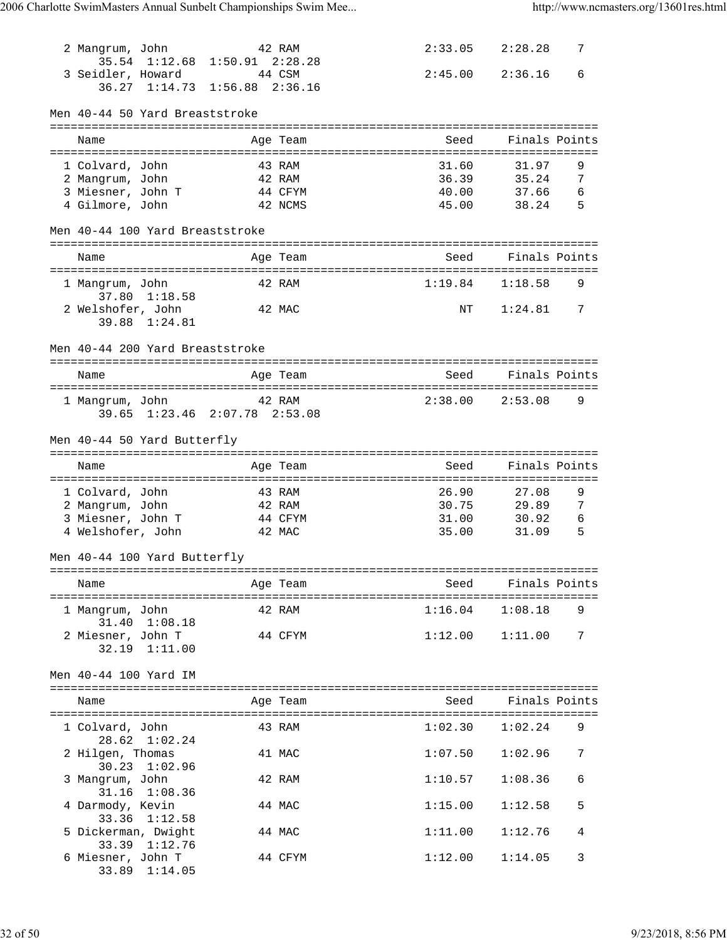| 2 Mangrum, John                      |               |                                        | 42 RAM            |                           | 2:33.05             | 2:28.28        | 7             |
|--------------------------------------|---------------|----------------------------------------|-------------------|---------------------------|---------------------|----------------|---------------|
| 3 Seidler, Howard                    | 35.54 1:12.68 | $1:50.91$ $2:28.28$                    | 44 CSM            | 2:45.00                   |                     | 2:36.16        | 6             |
|                                      | 36.27 1:14.73 | $1:56.88$ $2:36.16$                    |                   |                           |                     |                |               |
|                                      |               |                                        |                   |                           |                     |                |               |
| Men 40-44 50 Yard Breaststroke       |               |                                        |                   |                           |                     |                |               |
| Name                                 |               |                                        | Age Team          |                           | Seed                |                | Finals Points |
|                                      |               | ====================================== |                   | ========================= | =======             |                |               |
| 1 Colvard, John                      |               |                                        | 43 RAM            |                           | 31.60               | 31.97          | 9             |
| 2 Mangrum, John<br>3 Miesner, John T |               |                                        | 42 RAM<br>44 CFYM |                           | 36.39<br>40.00      | 35.24<br>37.66 | 7<br>6        |
| 4 Gilmore, John                      |               |                                        | 42 NCMS           |                           | 45.00               | 38.24          | 5             |
|                                      |               |                                        |                   |                           |                     |                |               |
| Men 40-44 100 Yard Breaststroke      |               |                                        |                   |                           |                     |                |               |
| Name                                 |               |                                        | Age Team          |                           | Seed                |                | Finals Points |
| 1 Mangrum, John                      |               |                                        | 42 RAM            | 1:19.84                   |                     | 1:18.58        | 9             |
|                                      | 37.80 1:18.58 |                                        |                   |                           |                     |                |               |
| 2 Welshofer, John                    |               |                                        | 42 MAC            |                           | NΤ                  | 1:24.81        | 7             |
|                                      | 39.88 1:24.81 |                                        |                   |                           |                     |                |               |
| Men 40-44 200 Yard Breaststroke      |               |                                        |                   |                           |                     |                |               |
|                                      |               |                                        |                   |                           |                     |                |               |
| Name                                 |               |                                        | Age Team          |                           | Seed                |                | Finals Points |
| 1 Mangrum, John                      |               |                                        | 42 RAM            | 2:38.00                   |                     | 2:53.08        | 9             |
|                                      |               | 39.65 1:23.46 2:07.78 2:53.08          |                   |                           |                     |                |               |
|                                      |               |                                        |                   |                           |                     |                |               |
| Men 40-44 50 Yard Butterfly          |               |                                        |                   |                           |                     |                |               |
|                                      |               |                                        |                   |                           |                     |                |               |
| Name                                 |               |                                        | Age Team          |                           | Seed                |                | Finals Points |
|                                      |               |                                        |                   |                           |                     |                |               |
| 1 Colvard, John                      |               |                                        | 43 RAM            |                           | 26.90               | 27.08          | 9             |
| 2 Mangrum, John<br>3 Miesner, John T |               |                                        | 42 RAM<br>44 CFYM |                           | 30.75<br>31.00      | 29.89<br>30.92 | 7<br>6        |
| 4 Welshofer, John                    |               |                                        | 42 MAC            |                           | 35.00               | 31.09          | 5             |
|                                      |               |                                        |                   |                           |                     |                |               |
| Men 40-44 100 Yard Butterfly         |               |                                        |                   |                           |                     |                |               |
| Name                                 |               |                                        | Age Team          |                           | Seed                |                | Finals Points |
|                                      |               |                                        |                   |                           |                     |                |               |
| 1 Mangrum, John                      |               |                                        | 42 RAM            |                           | 1:16.04             | 1:08.18        | 9             |
| 2 Miesner, John T                    | 31.40 1:08.18 |                                        | 44 CFYM           |                           | $1:12.00$ $1:11.00$ |                | 7             |
|                                      | 32.19 1:11.00 |                                        |                   |                           |                     |                |               |
|                                      |               |                                        |                   |                           |                     |                |               |
| Men 40-44 100 Yard IM                |               |                                        |                   |                           |                     |                |               |
| Name                                 |               |                                        | Age Team          |                           | Seed                |                | Finals Points |
|                                      |               |                                        |                   |                           |                     |                |               |
| 1 Colvard, John                      | 28.62 1:02.24 |                                        | 43 RAM            |                           | 1:02.30             | 1:02.24        | 9             |
| 2 Hilgen, Thomas                     |               |                                        | 41 MAC            |                           | 1:07.50             | 1:02.96        | 7             |
|                                      | 30.23 1:02.96 |                                        |                   |                           |                     |                |               |
| 3 Mangrum, John                      |               |                                        | 42 RAM            |                           | 1:10.57             | 1:08.36        | 6             |
| 4 Darmody, Kevin                     | 31.16 1:08.36 |                                        | 44 MAC            |                           | 1:15.00             | 1:12.58        | 5             |
|                                      | 33.36 1:12.58 |                                        |                   |                           |                     |                |               |
| 5 Dickerman, Dwight                  |               |                                        | 44 MAC            |                           | 1:11.00             | 1:12.76        | 4             |
| 6 Miesner, John T                    | 33.39 1:12.76 |                                        | 44 CFYM           |                           | 1:12.00             | 1:14.05        | 3             |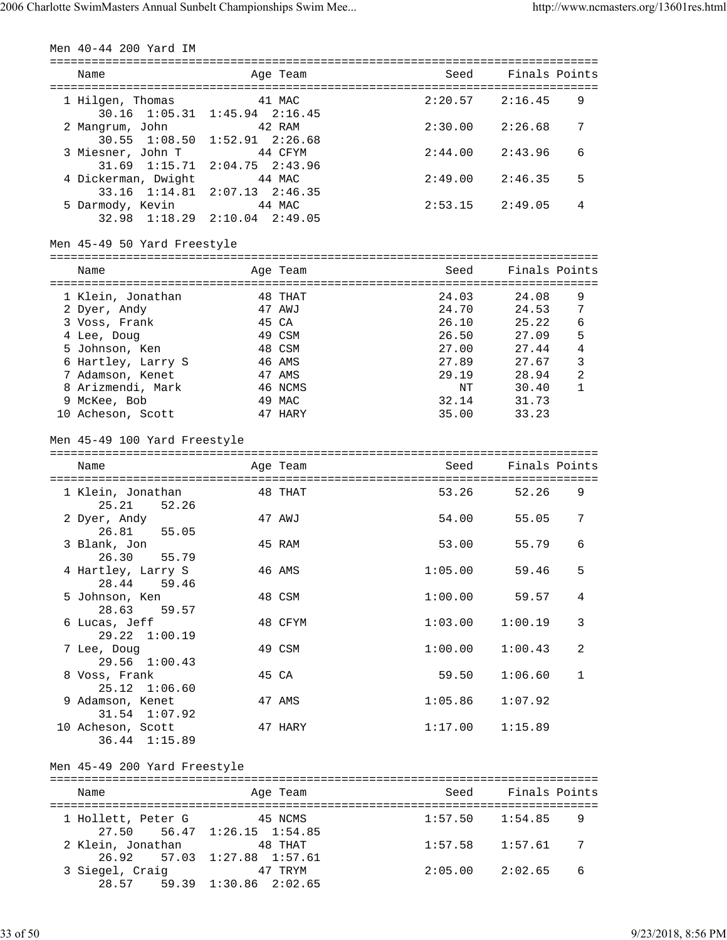| Men 40-44 200 Yard IM                 |                                         |         |                 |              |
|---------------------------------------|-----------------------------------------|---------|-----------------|--------------|
| Name                                  | Age Team                                | Seed    | Finals Points   |              |
| 1 Hilgen, Thomas                      | 41 MAC<br>30.16 1:05.31 1:45.94 2:16.45 | 2:20.57 | 2:16.45         | 9            |
| 2 Mangrum, John                       | 42 RAM<br>30.55 1:08.50 1:52.91 2:26.68 | 2:30.00 | 2:26.68         | 7            |
| 3 Miesner, John T<br>31.69 1:15.71    | 44 CFYM<br>$2:04.75$ $2:43.96$          | 2:44.00 | 2:43.96         | 6            |
| 4 Dickerman, Dwight<br>33.16 1:14.81  | 44 MAC<br>$2:07.13$ $2:46.35$           | 2:49.00 | 2:46.35         | 5            |
| 5 Darmody, Kevin<br>$32.98$ $1:18.29$ | 44 MAC<br>$2:10.04$ $2:49.05$           | 2:53.15 | 2:49.05         | 4            |
| Men 45-49 50 Yard Freestyle           |                                         |         |                 |              |
| Name                                  | Age Team                                | Seed    | Finals Points   |              |
| 1 Klein, Jonathan                     | 48 THAT                                 | 24.03   | 24.08           | 9            |
| 2 Dyer, Andy                          | 47 AWJ                                  | 24.70   | 24.53           | 7            |
| 3 Voss, Frank                         | 45 CA                                   | 26.10   | 25.22           | 6            |
| 4 Lee, Doug                           | 49 CSM                                  | 26.50   | 27.09           | 5            |
| 5 Johnson, Ken                        | 48 CSM                                  | 27.00   | 27.44           | 4            |
| 6 Hartley, Larry S                    | 46 AMS                                  | 27.89   | 27.67           | 3            |
| 7 Adamson, Kenet                      | 47 AMS                                  |         | 29.19 28.94     | 2            |
| 8 Arizmendi, Mark                     | 46 NCMS                                 | NΤ      | 30.40           | $\mathbf{1}$ |
| 9 McKee, Bob                          | 49 MAC                                  | 32.14   | 31.73           |              |
| 10 Acheson, Scott                     | 47 HARY                                 | 35.00   | 33.23           |              |
| Men 45-49 100 Yard Freestyle          |                                         |         |                 |              |
|                                       |                                         |         |                 |              |
| Name                                  | Age Team                                | Seed    | Finals Points   |              |
|                                       |                                         |         |                 |              |
| 1 Klein, Jonathan                     | 48 THAT                                 | 53.26   | 52.26           | 9            |
| 25.21 52.26<br>2 Dyer, Andy           | 47 AWJ                                  | 54.00   | 55.05           | 7            |
| 26.81<br>55.05                        |                                         |         |                 |              |
| 3 Blank, Jon                          | 45 RAM                                  | 53.00   | 55.79           | 6            |
| 26.30<br>55.79                        |                                         |         |                 |              |
| 4 Hartley, Larry S                    | 46 AMS                                  | 1:05.00 | 59.46           | 5            |
| 28.44<br>59.46                        |                                         |         |                 |              |
| 5 Johnson, Ken                        | 48 CSM                                  |         | $1:00.00$ 59.57 | 4            |
| 28.63<br>59.57                        |                                         |         |                 |              |
| 6 Lucas, Jeff<br>29.22 1:00.19        | 48 CFYM                                 | 1:03.00 | 1:00.19         | 3            |
| 7 Lee, Doug<br>29.56 1:00.43          | 49 CSM                                  | 1:00.00 | 1:00.43         | 2            |
| 8 Voss, Frank<br>25.12 1:06.60        | 45 CA                                   | 59.50   | 1:06.60         | $\mathbf{1}$ |
| 9 Adamson, Kenet<br>31.54 1:07.92     | 47 AMS                                  | 1:05.86 | 1:07.92         |              |
| 10 Acheson, Scott<br>36.44 1:15.89    | 47 HARY                                 | 1:17.00 | 1:15.89         |              |
| Men 45-49 200 Yard Freestyle          |                                         |         |                 |              |
| Name                                  | Age Team                                | Seed    | Finals Points   |              |
|                                       |                                         |         |                 |              |
| 1 Hollett, Peter G                    | 45 NCMS                                 | 1:57.50 | 1:54.85         | 9            |
| 27.50                                 | 56.47 1:26.15 1:54.85                   |         |                 |              |
| 2 Klein, Jonathan                     | 48 THAT                                 | 1:57.58 | 1:57.61         | 7            |
| 26.92<br>57.03                        | $1:27.88$ $1:57.61$                     |         |                 |              |
| 3 Siegel, Craig                       | 47 TRYM<br>28.57 59.39 1:30.86 2:02.65  | 2:05.00 | 2:02.65         | 6            |
|                                       |                                         |         |                 |              |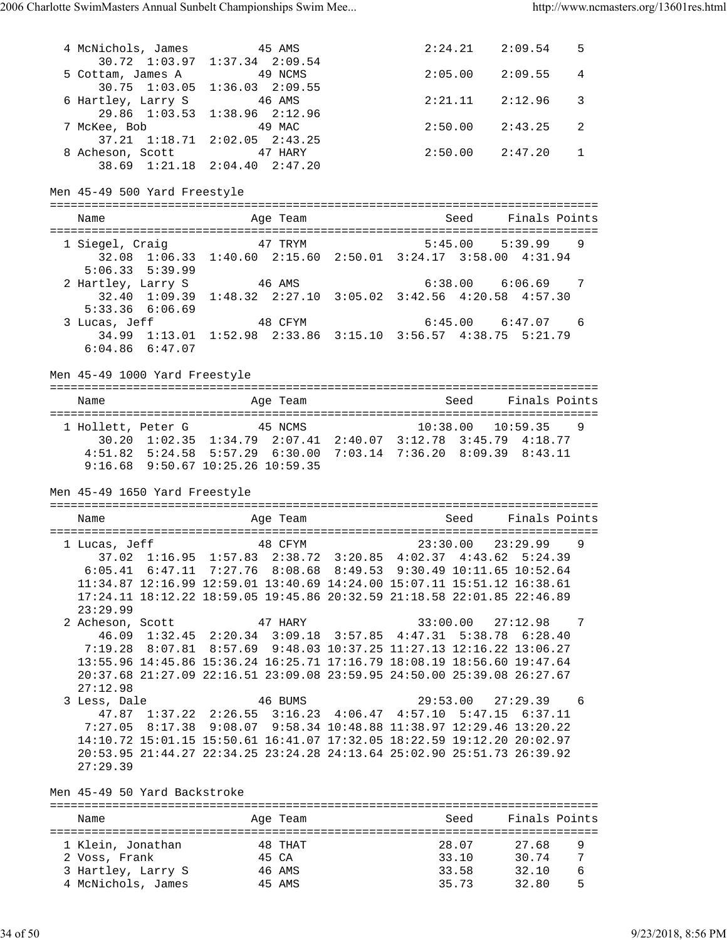4 McNichols, James 45 AMS 2:24.21 2:09.54 5 30.72 1:03.97 1:37.34 2:09.54 5 Cottam, James A 49 NCMS 2:05.00 2:09.55 4 30.75 1:03.05 1:36.03 2:09.55 6 Hartley, Larry S 46 AMS 2:21.11 2:12.96 3 29.86 1:03.53 1:38.96 2:12.96 7 McKee, Bob 49 MAC 2:50.00 2:43.25 2 37.21 1:18.71 2:02.05 2:43.25 8 Acheson, Scott 47 HARY 2:50.00 2:47.20 1 38.69 1:21.18 2:04.40 2:47.20 Men 45-49 500 Yard Freestyle =============================================================================== Name and Age Team Seed Finals Points =============================================================================== 1 Siegel, Craig 47 TRYM 5:45.00 5:39.99 9 32.08 1:06.33 1:40.60 2:15.60 2:50.01 3:24.17 3:58.00 4:31.94  $32.00$   $1.2$ <br>5:06.33 5:39.99 2 Hartley, Larry S 46 AMS 6:38.00 6:06.69 7 32.40 1:09.39 1:48.32 2:27.10 3:05.02 3:42.56 4:20.58 4:57.30  $5:33.36$  6:06.69 3 Lucas, Jeff 48 CFYM 6:45.00 6:47.07 6 34.99 1:13.01 1:52.98 2:33.86 3:15.10 3:56.57 4:38.75 5:21.79 6:04.86 6:47.07 Men 45-49 1000 Yard Freestyle =============================================================================== Name Age Team Seed Finals Points =============================================================================== 1 Hollett, Peter G 45 NCMS 10:38.00 10:59.35 9 30.20 1:02.35 1:34.79 2:07.41 2:40.07 3:12.78 3:45.79 4:18.77 4:51.82 5:24.58 5:57.29 6:30.00 7:03.14 7:36.20 8:09.39 8:43.11 9:16.68 9:50.67 10:25.26 10:59.35 Men 45-49 1650 Yard Freestyle =============================================================================== Name and Age Team Seed Finals Points =============================================================================== 1 Lucas, Jeff 48 CFYM 23:30.00 23:29.99 9 37.02 1:16.95 1:57.83 2:38.72 3:20.85 4:02.37 4:43.62 5:24.39 6:05.41 6:47.11 7:27.76 8:08.68 8:49.53 9:30.49 10:11.65 10:52.64 11:34.87 12:16.99 12:59.01 13:40.69 14:24.00 15:07.11 15:51.12 16:38.61 17:24.11 18:12.22 18:59.05 19:45.86 20:32.59 21:18.58 22:01.85 22:46.89 23:29.99 2 Acheson, Scott 47 HARY 33:00.00 27:12.98 7 46.09 1:32.45 2:20.34 3:09.18 3:57.85 4:47.31 5:38.78 6:28.40 7:19.28 8:07.81 8:57.69 9:48.03 10:37.25 11:27.13 12:16.22 13:06.27 13:55.96 14:45.86 15:36.24 16:25.71 17:16.79 18:08.19 18:56.60 19:47.64 20:37.68 21:27.09 22:16.51 23:09.08 23:59.95 24:50.00 25:39.08 26:27.67 27:12.98 3 Less, Dale 46 BUMS 29:53.00 27:29.39 6 47.87 1:37.22 2:26.55 3:16.23 4:06.47 4:57.10 5:47.15 6:37.11 7:27.05 8:17.38 9:08.07 9:58.34 10:48.88 11:38.97 12:29.46 13:20.22 14:10.72 15:01.15 15:50.61 16:41.07 17:32.05 18:22.59 19:12.20 20:02.97 20:53.95 21:44.27 22:34.25 23:24.28 24:13.64 25:02.90 25:51.73 26:39.92 27:29.39 Men 45-49 50 Yard Backstroke =============================================================================== Name **Age Team** Age Team Seed Finals Points =============================================================================== 1 Klein, Jonathan 48 THAT 28.07 27.68 9 2 Voss, Frank 45 CA 33.10 30.74 7

 3 Hartley, Larry S 46 AMS 33.58 32.10 6 4 McNichols, James 45 AMS 35.73 32.80 5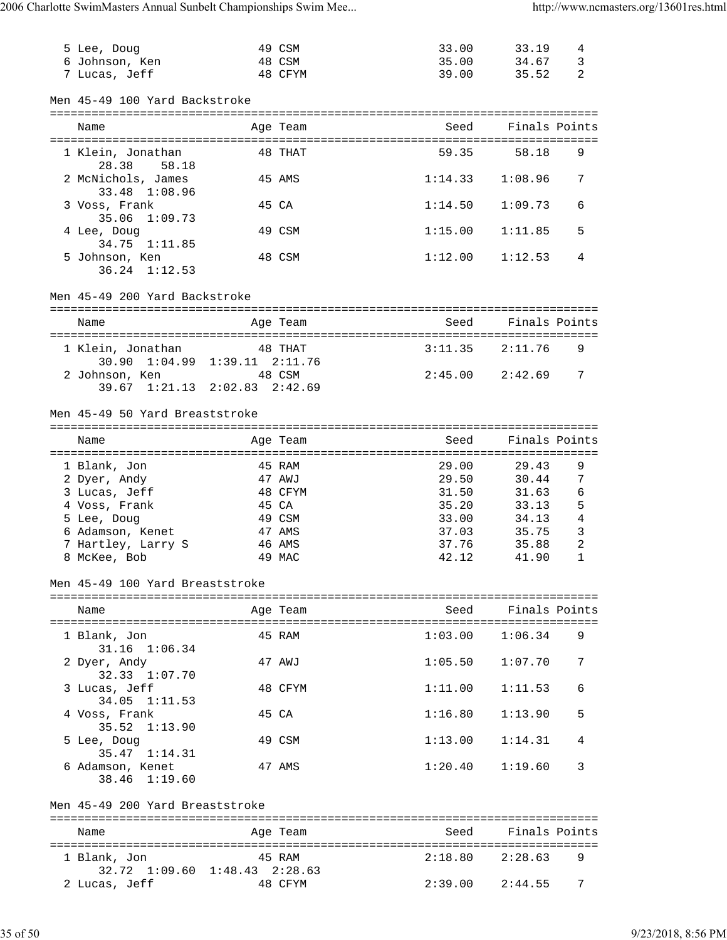| 5 Lee, Doug                                   |                      | 49 CSM           | 33.00          | 33.19               | 4      |
|-----------------------------------------------|----------------------|------------------|----------------|---------------------|--------|
| 6 Johnson, Ken                                |                      | 48 CSM           | 35.00          | 34.67               | 3      |
| 7 Lucas, Jeff                                 |                      | 48 CFYM          | 39.00          | 35.52               | 2      |
|                                               |                      |                  |                |                     |        |
| Men 45-49 100 Yard Backstroke                 |                      |                  |                |                     |        |
| Name                                          |                      | Age Team         | Seed           | Finals Points       |        |
|                                               |                      |                  |                |                     |        |
| 1 Klein, Jonathan<br>28.38 58.18              |                      | 48 THAT          | 59.35          | 58.18               | 9      |
| 2 McNichols, James<br>33.48 1:08.96           |                      | 45 AMS           | 1:14.33        | 1:08.96             | 7      |
| 3 Voss, Frank<br>35.06<br>1:09.73             |                      | 45 CA            | 1:14.50        | 1:09.73             | 6      |
| 4 Lee, Doug<br>34.75 1:11.85                  |                      | 49 CSM           | 1:15.00        | 1:11.85             | 5      |
| 5 Johnson, Ken<br>$36.24$ $1:12.53$           |                      | 48 CSM           | 1:12.00        | 1:12.53             | 4      |
| Men 45-49 200 Yard Backstroke                 |                      |                  |                |                     |        |
| Name                                          |                      | Age Team         | Seed           | Finals Points       |        |
| 1 Klein, Jonathan                             |                      | 48 THAT          | 3:11.35        | 2:11.76             | 9      |
| 30.90 1:04.99 1:39.11 2:11.76                 |                      |                  |                |                     |        |
| 2 Johnson, Ken                                |                      | 48 CSM           | 2:45.00        | 2:42.69             | 7      |
| 39.67 1:21.13 2:02.83 2:42.69                 |                      |                  |                |                     |        |
| Men 45-49 50 Yard Breaststroke                |                      |                  |                |                     |        |
| Name                                          |                      | Age Team         | Seed           | Finals Points       |        |
| ==================                            | ==================== |                  |                |                     |        |
| 1 Blank, Jon                                  |                      | 45 RAM           | 29.00          | 29.43               | 9      |
| 2 Dyer, Andy                                  |                      | 47 AWJ           | 29.50          | 30.44               | 7      |
| 3 Lucas, Jeff<br>4 Voss, Frank                |                      | 48 CFYM<br>45 CA | 31.50<br>35.20 | 31.63<br>33.13      | 6<br>5 |
| 5 Lee, Doug                                   |                      | 49 CSM           | 33.00          | 34.13               | 4      |
| 6 Adamson, Kenet                              |                      | 47 AMS           | 37.03          | 35.75               | 3      |
| 7 Hartley, Larry S                            |                      | 46 AMS           | 37.76          | 35.88               | 2      |
| 8 McKee, Bob                                  |                      | 49 MAC           | 42.12          | 41.90               | 1      |
| Men 45-49 100 Yard Breaststroke               |                      |                  |                |                     |        |
|                                               |                      |                  |                |                     |        |
| Name                                          |                      | Age Team         | Seed           | Finals Points       |        |
| 1 Blank, Jon<br>31.16 1:06.34                 |                      | 45 RAM           |                | $1:03.00$ $1:06.34$ | 9      |
| 2 Dyer, Andy<br>32.33 1:07.70                 |                      | 47 AWJ           | 1:05.50        | 1:07.70             | 7      |
| 3 Lucas, Jeff<br>34.05 1:11.53                |                      | 48 CFYM          | 1:11.00        | 1:11.53             | 6      |
| 4 Voss, Frank<br>$35.52$ $1:13.90$            |                      | 45 CA            | 1:16.80        | 1:13.90             | 5      |
| 5 Lee, Doug<br>35.47 1:14.31                  |                      | 49 CSM           | 1:13.00        | 1:14.31             | 4      |
| 6 Adamson, Kenet<br>38.46 1:19.60             |                      | 47 AMS           | 1:20.40        | 1:19.60             | 3      |
| Men 45-49 200 Yard Breaststroke               |                      |                  |                |                     |        |
| Name                                          |                      | Age Team         | Seed           | Finals Points       |        |
| 1 Blank, Jon<br>32.72 1:09.60 1:48.43 2:28.63 |                      | 45 RAM           | 2:18.80        | 2:28.63             | 9      |
| 2 Lucas, Jeff                                 |                      | 48 CFYM          | 2:39.00        | 2:44.55             | 7      |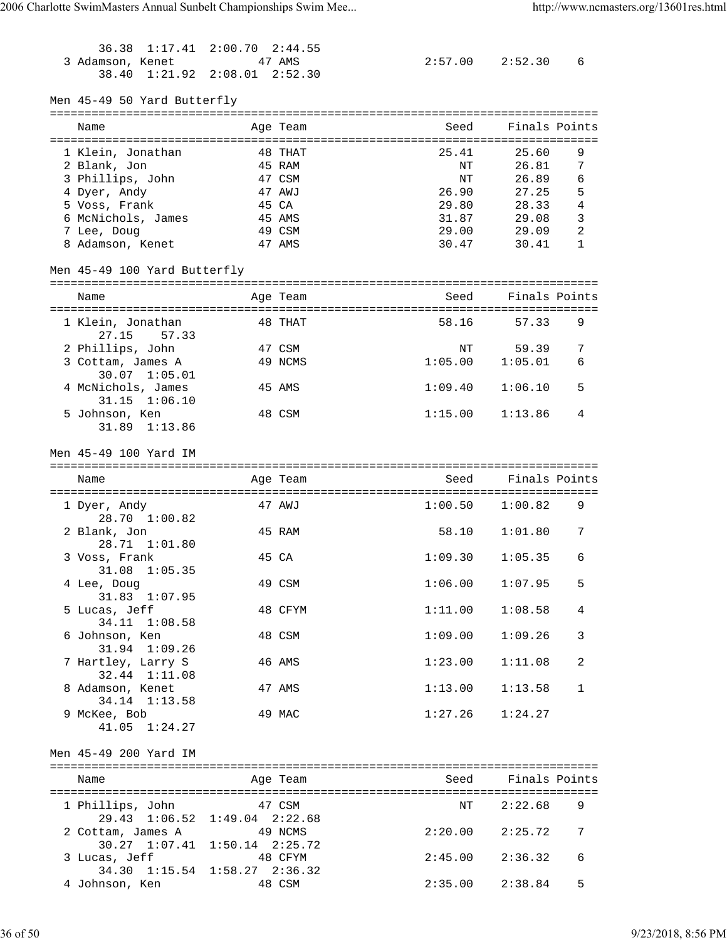| 36.38<br>1:17.41<br>3 Adamson, Kenet<br>38.40              | $2:00.70$ $2:44.55$<br>47 AMS<br>$1:21.92$ $2:08.01$ $2:52.30$ |         |                | $2:57.00$ $2:52.30$ | 6              |
|------------------------------------------------------------|----------------------------------------------------------------|---------|----------------|---------------------|----------------|
| Men 45-49 50 Yard Butterfly                                |                                                                |         |                |                     |                |
| Name                                                       | Age Team                                                       |         | Seed           | Finals Points       |                |
| 1 Klein, Jonathan                                          |                                                                | 48 THAT | 25.41          | 25.60               | 9              |
| 2 Blank, Jon                                               | 45 RAM                                                         |         | NΤ             | 26.81               | 7              |
| 3 Phillips, John                                           | 47 CSM                                                         |         | NΤ             | 26.89               | 6              |
| 4 Dyer, Andy                                               | 47 AWJ                                                         |         | 26.90          | 27.25               | 5              |
| 5 Voss, Frank<br>6 McNichols, James                        | 45 CA<br>45 AMS                                                |         | 29.80<br>31.87 | 28.33<br>29.08      | 4<br>3         |
| 7 Lee, Doug                                                | 49 CSM                                                         |         | 29.00          | 29.09               | 2              |
| 8 Adamson, Kenet                                           | 47 AMS                                                         |         | 30.47          | 30.41               | 1              |
| Men 45-49 100 Yard Butterfly                               |                                                                |         |                |                     |                |
| Name                                                       | Age Team                                                       |         | Seed           | Finals Points       |                |
|                                                            |                                                                |         |                |                     |                |
| 1 Klein, Jonathan<br>27.15<br>57.33                        |                                                                | 48 THAT | 58.16          | 57.33               | 9              |
| 2 Phillips, John                                           | 47 CSM                                                         |         | NΤ             | 59.39               | 7              |
| 3 Cottam, James A                                          |                                                                | 49 NCMS | 1:05.00        | 1:05.01             | 6              |
| 30.07 1:05.01                                              |                                                                |         | 1:09.40        |                     | 5              |
| 4 McNichols, James<br>$31.15$ $1:06.10$                    | 45 AMS                                                         |         |                | 1:06.10             |                |
| 5 Johnson, Ken                                             | 48 CSM                                                         |         | 1:15.00        | 1:13.86             | 4              |
| 31.89 1:13.86                                              |                                                                |         |                |                     |                |
| Men 45-49 100 Yard IM                                      |                                                                |         |                |                     |                |
|                                                            |                                                                |         |                |                     |                |
| Name                                                       | Age Team                                                       |         | Seed           | Finals Points       |                |
|                                                            | 47 AWJ                                                         |         | 1:00.50        | 1:00.82             | 9              |
| 1 Dyer, Andy<br>$28.70 \quad 1:00.82$                      |                                                                |         |                |                     |                |
| 2 Blank, Jon<br>28.71 1:01.80                              | 45 RAM                                                         |         | 58.10          | 1:01.80             | 7              |
| 3 Voss, Frank                                              | 45 CA                                                          |         | 1:09.30        | 1:05.35             | 6              |
| 31.08 1:05.35<br>4 Lee, Doug                               | 49 CSM                                                         |         |                | $1:06.00$ $1:07.95$ | 5              |
| 31.83 1:07.95                                              |                                                                |         |                |                     |                |
| 5 Lucas, Jeff<br>34.11 1:08.58                             |                                                                | 48 CFYM |                | $1:11.00$ $1:08.58$ | 4              |
| 6 Johnson, Ken                                             | 48 CSM                                                         |         | 1:09.00        | 1:09.26             | 3              |
| 31.94 1:09.26<br>7 Hartley, Larry S                        | 46 AMS                                                         |         | 1:23.00        | 1:11.08             | $\overline{2}$ |
| 32.44 1:11.08                                              |                                                                |         |                |                     |                |
| 8 Adamson, Kenet<br>34.14 1:13.58                          | 47 AMS                                                         |         | 1:13.00        | 1:13.58             | $\mathbf{1}$   |
| 9 McKee, Bob                                               | 49 MAC                                                         |         | 1:27.26        | 1:24.27             |                |
| 41.05 1:24.27                                              |                                                                |         |                |                     |                |
| Men 45-49 200 Yard IM                                      |                                                                |         |                |                     |                |
| Name                                                       | Age Team                                                       |         |                | Seed Finals Points  |                |
| 1 Phillips, John 47 CSM                                    |                                                                |         | NT             | 2:22.68             | 9              |
| 29.43 1:06.52 1:49.04 2:22.68                              |                                                                |         |                |                     |                |
| 2 Cottam, James A 49 NCMS<br>30.27 1:07.41 1:50.14 2:25.72 |                                                                |         |                | $2:20.00$ $2:25.72$ | 7              |
| 3 Lucas, Jeff                                              | 48 CFYM                                                        |         |                | $2:45.00$ $2:36.32$ | 6              |
| 34.30 1:15.54 1:58.27 2:36.32<br>4 Johnson, Ken            | 48 CSM                                                         |         | 2:35.00        | 2:38.84             | 5              |

36 of 50 9/23/2018, 8:56 PM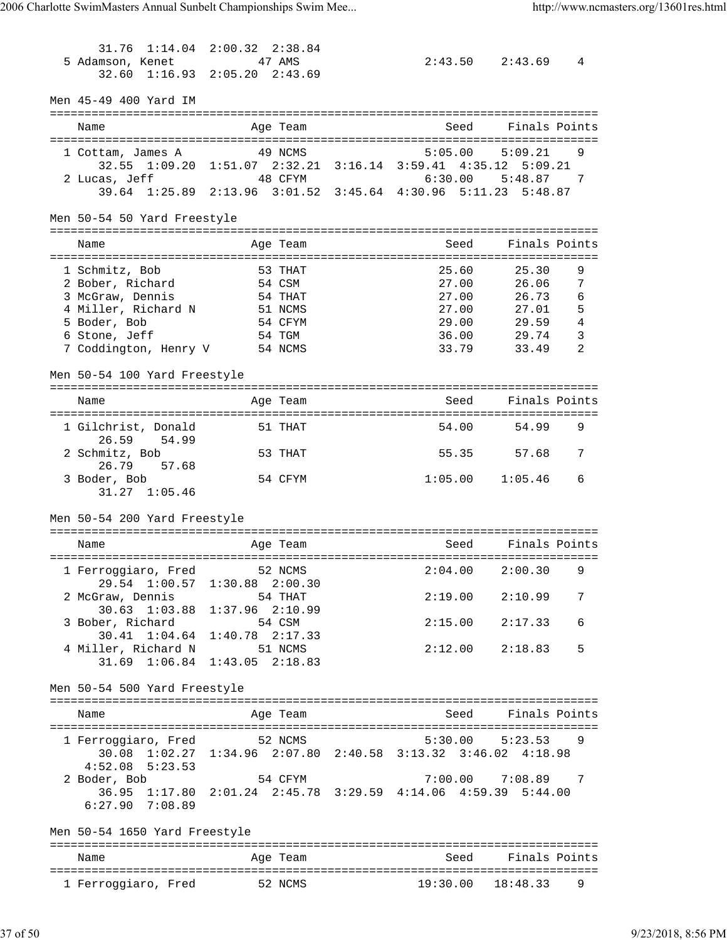31.76 1:14.04 2:00.32 2:38.84 5 Adamson, Kenet 47 AMS 2:43.50 2:43.69 4 32.60 1:16.93 2:05.20 2:43.69 Men 45-49 400 Yard IM =============================================================================== Name Age Team Seed Finals Points =============================================================================== 1 Cottam, James A 49 NCMS 5:05.00 5:09.21 9 32.55 1:09.20 1:51.07 2:32.21 3:16.14 3:59.41 4:35.12 5:09.21 2 Lucas, Jeff 48 CFYM 6:30.00 5:48.87 7 39.64 1:25.89 2:13.96 3:01.52 3:45.64 4:30.96 5:11.23 5:48.87 Men 50-54 50 Yard Freestyle =============================================================================== Name and Age Team Seed Finals Points =============================================================================== 1 Schmitz, Bob 53 THAT 25.60 25.30 9<br>2 Bober, Richard 54 CSM 27.00 26.06 7 2 Bober, Richard 54 CSM 27.00 26.06 7 3 McGraw, Dennis 54 THAT 27.00 26.73 6 4 Miller, Richard N 51 NCMS 27.00 27.01 5 5 Boder, Bob 54 CFYM 29.00 29.59 4 6 Stone, Jeff 54 TGM 36.00 29.74 3 7 Coddington, Henry V 54 NCMS 33.79 33.49 2 Men 50-54 100 Yard Freestyle =============================================================================== Name Age Team Seed Finals Points =============================================================================== 1 Gilchrist, Donald 51 THAT 54.00 54.99 26.59 54.99 2 Schmitz, Bob 53 THAT 55.35 57.68 7 26.79 57.68<br>3 Boder, Bob 54 CFYM 1:05.00 1:05.46 6 31.27 1:05.46 Men 50-54 200 Yard Freestyle =============================================================================== Name and Age Team Seed Finals Points =============================================================================== 1 Ferroggiaro, Fred 52 NCMS 29.54 1:00.57 1:30.88 2:00.30 2 McGraw, Dennis 54 THAT 2:19.00 2:10.99 7 30.63 1:03.88 1:37.96 2:10.99 3 Bober, Richard 54 CSM 2:15.00 2:17.33 6 30.41 1:04.64 1:40.78 2:17.33 4 Miller, Richard N 51 NCMS 2:12.00 2:18.83 5 31.69 1:06.84 1:43.05 2:18.83 Men 50-54 500 Yard Freestyle =============================================================================== Name **Age Team** Age Team Seed Finals Points =============================================================================== 1 Ferroggiaro, Fred 52 NCMS 30.08 1:02.27 1:34.96 2:07.80 2:40.58 3:13.32 3:46.02 4:18.98 4:52.08 5:23.53 2 Boder, Bob 54 CFYM 7:00.00 7:08.89 7 36.95 1:17.80 2:01.24 2:45.78 3:29.59 4:14.06 4:59.39 5:44.00 6:27.90 7:08.89 Men 50-54 1650 Yard Freestyle =============================================================================== Name and Age Team Seed Finals Points =============================================================================== 1 Ferroggiaro, Fred 52 NCMS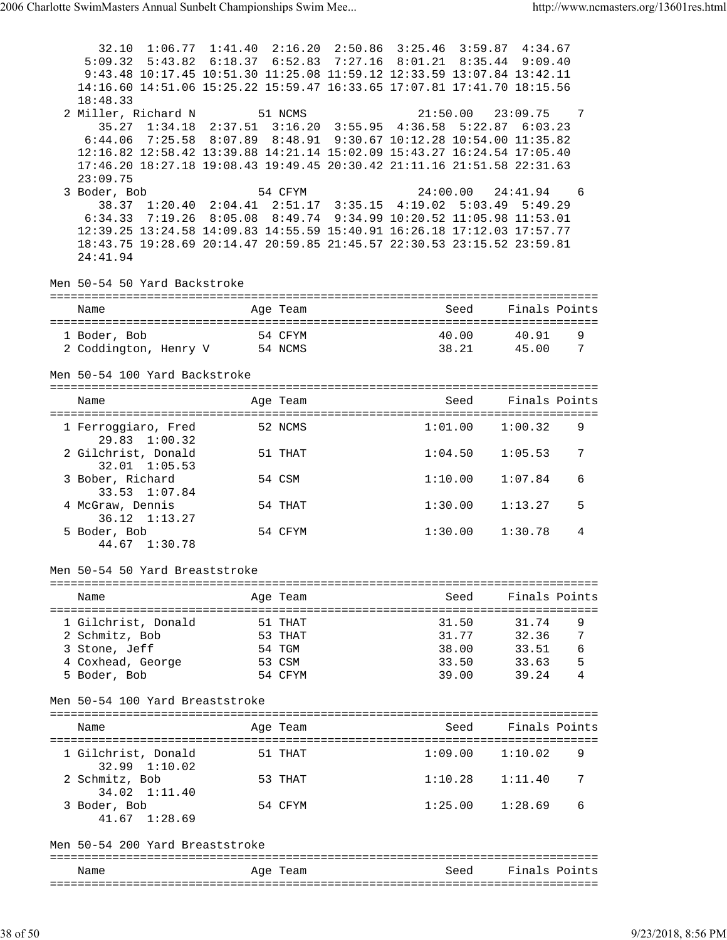| 14:16.60 14:51.06 15:25.22 15:59.47 16:33.65 17:07.81 17:41.70 18:15.56<br>18:48.33<br>2 Miller, Richard N 51 NCMS 21:50.00 23:09.75<br>35.27 1:34.18 2:37.51 3:16.20 3:55.95 4:36.58 5:22.87 6:03.23<br>$21:50.00$ $23:09.75$ 7<br>6:44.06 7:25.58 8:07.89 8:48.91 9:30.67 10:12.28 10:54.00 11:35.82<br>12:16.82 12:58.42 13:39.88 14:21.14 15:02.09 15:43.27 16:24.54 17:05.40<br>17:46.20 18:27.18 19:08.43 19:49.45 20:30.42 21:11.16 21:51.58 22:31.63<br>23:09.75<br>3 Boder, Bob<br>54 CFYM<br>24:00.00 24:41.94<br>-6<br>38.37 1:20.40 2:04.41 2:51.17 3:35.15 4:19.02 5:03.49 5:49.29<br>6:34.33 7:19.26 8:05.08 8:49.74 9:34.99 10:20.52 11:05.98 11:53.01<br>12:39.25 13:24.58 14:09.83 14:55.59 15:40.91 16:26.18 17:12.03 17:57.77<br>18:43.75 19:28.69 20:14.47 20:59.85 21:45.57 22:30.53 23:15.52 23:59.81<br>24:41.94<br>Men 50-54 50 Yard Backstroke<br>Seed<br>Finals Points<br>Name<br>Age Team<br>1 Boder, Bob<br>54 CFYM<br>40.00   40.91<br>9<br>2 Coddington, Henry V 54 NCMS<br>38.21 45.00 7<br>Men 50-54 100 Yard Backstroke<br>Seed<br>Finals Points<br>Name<br>Age Team<br>1 Ferroggiaro, Fred 52 NCMS<br>$1:01.00$ $1:00.32$<br>9<br>$29.83 \quad 1:00.32$<br>2 Gilchrist, Donald<br>51 THAT<br>1:04.50<br>1:05.53<br>7<br>$32.01$ $1:05.53$<br>3 Bober, Richard<br>54 CSM<br>1:10.00<br>1:07.84<br>6<br>33.53 1:07.84<br>4 McGraw, Dennis<br>54 THAT<br>1:30.00<br>1:13.27<br>5<br>36.12 1:13.27<br>5 Boder, Bob<br>54 CFYM<br>1:30.00<br>1:30.78<br>4<br>44.67 1:30.78<br>Men 50-54 50 Yard Breaststroke<br>Finals Points<br>Seed<br>Name<br>Age Team<br>9<br>1 Gilchrist, Donald<br>51 THAT<br>31.50<br>31.74<br>31.77 32.36<br>7<br>2 Schmitz, Bob<br>53 THAT<br>6<br>3 Stone, Jeff<br>54 TGM<br>38.00<br>33.51<br>5<br>4 Coxhead, George<br>53 CSM<br>33.50<br>33.63<br>5 Boder, Bob<br>54 CFYM<br>39.00<br>39.24<br>4<br>Men 50-54 100 Yard Breaststroke<br>Finals Points<br>Seed<br>Age Team<br>Name<br>1:09.00<br>1 Gilchrist, Donald<br>51 THAT<br>1:10.02<br>9<br>32.99 1:10.02<br>2 Schmitz, Bob<br>53 THAT<br>1:10.28<br>1:11.40<br>7<br>34.02 1:11.40<br>3 Boder, Bob<br>54 CFYM<br>1:25.00<br>1:28.69<br>6<br>41.67 1:28.69<br>Men 50-54 200 Yard Breaststroke<br>Finals Points<br>Seed<br>Name<br>Age Team | 32.10 1:06.77 1:41.40 2:16.20 2:50.86 3:25.46 3:59.87 4:34.67<br>5:09.32 5:43.82 6:18.37 6:52.83 7:27.16 8:01.21 8:35.44 9:09.40<br>9:43.48 10:17.45 10:51.30 11:25.08 11:59.12 12:33.59 13:07.84 13:42.11 |  |  |  |  |
|----------------------------------------------------------------------------------------------------------------------------------------------------------------------------------------------------------------------------------------------------------------------------------------------------------------------------------------------------------------------------------------------------------------------------------------------------------------------------------------------------------------------------------------------------------------------------------------------------------------------------------------------------------------------------------------------------------------------------------------------------------------------------------------------------------------------------------------------------------------------------------------------------------------------------------------------------------------------------------------------------------------------------------------------------------------------------------------------------------------------------------------------------------------------------------------------------------------------------------------------------------------------------------------------------------------------------------------------------------------------------------------------------------------------------------------------------------------------------------------------------------------------------------------------------------------------------------------------------------------------------------------------------------------------------------------------------------------------------------------------------------------------------------------------------------------------------------------------------------------------------------------------------------------------------------------------------------------------------------------------------------------------------------------------------------------------------------------------------------------------------------------------------------------------------------------------------------------------------------------------------------|------------------------------------------------------------------------------------------------------------------------------------------------------------------------------------------------------------|--|--|--|--|
|                                                                                                                                                                                                                                                                                                                                                                                                                                                                                                                                                                                                                                                                                                                                                                                                                                                                                                                                                                                                                                                                                                                                                                                                                                                                                                                                                                                                                                                                                                                                                                                                                                                                                                                                                                                                                                                                                                                                                                                                                                                                                                                                                                                                                                                          |                                                                                                                                                                                                            |  |  |  |  |
|                                                                                                                                                                                                                                                                                                                                                                                                                                                                                                                                                                                                                                                                                                                                                                                                                                                                                                                                                                                                                                                                                                                                                                                                                                                                                                                                                                                                                                                                                                                                                                                                                                                                                                                                                                                                                                                                                                                                                                                                                                                                                                                                                                                                                                                          |                                                                                                                                                                                                            |  |  |  |  |
|                                                                                                                                                                                                                                                                                                                                                                                                                                                                                                                                                                                                                                                                                                                                                                                                                                                                                                                                                                                                                                                                                                                                                                                                                                                                                                                                                                                                                                                                                                                                                                                                                                                                                                                                                                                                                                                                                                                                                                                                                                                                                                                                                                                                                                                          |                                                                                                                                                                                                            |  |  |  |  |
|                                                                                                                                                                                                                                                                                                                                                                                                                                                                                                                                                                                                                                                                                                                                                                                                                                                                                                                                                                                                                                                                                                                                                                                                                                                                                                                                                                                                                                                                                                                                                                                                                                                                                                                                                                                                                                                                                                                                                                                                                                                                                                                                                                                                                                                          |                                                                                                                                                                                                            |  |  |  |  |
|                                                                                                                                                                                                                                                                                                                                                                                                                                                                                                                                                                                                                                                                                                                                                                                                                                                                                                                                                                                                                                                                                                                                                                                                                                                                                                                                                                                                                                                                                                                                                                                                                                                                                                                                                                                                                                                                                                                                                                                                                                                                                                                                                                                                                                                          |                                                                                                                                                                                                            |  |  |  |  |
|                                                                                                                                                                                                                                                                                                                                                                                                                                                                                                                                                                                                                                                                                                                                                                                                                                                                                                                                                                                                                                                                                                                                                                                                                                                                                                                                                                                                                                                                                                                                                                                                                                                                                                                                                                                                                                                                                                                                                                                                                                                                                                                                                                                                                                                          |                                                                                                                                                                                                            |  |  |  |  |
|                                                                                                                                                                                                                                                                                                                                                                                                                                                                                                                                                                                                                                                                                                                                                                                                                                                                                                                                                                                                                                                                                                                                                                                                                                                                                                                                                                                                                                                                                                                                                                                                                                                                                                                                                                                                                                                                                                                                                                                                                                                                                                                                                                                                                                                          |                                                                                                                                                                                                            |  |  |  |  |
|                                                                                                                                                                                                                                                                                                                                                                                                                                                                                                                                                                                                                                                                                                                                                                                                                                                                                                                                                                                                                                                                                                                                                                                                                                                                                                                                                                                                                                                                                                                                                                                                                                                                                                                                                                                                                                                                                                                                                                                                                                                                                                                                                                                                                                                          |                                                                                                                                                                                                            |  |  |  |  |
|                                                                                                                                                                                                                                                                                                                                                                                                                                                                                                                                                                                                                                                                                                                                                                                                                                                                                                                                                                                                                                                                                                                                                                                                                                                                                                                                                                                                                                                                                                                                                                                                                                                                                                                                                                                                                                                                                                                                                                                                                                                                                                                                                                                                                                                          |                                                                                                                                                                                                            |  |  |  |  |
|                                                                                                                                                                                                                                                                                                                                                                                                                                                                                                                                                                                                                                                                                                                                                                                                                                                                                                                                                                                                                                                                                                                                                                                                                                                                                                                                                                                                                                                                                                                                                                                                                                                                                                                                                                                                                                                                                                                                                                                                                                                                                                                                                                                                                                                          |                                                                                                                                                                                                            |  |  |  |  |
|                                                                                                                                                                                                                                                                                                                                                                                                                                                                                                                                                                                                                                                                                                                                                                                                                                                                                                                                                                                                                                                                                                                                                                                                                                                                                                                                                                                                                                                                                                                                                                                                                                                                                                                                                                                                                                                                                                                                                                                                                                                                                                                                                                                                                                                          |                                                                                                                                                                                                            |  |  |  |  |
|                                                                                                                                                                                                                                                                                                                                                                                                                                                                                                                                                                                                                                                                                                                                                                                                                                                                                                                                                                                                                                                                                                                                                                                                                                                                                                                                                                                                                                                                                                                                                                                                                                                                                                                                                                                                                                                                                                                                                                                                                                                                                                                                                                                                                                                          |                                                                                                                                                                                                            |  |  |  |  |
|                                                                                                                                                                                                                                                                                                                                                                                                                                                                                                                                                                                                                                                                                                                                                                                                                                                                                                                                                                                                                                                                                                                                                                                                                                                                                                                                                                                                                                                                                                                                                                                                                                                                                                                                                                                                                                                                                                                                                                                                                                                                                                                                                                                                                                                          |                                                                                                                                                                                                            |  |  |  |  |
|                                                                                                                                                                                                                                                                                                                                                                                                                                                                                                                                                                                                                                                                                                                                                                                                                                                                                                                                                                                                                                                                                                                                                                                                                                                                                                                                                                                                                                                                                                                                                                                                                                                                                                                                                                                                                                                                                                                                                                                                                                                                                                                                                                                                                                                          |                                                                                                                                                                                                            |  |  |  |  |
|                                                                                                                                                                                                                                                                                                                                                                                                                                                                                                                                                                                                                                                                                                                                                                                                                                                                                                                                                                                                                                                                                                                                                                                                                                                                                                                                                                                                                                                                                                                                                                                                                                                                                                                                                                                                                                                                                                                                                                                                                                                                                                                                                                                                                                                          |                                                                                                                                                                                                            |  |  |  |  |
|                                                                                                                                                                                                                                                                                                                                                                                                                                                                                                                                                                                                                                                                                                                                                                                                                                                                                                                                                                                                                                                                                                                                                                                                                                                                                                                                                                                                                                                                                                                                                                                                                                                                                                                                                                                                                                                                                                                                                                                                                                                                                                                                                                                                                                                          |                                                                                                                                                                                                            |  |  |  |  |
|                                                                                                                                                                                                                                                                                                                                                                                                                                                                                                                                                                                                                                                                                                                                                                                                                                                                                                                                                                                                                                                                                                                                                                                                                                                                                                                                                                                                                                                                                                                                                                                                                                                                                                                                                                                                                                                                                                                                                                                                                                                                                                                                                                                                                                                          |                                                                                                                                                                                                            |  |  |  |  |
|                                                                                                                                                                                                                                                                                                                                                                                                                                                                                                                                                                                                                                                                                                                                                                                                                                                                                                                                                                                                                                                                                                                                                                                                                                                                                                                                                                                                                                                                                                                                                                                                                                                                                                                                                                                                                                                                                                                                                                                                                                                                                                                                                                                                                                                          |                                                                                                                                                                                                            |  |  |  |  |
|                                                                                                                                                                                                                                                                                                                                                                                                                                                                                                                                                                                                                                                                                                                                                                                                                                                                                                                                                                                                                                                                                                                                                                                                                                                                                                                                                                                                                                                                                                                                                                                                                                                                                                                                                                                                                                                                                                                                                                                                                                                                                                                                                                                                                                                          |                                                                                                                                                                                                            |  |  |  |  |
|                                                                                                                                                                                                                                                                                                                                                                                                                                                                                                                                                                                                                                                                                                                                                                                                                                                                                                                                                                                                                                                                                                                                                                                                                                                                                                                                                                                                                                                                                                                                                                                                                                                                                                                                                                                                                                                                                                                                                                                                                                                                                                                                                                                                                                                          |                                                                                                                                                                                                            |  |  |  |  |
|                                                                                                                                                                                                                                                                                                                                                                                                                                                                                                                                                                                                                                                                                                                                                                                                                                                                                                                                                                                                                                                                                                                                                                                                                                                                                                                                                                                                                                                                                                                                                                                                                                                                                                                                                                                                                                                                                                                                                                                                                                                                                                                                                                                                                                                          |                                                                                                                                                                                                            |  |  |  |  |
|                                                                                                                                                                                                                                                                                                                                                                                                                                                                                                                                                                                                                                                                                                                                                                                                                                                                                                                                                                                                                                                                                                                                                                                                                                                                                                                                                                                                                                                                                                                                                                                                                                                                                                                                                                                                                                                                                                                                                                                                                                                                                                                                                                                                                                                          |                                                                                                                                                                                                            |  |  |  |  |
|                                                                                                                                                                                                                                                                                                                                                                                                                                                                                                                                                                                                                                                                                                                                                                                                                                                                                                                                                                                                                                                                                                                                                                                                                                                                                                                                                                                                                                                                                                                                                                                                                                                                                                                                                                                                                                                                                                                                                                                                                                                                                                                                                                                                                                                          |                                                                                                                                                                                                            |  |  |  |  |
|                                                                                                                                                                                                                                                                                                                                                                                                                                                                                                                                                                                                                                                                                                                                                                                                                                                                                                                                                                                                                                                                                                                                                                                                                                                                                                                                                                                                                                                                                                                                                                                                                                                                                                                                                                                                                                                                                                                                                                                                                                                                                                                                                                                                                                                          |                                                                                                                                                                                                            |  |  |  |  |
|                                                                                                                                                                                                                                                                                                                                                                                                                                                                                                                                                                                                                                                                                                                                                                                                                                                                                                                                                                                                                                                                                                                                                                                                                                                                                                                                                                                                                                                                                                                                                                                                                                                                                                                                                                                                                                                                                                                                                                                                                                                                                                                                                                                                                                                          |                                                                                                                                                                                                            |  |  |  |  |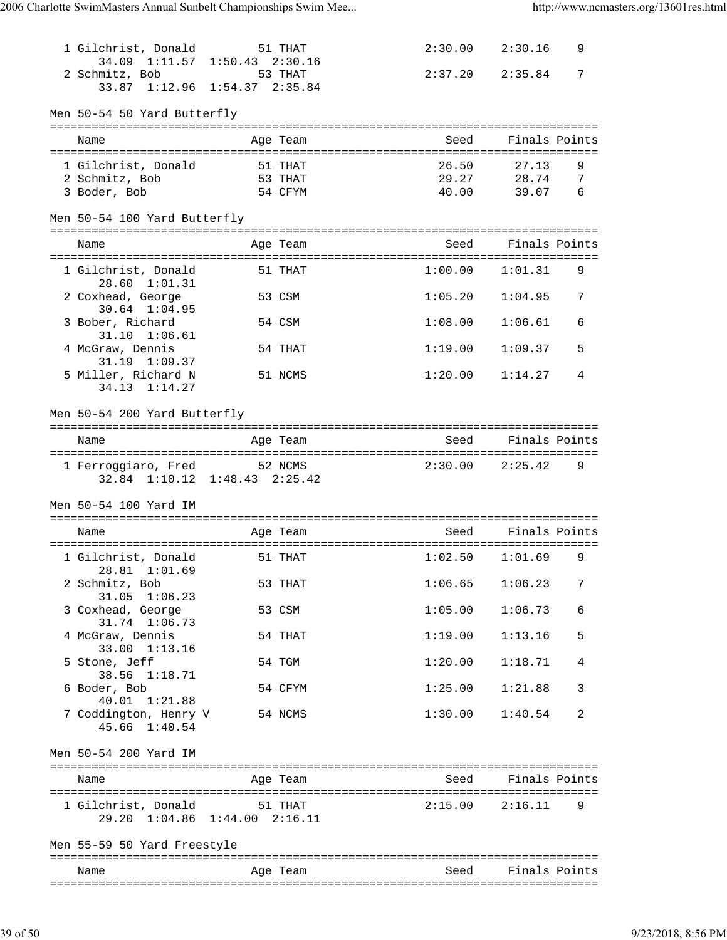| 1 Gilchrist, Donald<br>34.09 1:11.57 1:50.43 2:30.16                 | 51 THAT  |         | $2:30.00$ $2:30.16$ | 9 |
|----------------------------------------------------------------------|----------|---------|---------------------|---|
| 2 Schmitz, Bob<br>33.87 1:12.96 1:54.37 2:35.84                      | 53 THAT  | 2:37.20 | 2:35.84             | 7 |
| Men 50-54 50 Yard Butterfly                                          |          |         |                     |   |
| Name                                                                 | Age Team | Seed    | Finals Points       |   |
| 1 Gilchrist, Donald                                                  | 51 THAT  | 26.50   | 27.13               | 9 |
| 2 Schmitz, Bob                                                       | 53 THAT  | 29.27   | 28.74               | 7 |
| 3 Boder, Bob                                                         | 54 CFYM  | 40.00   | 39.07               | 6 |
| Men 50-54 100 Yard Butterfly                                         |          |         |                     |   |
| Name                                                                 | Age Team | Seed    | Finals Points       |   |
| 1 Gilchrist, Donald<br>28.60 1:01.31                                 | 51 THAT  | 1:00.00 | 1:01.31             | 9 |
| 2 Coxhead, George<br>$30.64$ $1:04.95$                               | 53 CSM   | 1:05.20 | 1:04.95             | 7 |
| 3 Bober, Richard<br>$31.10 \quad 1:06.61$                            | 54 CSM   | 1:08.00 | 1:06.61             | 6 |
| 4 McGraw, Dennis<br>31.19 1:09.37                                    | 54 THAT  | 1:19.00 | 1:09.37             | 5 |
| 5 Miller, Richard N<br>34.13 1:14.27                                 | 51 NCMS  | 1:20.00 | 1:14.27             | 4 |
| Men 50-54 200 Yard Butterfly                                         |          |         |                     |   |
| Name                                                                 | Age Team | Seed    | Finals Points       |   |
|                                                                      |          |         |                     |   |
| 1 Ferroggiaro, Fred 52 NCMS<br>$32.84$ $1:10.12$ $1:48.43$ $2:25.42$ |          | 2:30.00 | 2:25.42             | 9 |
| Men 50-54 100 Yard IM                                                |          |         |                     |   |
|                                                                      |          |         |                     |   |
|                                                                      |          |         |                     |   |
| Name                                                                 | Age Team | Seed    | Finals Points       |   |
| 1 Gilchrist, Donald<br>28.81 1:01.69                                 | 51 THAT  |         | $1:02.50$ $1:01.69$ | 9 |
| 2 Schmitz, Bob<br>$31.05$ $1:06.23$                                  | 53 THAT  | 1:06.65 | 1:06.23             | 7 |
| 3 Coxhead, George<br>31.74 1:06.73                                   | 53 CSM   | 1:05.00 | 1:06.73             | 6 |
| 4 McGraw, Dennis<br>33.00 1:13.16                                    | 54 THAT  | 1:19.00 | 1:13.16             | 5 |
| 5 Stone, Jeff<br>38.56 1:18.71                                       | 54 TGM   | 1:20.00 | 1:18.71             | 4 |
| 6 Boder, Bob<br>40.01 1:21.88                                        | 54 CFYM  | 1:25.00 | 1:21.88             | 3 |
| 7 Coddington, Henry V<br>45.66 1:40.54                               | 54 NCMS  | 1:30.00 | 1:40.54             | 2 |
| Men 50-54 200 Yard IM                                                |          |         |                     |   |
| Name                                                                 | Age Team | Seed    | Finals Points       |   |
| 1 Gilchrist, Donald 51 THAT<br>29.20 1:04.86 1:44.00 2:16.11         |          |         | $2:15.00$ $2:16.11$ | 9 |
| Men 55-59 50 Yard Freestyle                                          |          |         |                     |   |
| Name                                                                 | Age Team | Seed    | Finals Points       |   |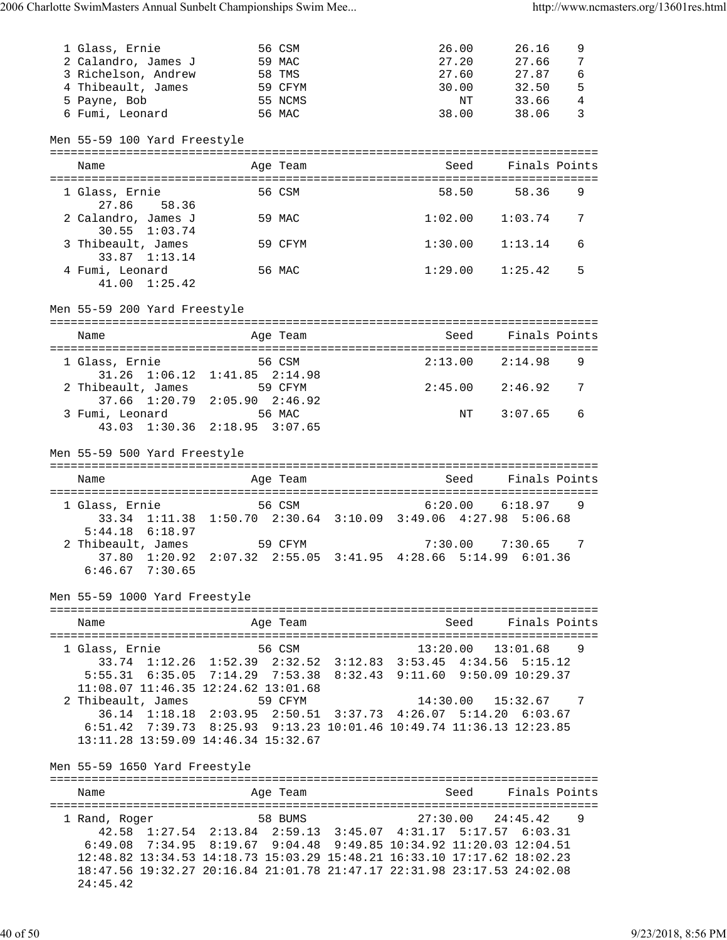| 1 Glass, Ernie                | 56 CSM                                                                                                                               | 26.00               | 26.16               | 9               |
|-------------------------------|--------------------------------------------------------------------------------------------------------------------------------------|---------------------|---------------------|-----------------|
| 2 Calandro, James J           | 59 MAC                                                                                                                               | 27.20               | 27.66               | 7               |
| 3 Richelson, Andrew           | 58 TMS                                                                                                                               | 27.60               | 27.87               | $6\phantom{1}6$ |
| 4 Thibeault, James            | 59 CFYM                                                                                                                              | 30.00               | 32.50               | 5               |
| 5 Payne, Bob                  | 55 NCMS                                                                                                                              | NΤ                  | 33.66               | $\overline{4}$  |
| 6 Fumi, Leonard               | 56 MAC                                                                                                                               | 38.00               | 38.06               | 3               |
|                               |                                                                                                                                      |                     |                     |                 |
| Men 55-59 100 Yard Freestyle  |                                                                                                                                      |                     |                     |                 |
|                               |                                                                                                                                      |                     |                     |                 |
| Name                          | Age Team                                                                                                                             |                     | Seed Finals Points  |                 |
| 1 Glass, Ernie                | 56 CSM                                                                                                                               |                     | 58.50 58.36         | 9               |
| 27.86<br>58.36                |                                                                                                                                      |                     |                     |                 |
| 2 Calandro, James J           | 59 MAC                                                                                                                               | 1:02.00             | 1:03.74             | 7               |
| $30.55$ $1:03.74$             |                                                                                                                                      |                     |                     |                 |
| 3 Thibeault, James            | 59 CFYM                                                                                                                              | 1:30.00             | 1:13.14             | 6               |
| 33.87 1:13.14                 |                                                                                                                                      |                     |                     |                 |
| 4 Fumi, Leonard               | 56 MAC                                                                                                                               | $1:29.00$ $1:25.42$ |                     | 5               |
| $41.00 \quad 1:25.42$         |                                                                                                                                      |                     |                     |                 |
|                               |                                                                                                                                      |                     |                     |                 |
| Men 55-59 200 Yard Freestyle  |                                                                                                                                      |                     |                     |                 |
|                               |                                                                                                                                      |                     |                     |                 |
| Name                          | Age Team                                                                                                                             |                     | Seed Finals Points  |                 |
|                               |                                                                                                                                      |                     |                     |                 |
| 1 Glass, Ernie                | 56 CSM                                                                                                                               |                     | $2:13.00$ $2:14.98$ | 9               |
|                               | 31.26 1:06.12 1:41.85 2:14.98                                                                                                        |                     |                     |                 |
| 2 Thibeault, James 59 CFYM    |                                                                                                                                      | 2:45.00             | 2:46.92             | 7               |
|                               | 37.66 1:20.79 2:05.90 2:46.92                                                                                                        |                     |                     |                 |
| 3 Fumi, Leonard 56 MAC        |                                                                                                                                      | NT                  | 3:07.65             | 6               |
|                               | 43.03 1:30.36 2:18.95 3:07.65                                                                                                        |                     |                     |                 |
|                               |                                                                                                                                      |                     |                     |                 |
| Men 55-59 500 Yard Freestyle  |                                                                                                                                      |                     |                     |                 |
|                               |                                                                                                                                      |                     |                     |                 |
|                               |                                                                                                                                      |                     |                     |                 |
| Name                          | Age Team                                                                                                                             |                     | Seed Finals Points  |                 |
|                               |                                                                                                                                      |                     |                     |                 |
| 1 Glass, Ernie                | 56 CSM                                                                                                                               |                     | $6:20.00$ $6:18.97$ | 9               |
|                               | 33.34 1:11.38 1:50.70 2:30.64 3:10.09 3:49.06 4:27.98 5:06.68                                                                        |                     |                     |                 |
| $5:44.18$ $6:18.97$           |                                                                                                                                      |                     |                     |                 |
|                               | 2 Thibeault, James 59 CFYM                                                                                                           | 7:30.00             | 7:30.65             | 7               |
|                               | 37.80 1:20.92 2:07.32 2:55.05 3:41.95 4:28.66 5:14.99 6:01.36                                                                        |                     |                     |                 |
| $6:46.67$ $7:30.65$           |                                                                                                                                      |                     |                     |                 |
|                               |                                                                                                                                      |                     |                     |                 |
| Men 55-59 1000 Yard Freestyle |                                                                                                                                      |                     |                     |                 |
|                               |                                                                                                                                      |                     |                     |                 |
| Name                          | Age Team                                                                                                                             | Seed                | Finals Points       |                 |
|                               |                                                                                                                                      |                     |                     |                 |
| 1 Glass, Ernie                | 56 CSM                                                                                                                               | 13:20.00            | 13:01.68            | 9               |
|                               | 33.74 1:12.26 1:52.39 2:32.52 3:12.83 3:53.45 4:34.56 5:15.12                                                                        |                     |                     |                 |
|                               | 5:55.31 6:35.05 7:14.29 7:53.38 8:32.43 9:11.60 9:50.09 10:29.37                                                                     |                     |                     |                 |
|                               | 11:08.07 11:46.35 12:24.62 13:01.68<br>59 CFYM                                                                                       | 14:30.00            | 15:32.67            | 7               |
| 2 Thibeault, James            |                                                                                                                                      |                     |                     |                 |
|                               | 36.14 1:18.18 2:03.95 2:50.51 3:37.73 4:26.07 5:14.20 6:03.67<br>6:51.42 7:39.73 8:25.93 9:13.23 10:01.46 10:49.74 11:36.13 12:23.85 |                     |                     |                 |
|                               | 13:11.28 13:59.09 14:46.34 15:32.67                                                                                                  |                     |                     |                 |
|                               |                                                                                                                                      |                     |                     |                 |
| Men 55-59 1650 Yard Freestyle |                                                                                                                                      |                     |                     |                 |
|                               |                                                                                                                                      |                     |                     |                 |
| Name                          | Age Team                                                                                                                             | Seed                | Finals Points       |                 |
|                               |                                                                                                                                      |                     |                     |                 |
| 1 Rand, Roger                 | 58 BUMS                                                                                                                              | 27:30.00            | 24:45.42            | 9               |
|                               | 42.58 1:27.54 2:13.84 2:59.13 3:45.07 4:31.17 5:17.57                                                                                |                     | 6:03.31             |                 |
|                               | 6:49.08 7:34.95 8:19.67 9:04.48 9:49.85 10:34.92 11:20.03 12:04.51                                                                   |                     |                     |                 |
|                               | 12:48.82 13:34.53 14:18.73 15:03.29 15:48.21 16:33.10 17:17.62 18:02.23                                                              |                     |                     |                 |
|                               | 18:47.56 19:32.27 20:16.84 21:01.78 21:47.17 22:31.98 23:17.53 24:02.08                                                              |                     |                     |                 |
| 24:45.42                      |                                                                                                                                      |                     |                     |                 |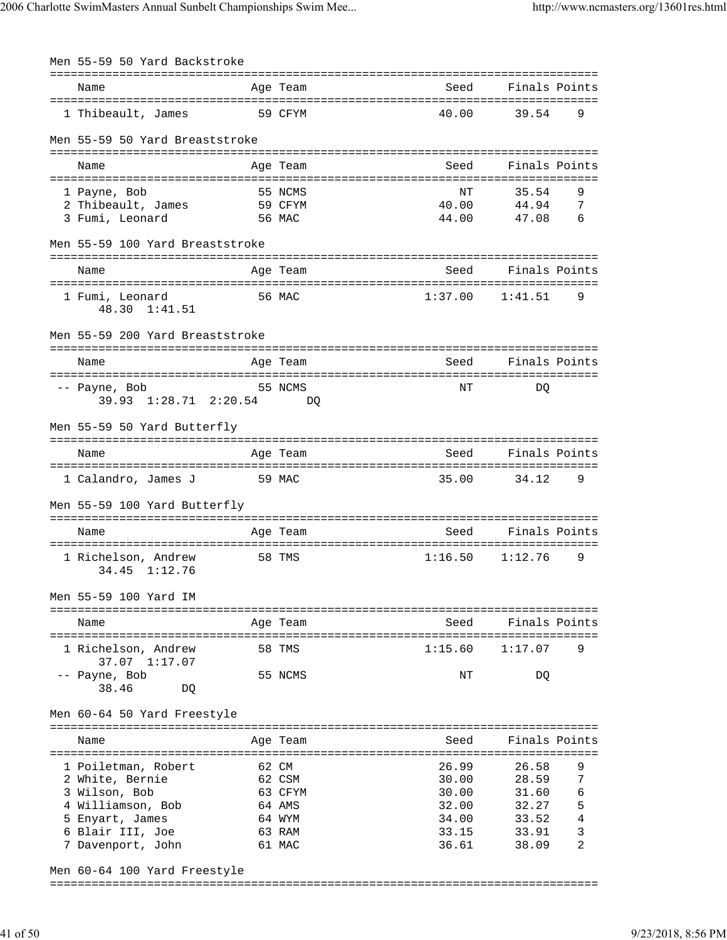| Men 55-59 50 Yard Backstroke                   |               |                        |                                           |                |        |
|------------------------------------------------|---------------|------------------------|-------------------------------------------|----------------|--------|
| -------------------------<br>Name              |               | ==========<br>Age Team | Seed                                      | Finals Points  |        |
| ========================<br>1 Thibeault, James | ============= | 59 CFYM                | ________________________________<br>40.00 | 39.54          | 9      |
| Men 55-59 50 Yard Breaststroke                 |               |                        |                                           |                |        |
|                                                |               |                        |                                           | Finals Points  |        |
| Name                                           |               | Age Team               | Seed                                      |                |        |
| 1 Payne, Bob                                   |               | 55 NCMS                | NΤ                                        | 35.54          | 9      |
| 2 Thibeault, James                             |               | 59 CFYM                | 40.00                                     | 44.94          | 7      |
| 3 Fumi, Leonard                                |               | 56 MAC                 | 44.00                                     | 47.08          | 6      |
| Men 55-59 100 Yard Breaststroke                |               | ---------              |                                           |                |        |
| Name<br>--------------------                   |               | Age Team               | Seed                                      | Finals Points  |        |
| 1 Fumi, Leonard<br>48.30 1:41.51               |               | 56 MAC                 | 1:37.00                                   | 1:41.51        | 9      |
| Men 55-59 200 Yard Breaststroke                |               |                        |                                           |                |        |
| Name                                           |               | Age Team               | Seed                                      | Finals Points  |        |
| -- Payne, Bob                                  |               | 55 NCMS                | NΤ                                        | DO             |        |
| 39.93 1:28.71 2:20.54                          |               | DO                     |                                           |                |        |
| Men 55-59 50 Yard Butterfly                    |               |                        |                                           |                |        |
|                                                |               |                        |                                           |                |        |
| Name                                           |               | Age Team               | Seed                                      | Finals Points  |        |
| 1 Calandro, James J                            |               | 59 MAC                 | 35.00                                     | 34.12          | 9      |
| Men 55-59 100 Yard Butterfly                   |               |                        |                                           |                |        |
| Name                                           |               | Age Team               | Seed                                      | Finals Points  |        |
|                                                |               |                        |                                           |                |        |
| 1 Richelson, Andrew<br>34.45<br>1:12.76        |               | 58 TMS                 | 1:16.50                                   | 1:12.76        | 9      |
| Men 55-59 100 Yard IM                          |               |                        |                                           |                |        |
|                                                |               |                        | ===============================           |                |        |
| Name                                           |               | Age Team               | Seed                                      | Finals Points  |        |
| 1 Richelson, Andrew<br>37.07 1:17.07           |               | 58 TMS                 | 1:15.60                                   | 1:17.07        | 9      |
| -- Payne, Bob<br>38.46<br>DQ                   |               | 55 NCMS                | ΝT                                        | DQ             |        |
| Men 60-64 50 Yard Freestyle                    |               |                        |                                           |                |        |
| Name                                           |               | Age Team               | Seed                                      | Finals Points  |        |
|                                                |               |                        |                                           |                |        |
| 1 Poiletman, Robert                            |               | 62 CM                  | 26.99                                     | 26.58          | 9      |
| 2 White, Bernie                                |               | 62 CSM                 | 30.00                                     | 28.59          | 7      |
| 3 Wilson, Bob<br>4 Williamson, Bob             |               | 63 CFYM<br>64 AMS      | 30.00<br>32.00                            | 31.60<br>32.27 | 6<br>5 |
| 5 Enyart, James                                |               | 64 WYM                 | 34.00                                     | 33.52          | 4      |
| 6 Blair III, Joe                               |               | 63 RAM                 | 33.15                                     | 33.91          | 3      |
| 7 Davenport, John                              |               | 61 MAC                 | 36.61                                     | 38.09          | 2      |
| Men 60-64 100 Yard Freestyle                   |               |                        |                                           |                |        |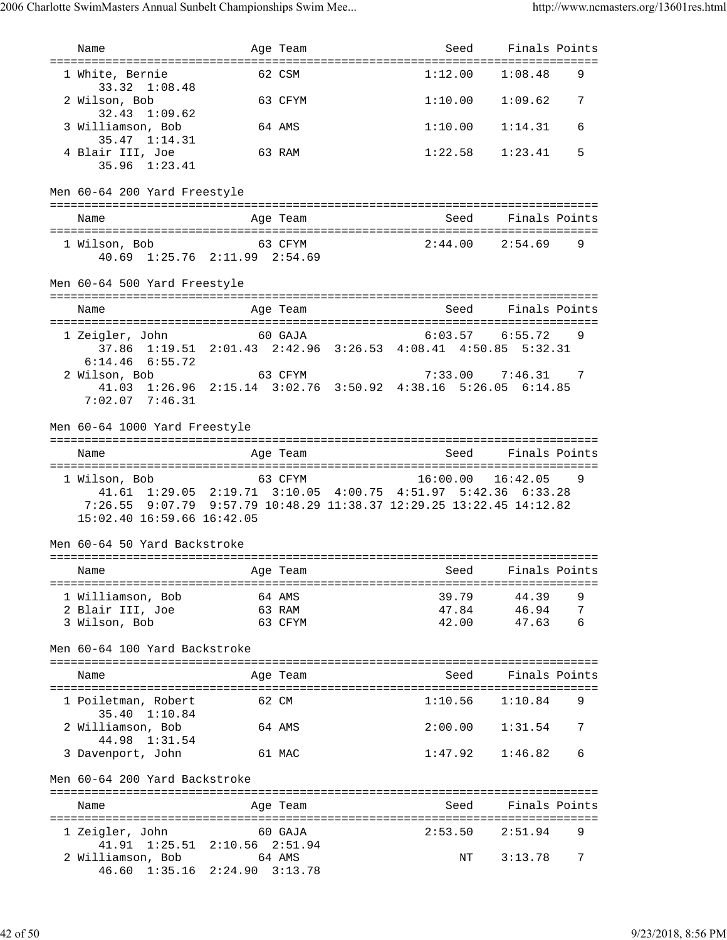| Name                                        | Age Team                                                                                                                                         | Seed                                                                                                                                                                                                                                 | Finals Points        |   |
|---------------------------------------------|--------------------------------------------------------------------------------------------------------------------------------------------------|--------------------------------------------------------------------------------------------------------------------------------------------------------------------------------------------------------------------------------------|----------------------|---|
| ===================================         |                                                                                                                                                  | 1:12.00                                                                                                                                                                                                                              |                      | 9 |
| 1 White, Bernie<br>33.32 1:08.48            | 62 CSM                                                                                                                                           |                                                                                                                                                                                                                                      | 1:08.48              |   |
| 2 Wilson, Bob<br>$32.43$ $1:09.62$          | 63 CFYM                                                                                                                                          | 1:10.00                                                                                                                                                                                                                              | 1:09.62              | 7 |
| 3 Williamson, Bob<br>35.47 1:14.31          | 64 AMS                                                                                                                                           | 1:10.00                                                                                                                                                                                                                              | 1:14.31              | 6 |
| 4 Blair III, Joe<br>35.96 1:23.41           | 63 RAM                                                                                                                                           | 1:22.58                                                                                                                                                                                                                              | 1:23.41              | 5 |
| Men 60-64 200 Yard Freestyle                |                                                                                                                                                  |                                                                                                                                                                                                                                      |                      |   |
| Name                                        | Age Team                                                                                                                                         |                                                                                                                                                                                                                                      | Seed Finals Points   |   |
| 1 Wilson, Bob                               | 63 CFYM<br>40.69 1:25.76 2:11.99 2:54.69                                                                                                         | $2:44.00$ $2:54.69$                                                                                                                                                                                                                  |                      | 9 |
| Men 60-64 500 Yard Freestyle                |                                                                                                                                                  |                                                                                                                                                                                                                                      |                      |   |
| Name                                        | Age Team                                                                                                                                         | Seed                                                                                                                                                                                                                                 | Finals Points        |   |
| 1 Zeigler, John<br>$6:14.46$ $6:55.72$      | 60 GAJA<br>37.86 1:19.51 2:01.43 2:42.96 3:26.53 4:08.41 4:50.85 5:32.31                                                                         | $6:03.57$ $6:55.72$                                                                                                                                                                                                                  |                      | 9 |
| 2 Wilson, Bob<br>$7:02.07$ $7:46.31$        | 63 CFYM<br>41.03 1:26.96 2:15.14 3:02.76 3:50.92 4:38.16 5:26.05 6:14.85                                                                         | $7:33.00$ $7:46.31$ 7                                                                                                                                                                                                                |                      |   |
| Men 60-64 1000 Yard Freestyle               |                                                                                                                                                  |                                                                                                                                                                                                                                      |                      |   |
| Name                                        | Age Team                                                                                                                                         | Seed Finals Points                                                                                                                                                                                                                   |                      |   |
| 1 Wilson, Bob<br>15:02.40 16:59.66 16:42.05 | 63 CFYM<br>41.61 1:29.05 2:19.71 3:10.05 4:00.75 4:51.97 5:42.36 6:33.28<br>7:26.55 9:07.79 9:57.79 10:48.29 11:38.37 12:29.25 13:22.45 14:12.82 | $16:00.00$ $16:42.05$                                                                                                                                                                                                                |                      | 9 |
| Men 60-64 50 Yard Backstroke                |                                                                                                                                                  |                                                                                                                                                                                                                                      |                      |   |
| Name                                        | Aqe Team                                                                                                                                         | <u>seed and the second second second second second second second second second second second second second second second second second second second second second second second second second second second second second secon</u> | Finals Points        |   |
| 1 Williamson, Bob                           | 64 AMS                                                                                                                                           | 39.79                                                                                                                                                                                                                                | 44.39                | 9 |
| 2 Blair III, Joe<br>3 Wilson, Bob           | 63 RAM<br>63 CFYM                                                                                                                                | 47.84<br>42.00                                                                                                                                                                                                                       | 46.94  7<br>47.63  6 |   |
| Men 60-64 100 Yard Backstroke               |                                                                                                                                                  |                                                                                                                                                                                                                                      |                      |   |
| Name                                        | Age Team                                                                                                                                         | Seed                                                                                                                                                                                                                                 | Finals Points        |   |
| 1 Poiletman, Robert                         | 62 CM                                                                                                                                            | $1:10.56$ $1:10.84$                                                                                                                                                                                                                  |                      | 9 |
| 35.40 1:10.84<br>2 Williamson, Bob          | 64 AMS                                                                                                                                           | $2:00.00$ $1:31.54$ 7                                                                                                                                                                                                                |                      |   |
| 44.98 1:31.54<br>3 Davenport, John          | 61 MAC                                                                                                                                           | $1:47.92$ $1:46.82$                                                                                                                                                                                                                  |                      | 6 |
| Men 60-64 200 Yard Backstroke               |                                                                                                                                                  |                                                                                                                                                                                                                                      |                      |   |
| Name                                        | Age Team                                                                                                                                         | seed Seed                                                                                                                                                                                                                            | Finals Points        |   |
| 1 Zeigler, John 60 GAJA                     |                                                                                                                                                  | $2:53.50$ $2:51.94$                                                                                                                                                                                                                  |                      | 9 |
| 2 Williamson, Bob 64 AMS                    | 41.91 1:25.51 2:10.56 2:51.94<br>46.60 1:35.16 2:24.90 3:13.78                                                                                   |                                                                                                                                                                                                                                      | NT 3:13.78           | 7 |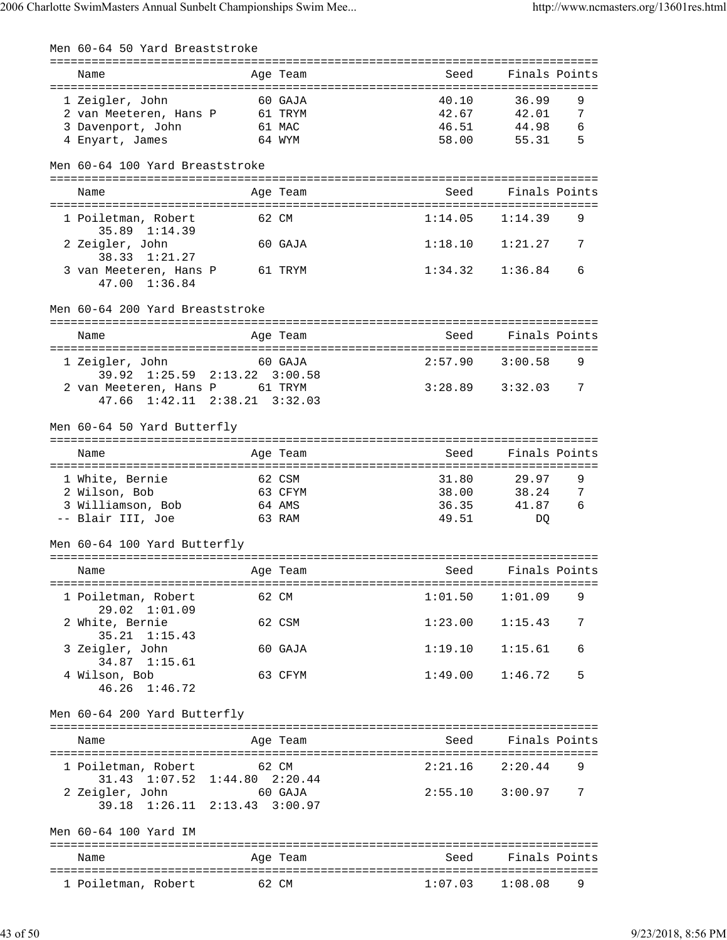| Men 60-64 50 Yard Breaststroke                                  |                     |          |         |                     |               |
|-----------------------------------------------------------------|---------------------|----------|---------|---------------------|---------------|
| Name                                                            |                     | Age Team | Seed    |                     | Finals Points |
|                                                                 |                     |          |         |                     |               |
| 1 Zeigler, John                                                 |                     | 60 GAJA  | 40.10   | 36.99               | 9             |
| 2 van Meeteren, Hans P                                          |                     | 61 TRYM  | 42.67   | 42.01               | 7             |
| 3 Davenport, John                                               |                     | 61 MAC   | 46.51   | 44.98               | 6             |
| 4 Enyart, James                                                 |                     | 64 WYM   | 58.00   | 55.31               | 5             |
| Men 60-64 100 Yard Breaststroke                                 |                     |          |         |                     |               |
| Name                                                            |                     | Age Team | Seed    | Finals Points       |               |
|                                                                 |                     |          |         |                     |               |
| 1 Poiletman, Robert<br>35.89 1:14.39                            |                     | 62 CM    | 1:14.05 | 1:14.39             | 9             |
| 2 Zeigler, John<br>38.33<br>1:21.27                             |                     | 60 GAJA  | 1:18.10 | 1:21.27             | 7             |
| 3 van Meeteren, Hans P<br>47.00 1:36.84                         | 61 TRYM             |          | 1:34.32 | 1:36.84             | 6             |
| Men 60-64 200 Yard Breaststroke                                 |                     |          |         |                     |               |
| Name                                                            |                     | Age Team | Seed    | Finals Points       |               |
| 1 Zeigler, John<br>39.92 1:25.59                                | $2:13.22$ $3:00.58$ | 60 GAJA  | 2:57.90 | 3:00.58             | 9             |
| 2 van Meeteren, Hans P 61 TRYM<br>47.66 1:42.11 2:38.21 3:32.03 |                     |          | 3:28.89 | 3:32.03             | 7             |
| Men 60-64 50 Yard Butterfly                                     |                     |          |         |                     |               |
| Name                                                            |                     | Age Team | Seed    |                     | Finals Points |
| 1 White, Bernie                                                 |                     | 62 CSM   | 31.80   | 29.97               | 9             |
| 2 Wilson, Bob                                                   |                     | 63 CFYM  | 38.00   | 38.24               | 7             |
| 3 Williamson, Bob                                               |                     | 64 AMS   | 36.35   | 41.87               | 6             |
| -- Blair III, Joe                                               |                     | 63 RAM   | 49.51   | DQ                  |               |
| Men 60-64 100 Yard Butterfly                                    |                     |          |         |                     |               |
|                                                                 |                     |          |         |                     | Finals Points |
| Name                                                            |                     | Age Team | Seed    |                     |               |
| 1 Poiletman, Robert                                             |                     | 62 CM    | 1:01.50 | 1:01.09             | 9             |
| 29.02 1:01.09                                                   |                     |          |         |                     |               |
| 2 White, Bernie<br>$35.21 \quad 1:15.43$                        |                     | 62 CSM   | 1:23.00 | 1:15.43             | 7             |
| 3 Zeigler, John<br>34.87 1:15.61                                |                     | 60 GAJA  | 1:19.10 | 1:15.61             | 6             |
| 4 Wilson, Bob<br>46.26 1:46.72                                  |                     | 63 CFYM  | 1:49.00 | 1:46.72             | 5             |
| Men 60-64 200 Yard Butterfly                                    |                     |          |         |                     |               |
| Name                                                            |                     | Age Team |         | Seed Finals Points  |               |
|                                                                 |                     |          |         |                     |               |
| 1 Poiletman, Robert 62 CM<br>31.43 1:07.52 1:44.80 2:20.44      |                     |          | 2:21.16 | 2:20.44             | 9             |
| 2 Zeigler, John 60 GAJA<br>39.18 1:26.11 2:13.43 3:00.97        |                     |          |         | $2:55.10$ $3:00.97$ | 7             |
| Men 60-64 100 Yard IM                                           |                     |          |         |                     |               |
|                                                                 |                     |          |         |                     |               |
| Name                                                            |                     | Age Team | Seed    | Finals Points       |               |
| 1 Poiletman, Robert                                             | 62 CM               |          |         | $1:07.03$ $1:08.08$ | 9             |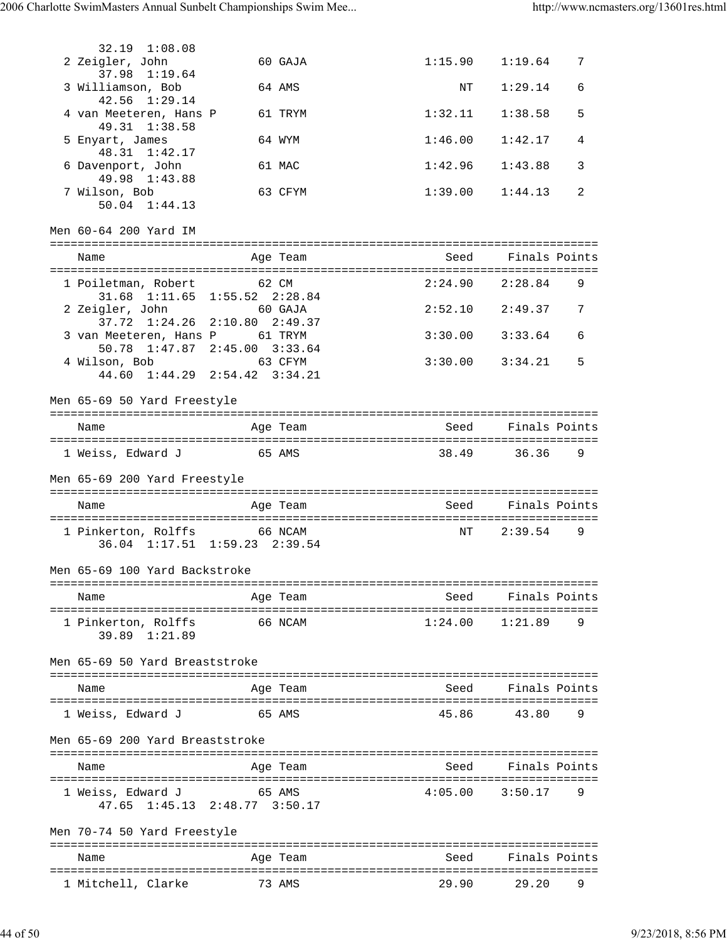| 32.19 1:08.08                           |                                                              |                     |                            |   |
|-----------------------------------------|--------------------------------------------------------------|---------------------|----------------------------|---|
| 2 Zeigler, John<br>37.98 1:19.64        | 60 GAJA                                                      | 1:15.90             | 1:19.64                    | 7 |
| 3 Williamson, Bob                       | 64 AMS                                                       | ΝT                  | 1:29.14                    | 6 |
| 42.56 1:29.14<br>4 van Meeteren, Hans P | 61 TRYM                                                      | 1:32.11             | 1:38.58                    | 5 |
| 49.31 1:38.58<br>5 Enyart, James        | 64 WYM                                                       | 1:46.00             | 1:42.17                    | 4 |
| 48.31 1:42.17<br>6 Davenport, John      | 61 MAC                                                       | 1:42.96             | 1:43.88                    | 3 |
| 49.98 1:43.88<br>7 Wilson, Bob          | 63 CFYM                                                      | 1:39.00             | 1:44.13                    | 2 |
| $50.04$ $1:44.13$                       |                                                              |                     |                            |   |
| Men 60-64 200 Yard IM                   |                                                              |                     |                            |   |
| Name                                    | Age Team                                                     | Seed                | Finals Points              |   |
| 1 Poiletman, Robert                     | 62 CM                                                        | 2:24.90             | 2:28.84                    | 9 |
| 2 Zeigler, John                         | 31.68 1:11.65 1:55.52 2:28.84<br>60 GAJA                     | $2:52.10$ $2:49.37$ |                            | 7 |
|                                         | 37.72 1:24.26 2:10.80 2:49.37                                |                     |                            |   |
| 3 van Meeteren, Hans P 61 TRYM          | 50.78 1:47.87 2:45.00 3:33.64                                | 3:30.00             | 3:33.64                    | 6 |
| 4 Wilson, Bob                           | 63 CFYM<br>$44.60 \quad 1:44.29 \quad 2:54.42 \quad 3:34.21$ | 3:30.00             | 3:34.21                    | 5 |
|                                         |                                                              |                     |                            |   |
| Men 65-69 50 Yard Freestyle             |                                                              |                     |                            |   |
| Name                                    | Age Team                                                     |                     | Seed Finals Points         |   |
| 1 Weiss, Edward J 65 AMS                |                                                              | 38.49               | 36.36                      | 9 |
|                                         |                                                              |                     |                            |   |
| Men 65-69 200 Yard Freestyle            |                                                              |                     |                            |   |
| Name                                    | Age Team                                                     |                     | Seed Finals Points         |   |
| 1 Pinkerton, Rolffs 66 NCAM             |                                                              | ΝT                  | 2:39.54                    | 9 |
|                                         | 36.04 1:17.51 1:59.23 2:39.54                                |                     |                            |   |
| Men 65-69 100 Yard Backstroke           |                                                              |                     |                            |   |
| Name                                    | Age Team                                                     | Seed                | Finals Points              |   |
| 1 Pinkerton, Rolffs                     | 66 NCAM                                                      | 1:24.00             | ===============<br>1:21.89 | 9 |
| 39.89 1:21.89                           |                                                              |                     |                            |   |
| Men 65-69 50 Yard Breaststroke          |                                                              |                     |                            |   |
| Name                                    | Age Team                                                     | Seed                | Finals Points              |   |
| 1 Weiss, Edward J                       | 65 AMS                                                       | 45.86               | 43.80                      | 9 |
| Men 65-69 200 Yard Breaststroke         |                                                              |                     |                            |   |
|                                         |                                                              |                     |                            |   |
| Name                                    | Age Team                                                     | Seed                | Finals Points              |   |
| 1 Weiss, Edward J                       | 65 AMS<br>$47.65$ $1:45.13$ $2:48.77$ $3:50.17$              | 4:05.00             | 3:50.17                    | 9 |
|                                         |                                                              |                     |                            |   |
| Men 70-74 50 Yard Freestyle             |                                                              |                     |                            |   |
| Name                                    | Age Team                                                     | Seed                | Finals Points              |   |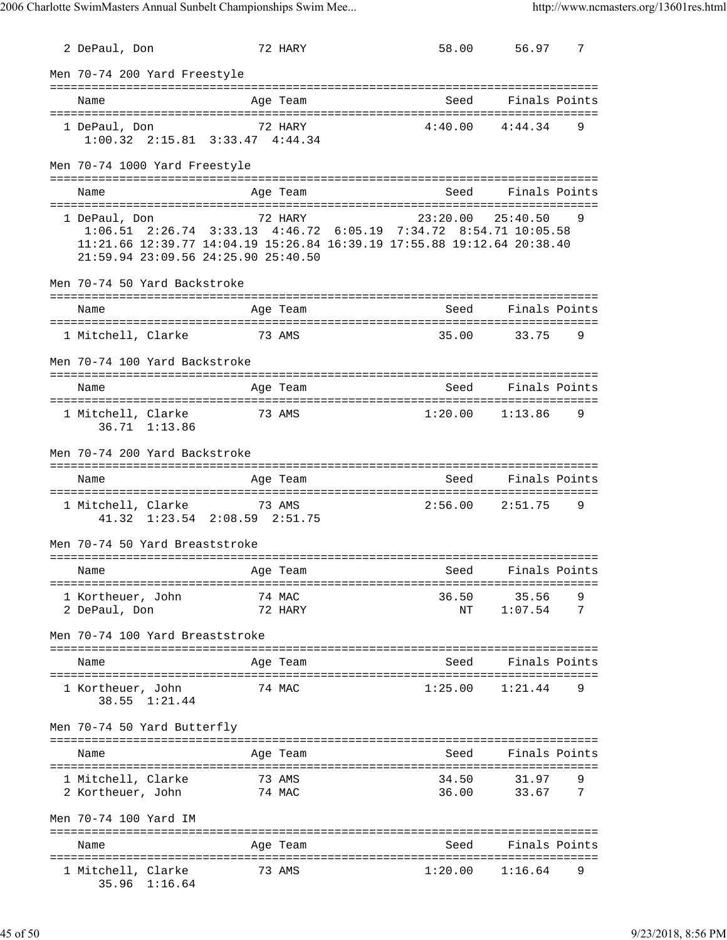| 2 DePaul, Don                                                                                                                                                                                       |          | 72 HARY          |                     | 58.00 56.97           | 7 |
|-----------------------------------------------------------------------------------------------------------------------------------------------------------------------------------------------------|----------|------------------|---------------------|-----------------------|---|
| Men 70-74 200 Yard Freestyle                                                                                                                                                                        |          |                  |                     |                       |   |
| Name                                                                                                                                                                                                | Aqe Team |                  | Seed Finals Points  |                       |   |
| 1 DePaul, Don<br>$1:00.32$ $2:15.81$ $3:33.47$ $4:44.34$                                                                                                                                            | 72 HARY  |                  | $4:40.00$ $4:44.34$ |                       | 9 |
| Men 70-74 1000 Yard Freestyle                                                                                                                                                                       |          |                  |                     |                       |   |
| Name                                                                                                                                                                                                |          | Age Team         | Seed                | Finals Points         |   |
| 1 DePaul, Don<br>1:06.51 2:26.74 3:33.13 4:46.72 6:05.19 7:34.72 8:54.71 10:05.58<br>11:21.66 12:39.77 14:04.19 15:26.84 16:39.19 17:55.88 19:12.64 20:38.40<br>21:59.94 23:09.56 24:25.90 25:40.50 | 72 HARY  |                  |                     | $23:20.00$ $25:40.50$ | 9 |
| Men 70-74 50 Yard Backstroke                                                                                                                                                                        |          |                  |                     |                       |   |
| Name                                                                                                                                                                                                |          | Age Team         |                     | Seed Finals Points    |   |
| 1 Mitchell, Clarke 73 AMS                                                                                                                                                                           |          |                  |                     | 35.00 33.75 9         |   |
| Men 70-74 100 Yard Backstroke                                                                                                                                                                       |          |                  |                     |                       |   |
| Name                                                                                                                                                                                                |          | Age Team         |                     | Seed Finals Points    |   |
| 1 Mitchell, Clarke<br>36.71 1:13.86                                                                                                                                                                 | 73 AMS   |                  | $1:20.00$ $1:13.86$ |                       | 9 |
| Men 70-74 200 Yard Backstroke                                                                                                                                                                       |          |                  |                     |                       |   |
| Name                                                                                                                                                                                                |          | Age Team         |                     | Seed Finals Points    |   |
| 1 Mitchell, Clarke 73 AMS<br>41.32 1:23.54 2:08.59 2:51.75                                                                                                                                          |          |                  | $2:56.00$ $2:51.75$ |                       | 9 |
| Men 70-74 50 Yard Breaststroke                                                                                                                                                                      |          |                  |                     |                       |   |
| Name                                                                                                                                                                                                | Age Team |                  | Seed Finals Points  |                       |   |
| 1 Kortheuer, John                                                                                                                                                                                   |          | 74 MAC           | 36.50               | 35.56                 |   |
| 2 DePaul, Don                                                                                                                                                                                       |          | 72 HARY          | NΤ                  | 1:07.54               | 7 |
| Men 70-74 100 Yard Breaststroke                                                                                                                                                                     |          |                  |                     |                       |   |
| Name                                                                                                                                                                                                |          | Age Team         | Seed Finals Points  |                       |   |
| 1 Kortheuer, John<br>38.55 1:21.44                                                                                                                                                                  | 74 MAC   |                  |                     | $1:25.00$ $1:21.44$   | 9 |
| Men 70-74 50 Yard Butterfly                                                                                                                                                                         |          |                  |                     |                       |   |
| Name                                                                                                                                                                                                |          | Age Team         | Seed                | Finals Points         |   |
| 1 Mitchell, Clarke<br>2 Kortheuer, John                                                                                                                                                             |          | 73 AMS<br>74 MAC | 34.50<br>36.00      | 31.97<br>33.67        | 7 |
| Men 70-74 100 Yard IM                                                                                                                                                                               |          |                  |                     |                       |   |
| Name                                                                                                                                                                                                |          | Age Team         | Seed                | Finals Points         |   |
| 1 Mitchell, Clarke<br>35.96 1:16.64                                                                                                                                                                 | 73 AMS   |                  |                     | $1:20.00$ $1:16.64$   | 9 |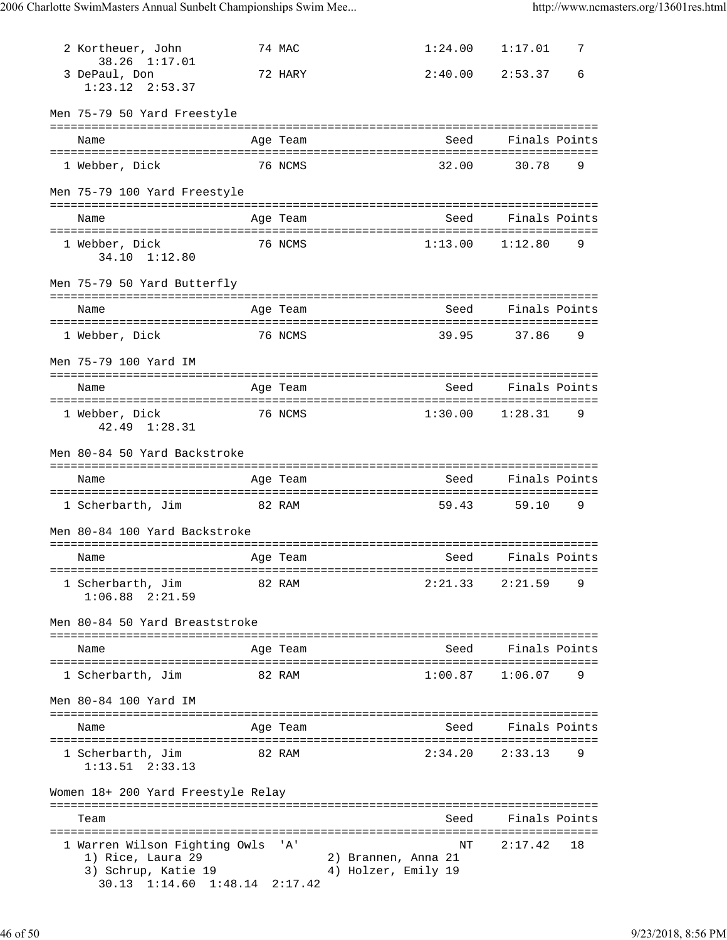| 2 Kortheuer, John<br>38.26 1:17.01       |        | 74 MAC                  | 1:24.00 | 1:17.01             | 7 |
|------------------------------------------|--------|-------------------------|---------|---------------------|---|
| 3 DePaul, Don<br>$1:23.12$ $2:53.37$     |        | 72 HARY                 |         | $2:40.00$ $2:53.37$ | 6 |
| Men 75-79 50 Yard Freestyle              |        |                         |         |                     |   |
| Name                                     |        | Age Team                | Seed    | Finals Points       |   |
| 1 Webber, Dick                           |        | 76 NCMS                 | 32.00   | 30.78               | 9 |
| Men 75-79 100 Yard Freestyle             |        |                         |         |                     |   |
| Name                                     |        | Age Team                | Seed    | Finals Points       |   |
| 1 Webber, Dick<br>34.10 1:12.80          |        | 76 NCMS                 | 1:13.00 | 1:12.80             | 9 |
| Men 75-79 50 Yard Butterfly              |        |                         |         |                     |   |
| Name                                     |        | Age Team                | Seed    | Finals Points       |   |
| 1 Webber, Dick                           |        | 76 NCMS                 | 39.95   | 37.86               | 9 |
| Men 75-79 100 Yard IM                    |        |                         |         |                     |   |
| Name                                     |        | Age Team                | Seed    | Finals Points       |   |
| 1 Webber, Dick<br>42.49 1:28.31          |        | 76 NCMS                 | 1:30.00 | 1:28.31             | 9 |
| Men 80-84 50 Yard Backstroke             |        |                         |         |                     |   |
|                                          |        |                         |         |                     |   |
| Name                                     |        | Age Team                | Seed    | Finals Points       |   |
| 1 Scherbarth, Jim                        | 82 RAM |                         | 59.43   | 59.10               | 9 |
| Men 80-84 100 Yard Backstroke            |        |                         |         |                     |   |
| Name                                     |        | Age Team                | Seed    | Finals Points       |   |
| 1 Scherbarth, Jim<br>$1:06.88$ $2:21.59$ |        | 82 RAM                  | 2:21.33 | 2:21.59             | 9 |
| Men 80-84 50 Yard Breaststroke           |        |                         |         |                     |   |
| ==============================<br>Name   |        | ===========<br>Age Team | Seed    | Finals Points       |   |
| 1 Scherbarth, Jim                        |        | 82 RAM                  | 1:00.87 | 1:06.07             | 9 |
| Men 80-84 100 Yard IM                    |        |                         |         |                     |   |
| Name                                     |        | Age Team                | Seed    | Finals Points       |   |
| 1 Scherbarth, Jim<br>$1:13.51$ $2:33.13$ |        | 82 RAM                  | 2:34.20 | 2:33.13             | 9 |
| Women 18+ 200 Yard Freestyle Relay       |        |                         |         |                     |   |
| Team                                     |        |                         | Seed    | Finals Points       |   |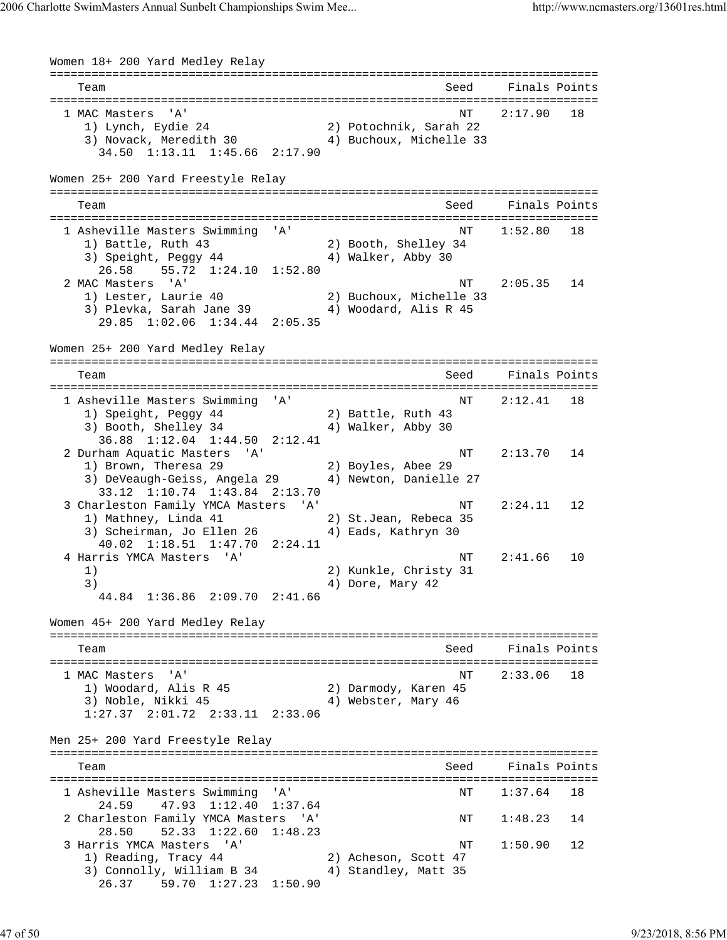Women 18+ 200 Yard Medley Relay =============================================================================== Team Seed Finals Points =============================================================================== 1 MAC Masters 'A' 1 MAC Masters 'A' 18<br>1) Lynch, Eydie 24 2) Potochnik, Sarah 22 1) Lynch, Eydie 24 2) Potochnik, Sarah 22 3) Novack, Meredith 30 4) Buchoux, Michelle 33 34.50 1:13.11 1:45.66 2:17.90 Women 25+ 200 Yard Freestyle Relay =============================================================================== Team Seed Finals Points =============================================================================== 1 Asheville Masters Swimming 'A' NT 1:52.80 18 1) Battle, Ruth 43 2) Booth, Shelley 34 3) Speight, Peggy 44 4 4) Walker, Abby 30 26.58 55.72 1:24.10 1:52.80 2 MAC Masters 'A' NT 2:05.35 14 1) Lester, Laurie 40 2) Buchoux, Michelle 33 3) Plevka, Sarah Jane 39 4) Woodard, Alis R 45 29.85 1:02.06 1:34.44 2:05.35 Women 25+ 200 Yard Medley Relay =============================================================================== Team Seed Finals Points =============================================================================== 1 Asheville Masters Swimming 'A' NT 2:12.41 18 1) Speight, Peggy 44 2) Battle, Ruth 43 3) Booth, Shelley 34 4) Walker, Abby 30 36.88 1:12.04 1:44.50 2:12.41 2 Durham Aquatic Masters 'A' NT 2:13.70 14 1) Brown, Theresa 29 2) Boyles, Abee 29 3) DeVeaugh-Geiss, Angela 29 4) Newton, Danielle 27 33.12 1:10.74 1:43.84 2:13.70 3 Charleston Family YMCA Masters 'A' NT 2:24.11 12 1) Mathney, Linda 41 2) St.Jean, Rebeca 35 3) Scheirman, Jo Ellen 26 (4) Eads, Kathryn 30 40.02 1:18.51 1:47.70 2:24.11 4 Harris YMCA Masters 'A' NT 2:41.66 10 1) 2) Kunkle, Christy 31 3) 4) Dore, Mary 42 44.84 1:36.86 2:09.70 2:41.66 Women 45+ 200 Yard Medley Relay =============================================================================== Team Seed Finals Points =============================================================================== 1 MAC Masters 'A'  $N$ T 2:33.06 18 1) Woodard, Alis R 45 2) Darmody, Karen 45 3) Noble, Nikki 45 4) Webster, Mary 46 1:27.37 2:01.72 2:33.11 2:33.06 Men 25+ 200 Yard Freestyle Relay =============================================================================== Team Seed Finals Points =============================================================================== 1 Asheville Masters Swimming 'A' NT 1:37.64 18 24.59 47.93 1:12.40 1:37.64 2 Charleston Family YMCA Masters 'A' NT 1:48.23 14 28.50 52.33 1:22.60 1:48.23<br>3 Harris YMCA Masters 'A'<br>1) Reading, Tracy 44 2 3 Harris YMCA Masters 'A' NT 1:50.90 12 1) Reading, Tracy 44 2) Acheson, Scott 47 3) Connolly, William B 34 4) Standley, Matt 35 26.37 59.70 1:27.23 1:50.90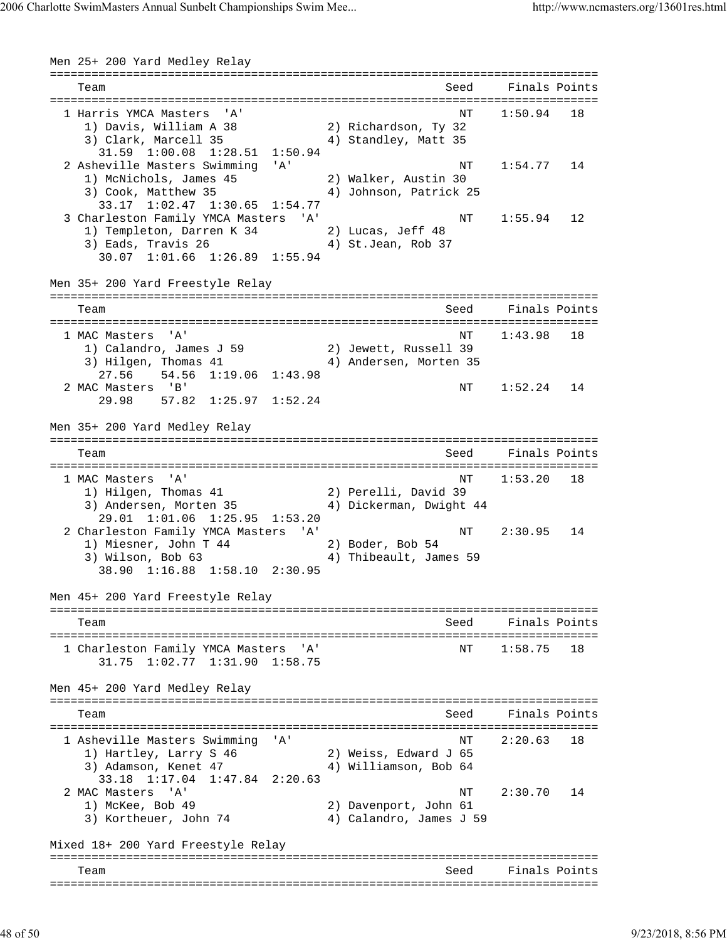Men 25+ 200 Yard Medley Relay =============================================================================== Team Seed Finals Points =============================================================================== 1 Harris YMCA Masters 'A' 1) Davis, William A 38 2) Richardson, Ty 32 3) Clark, Marcell 35 4) Standley, Matt 35 31.59 1:00.08 1:28.51 1:50.94 2 Asheville Masters Swimming 'A' NT 1:54.77 14 1) McNichols, James 45 2) Walker, Austin 30 3) Cook, Matthew 35 4) Johnson, Patrick 25 33.17 1:02.47 1:30.65 1:54.77 3 Charleston Family YMCA Masters 'A' NT 1:55.94 12 1) Templeton, Darren K 34 2) Lucas, Jeff 48 3) Eads, Travis 26 (4) St.Jean, Rob 37 30.07 1:01.66 1:26.89 1:55.94 Men 35+ 200 Yard Freestyle Relay =============================================================================== Team Seed Finals Points =============================================================================== 1 MAC Masters 'A' NT 1:43.98 18 1) Calandro, James J 59 2) Jewett, Russell 39 3) Hilgen, Thomas 41 4) Andersen, Morten 35 27.56 54.56 1:19.06 1:43.98 2 MAC Masters 'B' 1:52.24 14 29.98 57.82 1:25.97 1:52.24 Men 35+ 200 Yard Medley Relay =============================================================================== Team Seed Finals Points =============================================================================== 1 MAC Masters 'A' 1.53.20 18<br>1) Hilgen, Thomas 41 2) Perelli, David 39 1) Hilgen, Thomas 41 2) Perelli, David 39 3) Andersen, Morten 35 4) Dickerman, Dwight 44 29.01 1:01.06 1:25.95 1:53.20 2 Charleston Family YMCA Masters 'A' Number 12:30.95 14 1) Miesner, John T 44 2) Boder, Bob 54 3) Wilson, Bob 63 4) Thibeault, James 59 38.90 1:16.88 1:58.10 2:30.95 Men 45+ 200 Yard Freestyle Relay =============================================================================== Team Seed Finals Points =============================================================================== 1 Charleston Family YMCA Masters 'A' 31.75 1:02.77 1:31.90 1:58.75 Men 45+ 200 Yard Medley Relay =============================================================================== Team Seed Finals Points =============================================================================== 1 Asheville Masters Swimming 'A' NT 2:20.63 18 1) Hartley, Larry S 46 2) Weiss, Edward J 65 3) Adamson, Kenet 47 4) Williamson, Bob 64 33.18 1:17.04 1:47.84 2:20.63 2 MAC Masters 'A' NT 2:30.70 14 1) McKee, Bob 49 3) Kortheuer, John 74 4) Calandro, James J 59 Mixed 18+ 200 Yard Freestyle Relay =============================================================================== Team Seed Finals Points ===============================================================================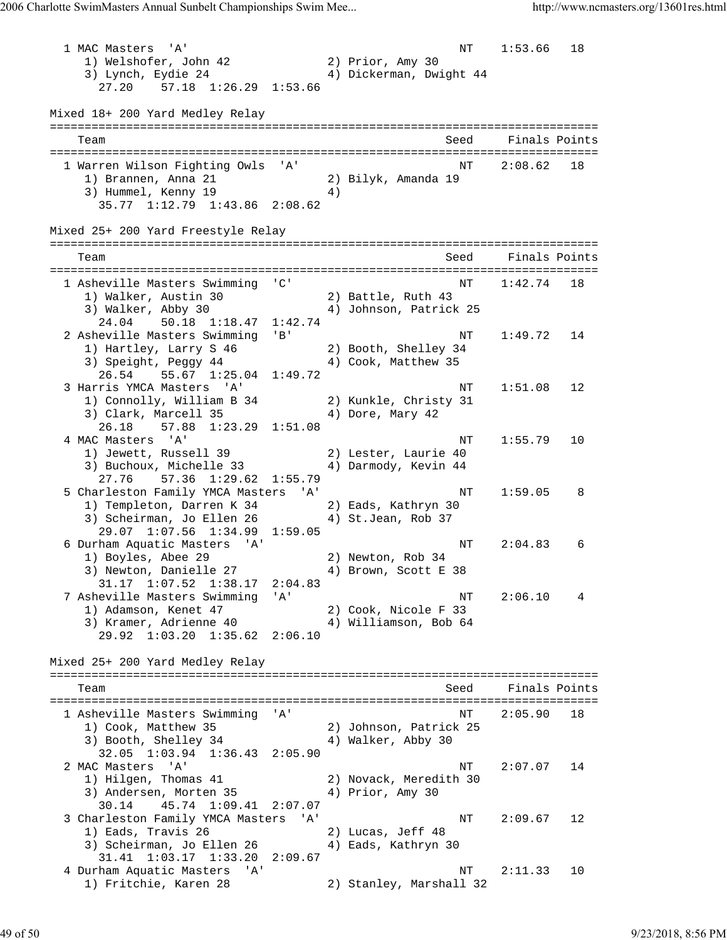1 MAC Masters 'A' NT 1:53.66 18 1) Welshofer, John 42 2) Prior, Amy 30 3) Lynch, Eydie 24 4) Dickerman, Dwight 44 27.20 57.18 1:26.29 1:53.66 Mixed 18+ 200 Yard Medley Relay =============================================================================== Team Seed Finals Points =============================================================================== 1 Warren Wilson Fighting Owls 'A' NT 2:08.62 18 1) Brannen, Anna 21 2) Bilyk, Amanda 19 3) Hummel, Kenny 19 (4) 35.77 1:12.79 1:43.86 2:08.62 Mixed 25+ 200 Yard Freestyle Relay =============================================================================== Team Seed Finals Points =============================================================================== NT 1:42.74 18 1) Walker, Austin 30 2) Battle, Ruth 43 3) Walker, Abby 30 4) Johnson, Patrick 25 24.04 50.18 1:18.47 1:42.74 2 Asheville Masters Swimming 'B' NT 1:49.72 14 1) Hartley, Larry S 46 2) Booth, Shelley 34 3) Speight, Peggy 44 4 4) Cook, Matthew 35 26.54 55.67 1:25.04 1:49.72 3 Harris YMCA Masters 'A' NT 1:51.08 12 1) Connolly, William B 34 2) Kunkle, Christy 31 3) Clark, Marcell 35 4) Dore, Mary 42 26.18 57.88 1:23.29 1:51.08 4 MAC Masters 'A' NT 1:55.79 10 1) Jewett, Russell 39 2) Lester, Laurie 40 3) Buchoux, Michelle 33 4) Darmody, Kevin 44 27.76 57.36 1:29.62 1:55.79 5 Charleston Family YMCA Masters 'A' NT 1:59.05 8 1) Templeton, Darren K 34 2) Eads, Kathryn 30 3) Scheirman, Jo Ellen 26 (4) St.Jean, Rob 37 29.07 1:07.56 1:34.99 1:59.05 6 Durham Aquatic Masters 'A' (6) NT 2:04.83 6 1) Boyles, Abee 29 2) Newton, Rob 34 3) Newton, Danielle 27 4) Brown, Scott E 38 31.17 1:07.52 1:38.17 2:04.83 7 Asheville Masters Swimming 'A' NT 2:06.10 4 1) Adamson, Kenet 47 2) Cook, Nicole F 33 3) Kramer, Adrienne 40 4) Williamson, Bob 64 29.92 1:03.20 1:35.62 2:06.10 Mixed 25+ 200 Yard Medley Relay =============================================================================== Team Seed Finals Points =============================================================================== 1 Asheville Masters Swimming 'A' NT 2:05.90 18 1) Cook, Matthew 35 2) Johnson, Patrick 25 3) Booth, Shelley 34 4) Walker, Abby 30 32.05 1:03.94 1:36.43 2:05.90<br>2 MAC Masters 'A' 2 MAC Masters 'A' NT 2:07.07 14 1) Hilgen, Thomas 41 2) Novack, Meredith 30 3) Andersen, Morten 35 4) Prior, Amy 30 30.14 45.74 1:09.41 2:07.07 3 Charleston Family YMCA Masters 'A' NT 2:09.67 12 1) Eads, Travis 26 2) Lucas, Jeff 48 3) Scheirman, Jo Ellen 26 (4) Eads, Kathryn 30 31.41 1:03.17 1:33.20 2:09.67 4 Durham Aquatic Masters 'A' 10<br>1) Fritchie, Karen 28 (2) Stanley, Marshall 32 2) Stanley, Marshall 32